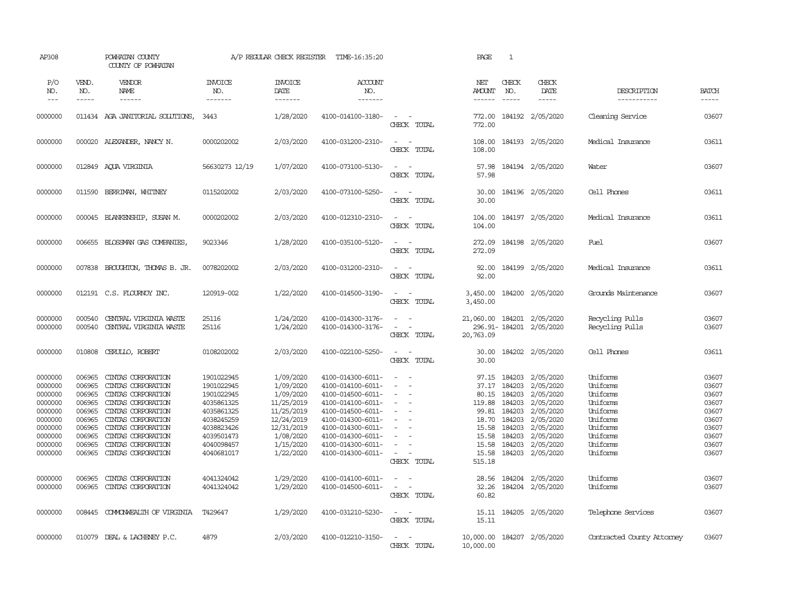| AP308                                                                                                      |                                                                                                  | POWHATAN COUNTY<br>COUNTY OF POWHATAN                                                                                                                                                                                    |                                                                                                                                          | A/P REGULAR CHECK REGISTER                                                                                                         | TIME-16:35:20                                                                                                                                                                                                  |                                                                           | PAGE                                                                            | 1                                                                                                  |                                                                                                                                       |                                                                                                                      |                                                                                        |
|------------------------------------------------------------------------------------------------------------|--------------------------------------------------------------------------------------------------|--------------------------------------------------------------------------------------------------------------------------------------------------------------------------------------------------------------------------|------------------------------------------------------------------------------------------------------------------------------------------|------------------------------------------------------------------------------------------------------------------------------------|----------------------------------------------------------------------------------------------------------------------------------------------------------------------------------------------------------------|---------------------------------------------------------------------------|---------------------------------------------------------------------------------|----------------------------------------------------------------------------------------------------|---------------------------------------------------------------------------------------------------------------------------------------|----------------------------------------------------------------------------------------------------------------------|----------------------------------------------------------------------------------------|
| P/O<br>NO.<br>$---$                                                                                        | VEND.<br>NO.<br>$- - - - -$                                                                      | <b>VENDOR</b><br>NAME<br>$- - - - - -$                                                                                                                                                                                   | <b>INVOICE</b><br>NO.<br>-------                                                                                                         | <b>INVOICE</b><br>DATE<br>-------                                                                                                  | ACCOUNT<br>NO.<br>-------                                                                                                                                                                                      |                                                                           | NET<br><b>AMOUNT</b><br>------                                                  | CHECK<br>NO.<br>$\frac{1}{2}$                                                                      | CHECK<br>DATE<br>$- - - - -$                                                                                                          | DESCRIPTION<br>-----------                                                                                           | <b>BATCH</b><br>-----                                                                  |
| 0000000                                                                                                    |                                                                                                  | 011434 AGA JANITORIAL SOLUTIONS,                                                                                                                                                                                         | 3443                                                                                                                                     | 1/28/2020                                                                                                                          | 4100-014100-3180-                                                                                                                                                                                              | $\sim$ $\sim$<br>CHECK TOTAL                                              | 772.00<br>772.00                                                                |                                                                                                    | 184192 2/05/2020                                                                                                                      | Cleaning Service                                                                                                     | 03607                                                                                  |
| 0000000                                                                                                    |                                                                                                  | 000020 ALEXANDER, NANCY N.                                                                                                                                                                                               | 0000202002                                                                                                                               | 2/03/2020                                                                                                                          | 4100-031200-2310-                                                                                                                                                                                              | $\sim$ $ \sim$<br>CHECK TOTAL                                             | 108.00<br>108.00                                                                |                                                                                                    | 184193 2/05/2020                                                                                                                      | Medical Insurance                                                                                                    | 03611                                                                                  |
| 0000000                                                                                                    |                                                                                                  | 012849 AQUA VIRGINIA                                                                                                                                                                                                     | 56630273 12/19                                                                                                                           | 1/07/2020                                                                                                                          | 4100-073100-5130-                                                                                                                                                                                              | $\sim$ $  -$<br>CHECK TOTAL                                               | 57.98<br>57.98                                                                  |                                                                                                    | 184194 2/05/2020                                                                                                                      | Water                                                                                                                | 03607                                                                                  |
| 0000000                                                                                                    | 011590                                                                                           | BERRIMAN, WHITNEY                                                                                                                                                                                                        | 0115202002                                                                                                                               | 2/03/2020                                                                                                                          | 4100-073100-5250-                                                                                                                                                                                              | $\sim$<br>CHECK TOTAL                                                     | 30.00<br>30.00                                                                  |                                                                                                    | 184196 2/05/2020                                                                                                                      | Cell Phones                                                                                                          | 03611                                                                                  |
| 0000000                                                                                                    |                                                                                                  | 000045 BLANKENSHIP, SUSAN M.                                                                                                                                                                                             | 0000202002                                                                                                                               | 2/03/2020                                                                                                                          | 4100-012310-2310-                                                                                                                                                                                              | $\sim$<br>$\sim$<br>CHECK TOTAL                                           | 104.00<br>104.00                                                                |                                                                                                    | 184197 2/05/2020                                                                                                                      | Medical Insurance                                                                                                    | 03611                                                                                  |
| 0000000                                                                                                    | 006655                                                                                           | BLOSSMAN GAS COMPANIES                                                                                                                                                                                                   | 9023346                                                                                                                                  | 1/28/2020                                                                                                                          | 4100-035100-5120-                                                                                                                                                                                              | $\sim$ $ \sim$<br>CHECK TOTAL                                             | 272.09<br>272.09                                                                |                                                                                                    | 184198 2/05/2020                                                                                                                      | Fuel                                                                                                                 | 03607                                                                                  |
| 0000000                                                                                                    |                                                                                                  | 007838 BROUGHTON, THOMAS B. JR.                                                                                                                                                                                          | 0078202002                                                                                                                               | 2/03/2020                                                                                                                          | 4100-031200-2310-                                                                                                                                                                                              | $\sim$<br>$\sim$ $-$<br>CHECK TOTAL                                       | 92.00<br>92.00                                                                  |                                                                                                    | 184199 2/05/2020                                                                                                                      | Medical Insurance                                                                                                    | 03611                                                                                  |
| 0000000                                                                                                    |                                                                                                  | 012191 C.S. FLOURNOY INC.                                                                                                                                                                                                | 120919-002                                                                                                                               | 1/22/2020                                                                                                                          | 4100-014500-3190-                                                                                                                                                                                              | $\omega_{\rm{max}}$ and $\omega_{\rm{max}}$<br>CHECK TOTAL                | 3,450.00<br>3,450.00                                                            |                                                                                                    | 184200 2/05/2020                                                                                                                      | Grounds Maintenance                                                                                                  | 03607                                                                                  |
| 0000000<br>0000000                                                                                         | 000540<br>000540                                                                                 | CENTRAL VIRGINIA WASTE<br>CENTRAL VIRGINIA WASTE                                                                                                                                                                         | 25116<br>25116                                                                                                                           | 1/24/2020<br>1/24/2020                                                                                                             | 4100-014300-3176-<br>4100-014300-3176-                                                                                                                                                                         | $\sim$ $ \sim$<br>$\sim$ $ \sim$<br>CHECK TOTAL                           | 21,060.00<br>20,763.09                                                          |                                                                                                    | 184201 2/05/2020<br>296.91-184201 2/05/2020                                                                                           | Recycling Pulls<br>Recycling Pulls                                                                                   | 03607<br>03607                                                                         |
| 0000000                                                                                                    | 010808                                                                                           | CERULLO, ROBERT                                                                                                                                                                                                          | 0108202002                                                                                                                               | 2/03/2020                                                                                                                          | 4100-022100-5250-                                                                                                                                                                                              | $\sim$ $ \sim$<br>CHECK TOTAL                                             | 30.00<br>30.00                                                                  |                                                                                                    | 184202 2/05/2020                                                                                                                      | Cell Phones                                                                                                          | 03611                                                                                  |
| 0000000<br>0000000<br>0000000<br>0000000<br>0000000<br>0000000<br>0000000<br>0000000<br>0000000<br>0000000 | 006965<br>006965<br>006965<br>006965<br>006965<br>006965<br>006965<br>006965<br>006965<br>006965 | CINIAS CORPORATION<br>CINIAS CORPORATION<br>CINIAS CORPORATION<br>CINIAS CORPORATION<br>CINIAS CORPORATION<br>CINIAS CORPORATION<br>CINIAS CORPORATION<br>CINIAS CORPORATION<br>CINIAS CORPORATION<br>CINIAS CORPORATION | 1901022945<br>1901022945<br>1901022945<br>4035861325<br>4035861325<br>4038245259<br>4038823426<br>4039501473<br>4040098457<br>4040681017 | 1/09/2020<br>1/09/2020<br>1/09/2020<br>11/25/2019<br>11/25/2019<br>12/24/2019<br>12/31/2019<br>1/08/2020<br>1/15/2020<br>1/22/2020 | 4100-014300-6011-<br>4100-014100-6011-<br>4100-014500-6011-<br>4100-014100-6011-<br>4100-014500-6011-<br>4100-014300-6011-<br>4100-014300-6011-<br>4100-014300-6011-<br>4100-014300-6011-<br>4100-014300-6011- | $\sim$<br>$\sim$<br>$\sim$<br>$\sim$<br>$\equiv$<br>$\sim$<br>CHECK TOTAL | 97.15<br>80.15<br>119.88<br>18.70<br>15.58<br>15.58<br>15.58<br>15.58<br>515.18 | 184203<br>37.17 184203<br>184203<br>184203<br>99.81 184203<br>184203<br>184203<br>184203<br>184203 | 2/05/2020<br>2/05/2020<br>2/05/2020<br>2/05/2020<br>2/05/2020<br>2/05/2020<br>2/05/2020<br>2/05/2020<br>2/05/2020<br>184203 2/05/2020 | Uniforms<br>Uniforms<br>Uniforms<br>Uniforms<br>Uniforms<br>Uniforms<br>Uniforms<br>Uniforms<br>Uniforms<br>Uniforms | 03607<br>03607<br>03607<br>03607<br>03607<br>03607<br>03607<br>03607<br>03607<br>03607 |
| 0000000<br>0000000                                                                                         | 006965<br>006965                                                                                 | CINIAS CORPORATION<br>CINTAS CORPORATION                                                                                                                                                                                 | 4041324042<br>4041324042                                                                                                                 | 1/29/2020<br>1/29/2020                                                                                                             | 4100-014100-6011-<br>4100-014500-6011-                                                                                                                                                                         | $\overline{\phantom{a}}$<br>$\sim$ $ \sim$<br>CHECK TOTAL                 | 28.56<br>32.26<br>60.82                                                         |                                                                                                    | 184204 2/05/2020<br>184204 2/05/2020                                                                                                  | Uniforms<br>Uniforms                                                                                                 | 03607<br>03607                                                                         |
| 0000000                                                                                                    | 008445                                                                                           | COMONWEALTH OF VIRGINIA                                                                                                                                                                                                  | T429647                                                                                                                                  | 1/29/2020                                                                                                                          | 4100-031210-5230-                                                                                                                                                                                              | $\sim$ $ \sim$<br>CHECK TOTAL                                             | 15.11                                                                           |                                                                                                    | 15.11 184205 2/05/2020                                                                                                                | Telephone Services                                                                                                   | 03607                                                                                  |
| 0000000                                                                                                    |                                                                                                  | 010079 DEAL & LACHENEY P.C.                                                                                                                                                                                              | 4879                                                                                                                                     | 2/03/2020                                                                                                                          | 4100-012210-3150-                                                                                                                                                                                              | $\sim$<br>$\sim$<br>CHECK TOTAL                                           | 10,000.00                                                                       |                                                                                                    | 10,000.00 184207 2/05/2020                                                                                                            | Contracted County Attorney                                                                                           | 03607                                                                                  |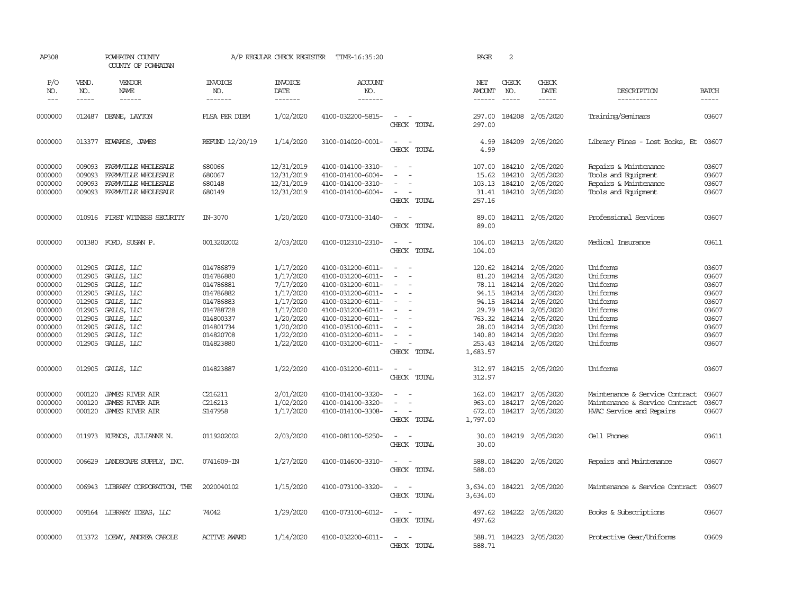| AP308                                                                                                                                                  |                                                                                                                                          | POWHATAN COUNTY<br>COUNTY OF POWHATAN                                                                                                                                                                                                |                                                                                                                                                                              | A/P REGULAR CHECK REGISTER                                                                                                                                                         | TIME-16:35:20                                                                                                                                                                                                                                                                                      |                                                                                                                                                                                                     | PAGE                                                                                                                                               | 2                          |                                                                                                                                                                                                                                                                                    |                                                                                                                                                                                                                                  |                                                                                                                            |
|--------------------------------------------------------------------------------------------------------------------------------------------------------|------------------------------------------------------------------------------------------------------------------------------------------|--------------------------------------------------------------------------------------------------------------------------------------------------------------------------------------------------------------------------------------|------------------------------------------------------------------------------------------------------------------------------------------------------------------------------|------------------------------------------------------------------------------------------------------------------------------------------------------------------------------------|----------------------------------------------------------------------------------------------------------------------------------------------------------------------------------------------------------------------------------------------------------------------------------------------------|-----------------------------------------------------------------------------------------------------------------------------------------------------------------------------------------------------|----------------------------------------------------------------------------------------------------------------------------------------------------|----------------------------|------------------------------------------------------------------------------------------------------------------------------------------------------------------------------------------------------------------------------------------------------------------------------------|----------------------------------------------------------------------------------------------------------------------------------------------------------------------------------------------------------------------------------|----------------------------------------------------------------------------------------------------------------------------|
| P/O<br>NO.                                                                                                                                             | VEND.<br>NO.                                                                                                                             | VENDOR<br>NAME                                                                                                                                                                                                                       | <b>INVOICE</b><br>NO.                                                                                                                                                        | <b>INVOICE</b><br>DATE                                                                                                                                                             | <b>ACCOUNT</b><br>NO.                                                                                                                                                                                                                                                                              |                                                                                                                                                                                                     | NET<br><b>AMOUNT</b>                                                                                                                               | CHECK<br>NO.               | CHECK<br>DATE                                                                                                                                                                                                                                                                      | DESCRIPTION                                                                                                                                                                                                                      | <b>BATCH</b>                                                                                                               |
| $---$                                                                                                                                                  | $- - - - -$                                                                                                                              | $- - - - - -$                                                                                                                                                                                                                        | -------                                                                                                                                                                      | --------                                                                                                                                                                           | --------                                                                                                                                                                                                                                                                                           |                                                                                                                                                                                                     | $- - - - - -$                                                                                                                                      | $\frac{1}{2}$              | $- - - - -$                                                                                                                                                                                                                                                                        | -----------                                                                                                                                                                                                                      | -----                                                                                                                      |
| 0000000                                                                                                                                                | 012487                                                                                                                                   | DEANE, LAYTON                                                                                                                                                                                                                        | FLSA PER DIEM                                                                                                                                                                | 1/02/2020                                                                                                                                                                          | 4100-032200-5815-                                                                                                                                                                                                                                                                                  | $\overline{\phantom{a}}$<br>$\sim$<br>CHECK TOTAL                                                                                                                                                   | 297.00<br>297.00                                                                                                                                   |                            | 184208 2/05/2020                                                                                                                                                                                                                                                                   | Training/Seminars                                                                                                                                                                                                                | 03607                                                                                                                      |
| 0000000                                                                                                                                                |                                                                                                                                          | 013377 EDWARDS, JAMES                                                                                                                                                                                                                | REFUND 12/20/19                                                                                                                                                              | 1/14/2020                                                                                                                                                                          | 3100-014020-0001-                                                                                                                                                                                                                                                                                  | $\sim$<br>$\overline{\phantom{a}}$<br>CHECK TOTAL                                                                                                                                                   | 4.99<br>4.99                                                                                                                                       |                            | 184209 2/05/2020                                                                                                                                                                                                                                                                   | Library Fines - Lost Books, Et 03607                                                                                                                                                                                             |                                                                                                                            |
| 0000000<br>0000000<br>0000000<br>0000000                                                                                                               | 009093<br>009093<br>009093<br>009093                                                                                                     | FARMVILLE WHOLESALE<br>FARMVILLE WHOLESALE<br>FARMVILLE WHOLESALE<br>FARMVILLE WHOLESALE                                                                                                                                             | 680066<br>680067<br>680148<br>680149                                                                                                                                         | 12/31/2019<br>12/31/2019<br>12/31/2019<br>12/31/2019                                                                                                                               | 4100-014100-3310-<br>4100-014100-6004-<br>4100-014100-3310-<br>4100-014100-6004-                                                                                                                                                                                                                   | $\equiv$<br>$\equiv$<br>$\sim$<br>$\equiv$<br>$\sim$<br>$\sim$<br>CHECK TOTAL                                                                                                                       | 107.00<br>15.62<br>103.13<br>31.41<br>257.16                                                                                                       | 184210<br>184210<br>184210 | 2/05/2020<br>2/05/2020<br>2/05/2020<br>184210 2/05/2020                                                                                                                                                                                                                            | Repairs & Maintenance<br>Tools and Equipment<br>Repairs & Maintenance<br>Tools and Equipment                                                                                                                                     | 03607<br>03607<br>03607<br>03607                                                                                           |
| 0000000                                                                                                                                                | 010916                                                                                                                                   | FIRST WITNESS SECURITY                                                                                                                                                                                                               | IN-3070                                                                                                                                                                      | 1/20/2020                                                                                                                                                                          | 4100-073100-3140-                                                                                                                                                                                                                                                                                  | $\overline{\phantom{a}}$<br>- -<br>CHECK TOTAL                                                                                                                                                      | 89.00<br>89.00                                                                                                                                     |                            | 184211 2/05/2020                                                                                                                                                                                                                                                                   | Professional Services                                                                                                                                                                                                            | 03607                                                                                                                      |
| 0000000                                                                                                                                                | 001380                                                                                                                                   | FORD, SUSAN P.                                                                                                                                                                                                                       | 0013202002                                                                                                                                                                   | 2/03/2020                                                                                                                                                                          | 4100-012310-2310-                                                                                                                                                                                                                                                                                  | $\overline{\phantom{a}}$<br>$\sim$<br>CHECK TOTAL                                                                                                                                                   | 104.00<br>104.00                                                                                                                                   |                            | 184213 2/05/2020                                                                                                                                                                                                                                                                   | Medical Insurance                                                                                                                                                                                                                | 03611                                                                                                                      |
| 0000000<br>0000000<br>0000000<br>0000000<br>0000000<br>0000000<br>0000000<br>0000000<br>0000000<br>0000000<br>0000000<br>0000000<br>0000000<br>0000000 | 012905<br>012905<br>012905<br>012905<br>012905<br>012905<br>012905<br>012905<br>012905<br>012905<br>012905<br>000120<br>000120<br>000120 | GALLS, LLC<br>GALLS, LLC<br>GALLS, LLC<br>GALLS, LLC<br>GALLS, LLC<br>GALLS, LLC<br>GALLS, LLC<br>GALLS, LLC<br>GALLS, LLC<br>GALLS, LLC<br>GALLS, LLC<br><b>JAMES RIVER AIR</b><br><b>JAMES RIVER AIR</b><br><b>JAMES RIVER AIR</b> | 014786879<br>014786880<br>014786881<br>014786882<br>014786883<br>014788728<br>014800337<br>014801734<br>014820708<br>014823880<br>014823887<br>C216211<br>C216213<br>S147958 | 1/17/2020<br>1/17/2020<br>7/17/2020<br>1/17/2020<br>1/17/2020<br>1/17/2020<br>1/20/2020<br>1/20/2020<br>1/22/2020<br>1/22/2020<br>1/22/2020<br>2/01/2020<br>1/02/2020<br>1/17/2020 | 4100-031200-6011-<br>4100-031200-6011-<br>4100-031200-6011-<br>4100-031200-6011-<br>4100-031200-6011-<br>4100-031200-6011-<br>4100-031200-6011-<br>4100-035100-6011-<br>4100-031200-6011-<br>4100-031200-6011-<br>4100-031200-6011-<br>4100-014100-3320-<br>4100-014100-3320-<br>4100-014100-3308- | $\sim$<br>$\equiv$<br>$\equiv$<br>$\sim$<br>$\equiv$<br>$\sim$<br>$\sim$<br>$\sim$<br>CHECK TOTAL<br>$\overline{\phantom{a}}$<br>$\sim$<br>CHECK TOTAL<br>$\sim$<br>$\sim$<br>$\sim$<br>CHECK TOTAL | 120.62<br>81.20<br>94.15<br>29.79<br>763.32<br>28.00<br>140.80<br>253.43<br>1,683.57<br>312.97<br>312.97<br>162.00<br>963.00<br>672.00<br>1,797.00 | 184214<br>184217           | 184214 2/05/2020<br>184214 2/05/2020<br>78.11 184214 2/05/2020<br>94.15 184214 2/05/2020<br>184214 2/05/2020<br>2/05/2020<br>184214 2/05/2020<br>184214 2/05/2020<br>184214 2/05/2020<br>184214 2/05/2020<br>184215 2/05/2020<br>184217 2/05/2020<br>2/05/2020<br>184217 2/05/2020 | Uniforms<br>Uniforms<br>Uniforms<br>Uniforms<br>Uniforms<br>Uniforms<br>Uniforms<br>Uniforms<br>Uniforms<br>Uniforms<br>Uniforms<br>Maintenance & Service Contract<br>Maintenance & Service Contract<br>HVAC Service and Repairs | 03607<br>03607<br>03607<br>03607<br>03607<br>03607<br>03607<br>03607<br>03607<br>03607<br>03607<br>03607<br>03607<br>03607 |
| 0000000                                                                                                                                                | 011973                                                                                                                                   | KURNOS, JULIANNE N.                                                                                                                                                                                                                  | 0119202002                                                                                                                                                                   | 2/03/2020                                                                                                                                                                          | 4100-081100-5250-                                                                                                                                                                                                                                                                                  | $\sim$<br>CHECK TOTAL                                                                                                                                                                               | 30.00<br>30.00                                                                                                                                     |                            | 184219 2/05/2020                                                                                                                                                                                                                                                                   | Cell Phones                                                                                                                                                                                                                      | 03611                                                                                                                      |
| 0000000                                                                                                                                                | 006629                                                                                                                                   | LANDSCAPE SUPPLY, INC.                                                                                                                                                                                                               | 0741609-IN                                                                                                                                                                   | 1/27/2020                                                                                                                                                                          | 4100-014600-3310-                                                                                                                                                                                                                                                                                  | $\sim$<br>CHECK TOTAL                                                                                                                                                                               | 588.00<br>588.00                                                                                                                                   |                            | 184220 2/05/2020                                                                                                                                                                                                                                                                   | Repairs and Maintenance                                                                                                                                                                                                          | 03607                                                                                                                      |
| 0000000                                                                                                                                                |                                                                                                                                          | 006943 LIBRARY CORPORATION, THE                                                                                                                                                                                                      | 2020040102                                                                                                                                                                   | 1/15/2020                                                                                                                                                                          | 4100-073100-3320-                                                                                                                                                                                                                                                                                  | $\sim$<br>$\sim$<br>CHECK TOTAL                                                                                                                                                                     | 3,634.00<br>3,634.00                                                                                                                               |                            | 184221 2/05/2020                                                                                                                                                                                                                                                                   | Maintenance & Service Contract                                                                                                                                                                                                   | 03607                                                                                                                      |
| 0000000                                                                                                                                                |                                                                                                                                          | 009164 LIBRARY IDEAS, LLC                                                                                                                                                                                                            | 74042                                                                                                                                                                        | 1/29/2020                                                                                                                                                                          | 4100-073100-6012-                                                                                                                                                                                                                                                                                  | $\overline{\phantom{a}}$<br>$\sim$<br>CHECK TOTAL                                                                                                                                                   | 497.62<br>497.62                                                                                                                                   |                            | 184222 2/05/2020                                                                                                                                                                                                                                                                   | Books & Subscriptions                                                                                                                                                                                                            | 03607                                                                                                                      |
| 0000000                                                                                                                                                |                                                                                                                                          | 013372 LOEWY, ANDREA CAROLE                                                                                                                                                                                                          | <b>ACTIVE AWARD</b>                                                                                                                                                          | 1/14/2020                                                                                                                                                                          | 4100-032200-6011-                                                                                                                                                                                                                                                                                  | $\overline{\phantom{a}}$<br>$\sim$<br>CHECK TOTAL                                                                                                                                                   | 588.71                                                                                                                                             |                            | 588.71 184223 2/05/2020                                                                                                                                                                                                                                                            | Protective Gear/Uniforms                                                                                                                                                                                                         | 03609                                                                                                                      |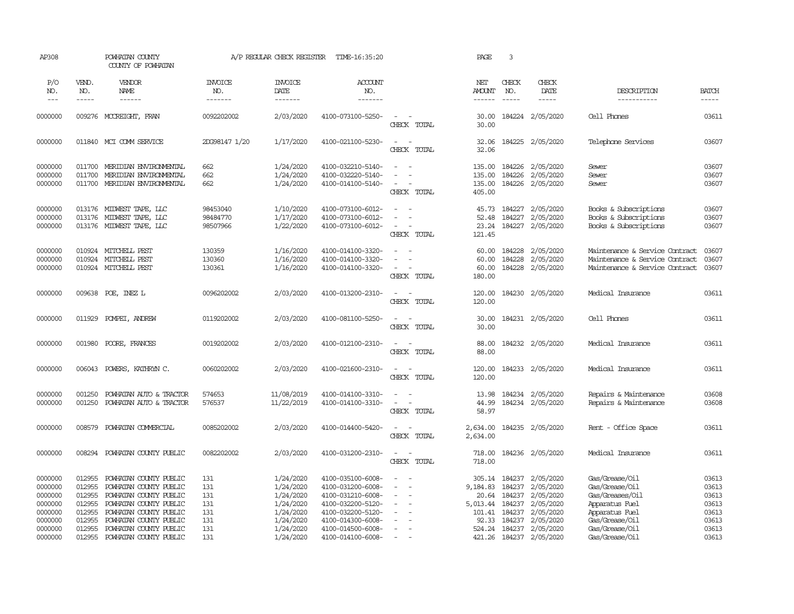| AP308                                                          |                                                          | POWHATAN COUNTY<br>COUNTY OF POWHATAN                                                                                                                    |                                        | A/P REGULAR CHECK REGISTER                                                 | TIME-16:35:20                                                                                                              |                                                       | PAGE                                                       | 3                                                        |                                                                            |                                                                                                           |                                                    |
|----------------------------------------------------------------|----------------------------------------------------------|----------------------------------------------------------------------------------------------------------------------------------------------------------|----------------------------------------|----------------------------------------------------------------------------|----------------------------------------------------------------------------------------------------------------------------|-------------------------------------------------------|------------------------------------------------------------|----------------------------------------------------------|----------------------------------------------------------------------------|-----------------------------------------------------------------------------------------------------------|----------------------------------------------------|
| P/O<br>NO.<br>$- - -$                                          | VEND.<br>NO.<br>-----                                    | VENDOR<br>NAME<br>$- - - - - -$                                                                                                                          | <b>INVOICE</b><br>NO.<br>-------       | <b>INVOICE</b><br>DATE<br>-------                                          | <b>ACCOUNT</b><br>NO.<br>-------                                                                                           |                                                       | NET<br><b>AMOUNT</b><br>------                             | CHECK<br>NO.<br>$- - - - -$                              | CHECK<br>DATE<br>-----                                                     | DESCRIPTION<br>-----------                                                                                | <b>BATCH</b><br>$- - - - -$                        |
| 0000000                                                        |                                                          | 009276 MCCREIGHT, FRAN                                                                                                                                   | 0092202002                             | 2/03/2020                                                                  | 4100-073100-5250-                                                                                                          | $\sim$<br>CHECK TOTAL                                 | 30.00<br>30.00                                             |                                                          | 184224 2/05/2020                                                           | Cell Phones                                                                                               | 03611                                              |
| 0000000                                                        |                                                          | 011840 MCI COMM SERVICE                                                                                                                                  | 2DG98147 1/20                          | 1/17/2020                                                                  | 4100-021100-5230-                                                                                                          | $\overline{\phantom{a}}$<br>$\sim$<br>CHECK TOTAL     | 32.06<br>32.06                                             |                                                          | 184225 2/05/2020                                                           | Telephone Services                                                                                        | 03607                                              |
| 0000000<br>0000000<br>0000000                                  | 011700<br>011700<br>011700                               | MERIDIAN ENVIRONMENTAL<br>MERIDIAN ENVIRONMENTAL<br>MERIDIAN ENVIRONMENTAL                                                                               | 662<br>662<br>662                      | 1/24/2020<br>1/24/2020<br>1/24/2020                                        | 4100-032210-5140-<br>4100-032220-5140-<br>4100-014100-5140-                                                                | $\sim$<br>$\sim$<br>$\sim$<br>CHECK TOTAL             | 135.00<br>135.00<br>405.00                                 | 135.00 184226<br>184226                                  | 2/05/2020<br>2/05/2020<br>184226 2/05/2020                                 | Sewer<br>Sewer<br>Sewer                                                                                   | 03607<br>03607<br>03607                            |
| 0000000<br>0000000<br>0000000                                  | 013176                                                   | 013176 MIDWEST TAPE, LLC<br>MIDWEST TAPE, LLC<br>013176 MIDWEST TAPE, LLC                                                                                | 98453040<br>98484770<br>98507966       | 1/10/2020<br>1/17/2020<br>1/22/2020                                        | 4100-073100-6012-<br>4100-073100-6012-<br>4100-073100-6012-                                                                | $\sim$<br>CHECK TOTAL                                 | 45.73<br>52.48<br>23.24<br>121.45                          | 184227<br>184227                                         | 2/05/2020<br>2/05/2020<br>184227 2/05/2020                                 | Books & Subscriptions<br>Books & Subscriptions<br>Books & Subscriptions                                   | 03607<br>03607<br>03607                            |
| 0000000<br>0000000<br>0000000                                  | 010924<br>010924<br>010924                               | MITCHELL PEST<br>MITCHELL PEST<br>MITCHELL PEST                                                                                                          | 130359<br>130360<br>130361             | 1/16/2020<br>1/16/2020<br>1/16/2020                                        | 4100-014100-3320-<br>4100-014100-3320-<br>4100-014100-3320-                                                                | $\equiv$<br>$\sim$<br>$\sim$<br>$\sim$<br>CHECK TOTAL | 60.00<br>60.00<br>60.00<br>180.00                          | 184228<br>184228                                         | 2/05/2020<br>2/05/2020<br>184228 2/05/2020                                 | Maintenance & Service Contract<br>Maintenance & Service Contract<br>Maintenance & Service Contract        | 03607<br>03607<br>03607                            |
| 0000000                                                        | 009638                                                   | POE, INEZ L                                                                                                                                              | 0096202002                             | 2/03/2020                                                                  | 4100-013200-2310-                                                                                                          | $\sim$<br>$\sim$<br>CHECK TOTAL                       | 120.00<br>120.00                                           | 184230                                                   | 2/05/2020                                                                  | Medical Insurance                                                                                         | 03611                                              |
| 0000000                                                        | 011929                                                   | POMPEI, ANDREW                                                                                                                                           | 0119202002                             | 2/03/2020                                                                  | 4100-081100-5250-                                                                                                          | $\sim$<br>$\sim$<br>CHECK TOTAL                       | 30.00<br>30.00                                             |                                                          | 184231 2/05/2020                                                           | Cell Phones                                                                                               | 03611                                              |
| 0000000                                                        | 001980                                                   | POORE, FRANCES                                                                                                                                           | 0019202002                             | 2/03/2020                                                                  | 4100-012100-2310-                                                                                                          | $\sim$<br>$\sim$<br>CHECK TOTAL                       | 88.00<br>88.00                                             |                                                          | 184232 2/05/2020                                                           | Medical Insurance                                                                                         | 03611                                              |
| 0000000                                                        | 006043                                                   | POWERS, KATHRYN C.                                                                                                                                       | 0060202002                             | 2/03/2020                                                                  | 4100-021600-2310-                                                                                                          | $\overline{\phantom{a}}$<br>$\sim$<br>CHECK TOTAL     | 120.00<br>120.00                                           |                                                          | 184233 2/05/2020                                                           | Medical Insurance                                                                                         | 03611                                              |
| 0000000<br>0000000                                             | 001250<br>001250                                         | POWHATAN AUTO & TRACTOR<br>POWHATAN AUTO & TRACTOR                                                                                                       | 574653<br>576537                       | 11/08/2019<br>11/22/2019                                                   | 4100-014100-3310-<br>4100-014100-3310-                                                                                     | $\equiv$<br>$\sim$<br>$\sim$<br>CHECK TOTAL           | 13.98<br>44.99<br>58.97                                    | 184234<br>184234                                         | 2/05/2020<br>2/05/2020                                                     | Repairs & Maintenance<br>Repairs & Maintenance                                                            | 03608<br>03608                                     |
| 0000000                                                        | 008579                                                   | POWHATAN COMMERCIAL                                                                                                                                      | 0085202002                             | 2/03/2020                                                                  | 4100-014400-5420-                                                                                                          | $\sim$<br>$\sim$<br>CHECK TOTAL                       | 2,634.00<br>2,634.00                                       |                                                          | 184235 2/05/2020                                                           | Rent - Office Space                                                                                       | 03611                                              |
| 0000000                                                        | 008294                                                   | POWHATAN COUNTY PUBLIC                                                                                                                                   | 0082202002                             | 2/03/2020                                                                  | 4100-031200-2310-                                                                                                          | $\sim$<br>$\sim$<br>CHECK TOTAL                       | 718.00<br>718.00                                           |                                                          | 184236 2/05/2020                                                           | Medical Insurance                                                                                         | 03611                                              |
| 0000000<br>0000000<br>0000000<br>0000000<br>0000000<br>0000000 | 012955<br>012955<br>012955<br>012955<br>012955<br>012955 | POWHATAN COUNTY PUBLIC<br>POWHATAN COUNTY PUBLIC<br>POWHATAN COUNTY PUBLIC<br>POWHATAN COUNTY PUBLIC<br>POWHATAN COUNTY PUBLIC<br>POWHATAN COUNTY PUBLIC | 131<br>131<br>131<br>131<br>131<br>131 | 1/24/2020<br>1/24/2020<br>1/24/2020<br>1/24/2020<br>1/24/2020<br>1/24/2020 | 4100-035100-6008-<br>4100-031200-6008-<br>4100-031210-6008-<br>4100-032200-5120-<br>4100-032200-5120-<br>4100-014300-6008- | $\equiv$<br>$\sim$<br>$\sim$<br>$\sim$                | 305.14<br>9,184.83<br>20.64<br>5,013.44<br>101.41<br>92.33 | 184237<br>184237<br>184237<br>184237<br>184237<br>184237 | 2/05/2020<br>2/05/2020<br>2/05/2020<br>2/05/2020<br>2/05/2020<br>2/05/2020 | Gas/Grease/Oil<br>Gas/Grease/Oil<br>Gas/Greases/Oil<br>Apparatus Fuel<br>Apparatus Fuel<br>Gas/Grease/Oil | 03613<br>03613<br>03613<br>03613<br>03613<br>03613 |
| 0000000<br>0000000                                             | 012955<br>012955                                         | POWHATAN COUNTY PUBLIC<br>POWHATAN COUNTY PUBLIC                                                                                                         | 131<br>131                             | 1/24/2020<br>1/24/2020                                                     | 4100-014500-6008-<br>4100-014100-6008-                                                                                     | $\equiv$<br>$\sim$                                    | 524.24                                                     | 184237                                                   | 2/05/2020<br>421.26 184237 2/05/2020                                       | Gas/Grease/Oil<br>Gas/Grease/Oil                                                                          | 03613<br>03613                                     |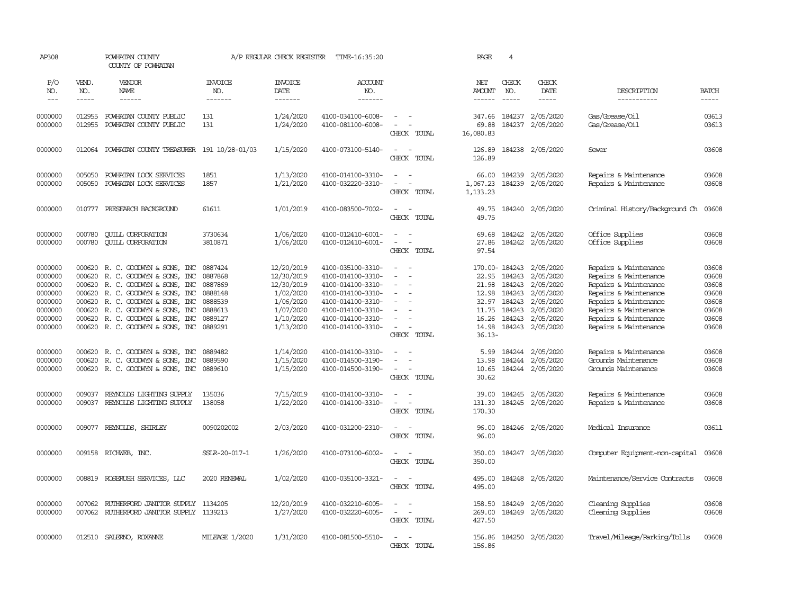| AP308                                                                                |                                      | POWHATAN COUNTY<br>COUNTY OF POWHATAN                                                                                                                                                                                                                          |                                                                                      | A/P REGULAR CHECK REGISTER                                                                              | TIME-16:35:20                                                                                                                                                        |                                                                                                                               | PAGE                                                            | $\overline{4}$                                                                  |                                                                                                             |                                                                                                                                                                                                      |                                                                      |
|--------------------------------------------------------------------------------------|--------------------------------------|----------------------------------------------------------------------------------------------------------------------------------------------------------------------------------------------------------------------------------------------------------------|--------------------------------------------------------------------------------------|---------------------------------------------------------------------------------------------------------|----------------------------------------------------------------------------------------------------------------------------------------------------------------------|-------------------------------------------------------------------------------------------------------------------------------|-----------------------------------------------------------------|---------------------------------------------------------------------------------|-------------------------------------------------------------------------------------------------------------|------------------------------------------------------------------------------------------------------------------------------------------------------------------------------------------------------|----------------------------------------------------------------------|
| P/O<br>NO.                                                                           | VEND.<br>NO.                         | VENDOR<br>NAME                                                                                                                                                                                                                                                 | <b>INVOICE</b><br>NO.                                                                | <b>INVOICE</b><br>DATE                                                                                  | ACCOUNT<br>NO.                                                                                                                                                       |                                                                                                                               | NET<br><b>AMOUNT</b>                                            | CHECK<br>NO.                                                                    | CHECK<br>DATE                                                                                               | DESCRIPTION                                                                                                                                                                                          | <b>BATCH</b>                                                         |
| $---$                                                                                | $- - - - -$                          | ------                                                                                                                                                                                                                                                         | -------                                                                              | $- - - - - - -$                                                                                         | --------                                                                                                                                                             |                                                                                                                               | $- - - - - -$                                                   | $\frac{1}{2}$                                                                   | $- - - - -$                                                                                                 | -----------                                                                                                                                                                                          | -----                                                                |
| 0000000<br>0000000                                                                   | 012955<br>012955                     | POWHATAN COUNTY PUBLIC<br>POWHATAN COUNTY PUBLIC                                                                                                                                                                                                               | 131<br>131                                                                           | 1/24/2020<br>1/24/2020                                                                                  | 4100-034100-6008-<br>4100-081100-6008-                                                                                                                               | $\overline{\phantom{a}}$<br>CHECK TOTAL                                                                                       | 347.66<br>69.88<br>16,080.83                                    | 184237<br>184237                                                                | 2/05/2020<br>2/05/2020                                                                                      | Gas/Grease/Oil<br>Gas/Grease/Oil                                                                                                                                                                     | 03613<br>03613                                                       |
| 0000000                                                                              | 012064                               | POWHATAN COUNTY TREASURER 191 10/28-01/03                                                                                                                                                                                                                      |                                                                                      | 1/15/2020                                                                                               | 4100-073100-5140-                                                                                                                                                    | $\overline{\phantom{a}}$<br>$\sim$ $-$<br>CHECK TOTAL                                                                         | 126.89<br>126.89                                                |                                                                                 | 184238 2/05/2020                                                                                            | Sewer                                                                                                                                                                                                | 03608                                                                |
| 0000000<br>0000000                                                                   | 005050<br>005050                     | POWHATAN LOCK SERVICES<br>POWHATAN LOCK SERVICES                                                                                                                                                                                                               | 1851<br>1857                                                                         | 1/13/2020<br>1/21/2020                                                                                  | 4100-014100-3310-<br>4100-032220-3310-                                                                                                                               | $\blacksquare$<br>$\sim$<br>$\sim$<br>CHECK TOTAL                                                                             | 66.00<br>1,067.23<br>1,133.23                                   | 184239<br>184239                                                                | 2/05/2020<br>2/05/2020                                                                                      | Repairs & Maintenance<br>Repairs & Maintenance                                                                                                                                                       | 03608<br>03608                                                       |
| 0000000                                                                              |                                      | 010777 PRESEARCH BACKGROUND                                                                                                                                                                                                                                    | 61611                                                                                | 1/01/2019                                                                                               | 4100-083500-7002-                                                                                                                                                    | $\sim$<br>$\sim$<br>CHECK TOTAL                                                                                               | 49.75<br>49.75                                                  |                                                                                 | 184240 2/05/2020                                                                                            | Criminal History/Background Ch                                                                                                                                                                       | 03608                                                                |
| 0000000<br>0000000                                                                   | 000780<br>000780                     | <b>CUILL CORPORATION</b><br><b>QUILL CORPORATION</b>                                                                                                                                                                                                           | 3730634<br>3810871                                                                   | 1/06/2020<br>1/06/2020                                                                                  | 4100-012410-6001-<br>4100-012410-6001-                                                                                                                               | $\sim$<br>$\sim$<br>$\overline{a}$<br>$\overline{\phantom{a}}$<br>CHECK TOTAL                                                 | 69.68<br>27.86<br>97.54                                         |                                                                                 | 184242 2/05/2020<br>184242 2/05/2020                                                                        | Office Supplies<br>Office Supplies                                                                                                                                                                   | 03608<br>03608                                                       |
| 0000000<br>0000000<br>0000000<br>0000000<br>0000000<br>0000000<br>0000000<br>0000000 | 000620<br>000620<br>000620<br>000620 | 000620 R.C. GOODWIN & SONS, INC<br>R. C. GOODWIN & SONS, INC<br>000620 R. C. GOODWIN & SONS, INC<br>R. C. GOODWIN & SONS, INC<br>R. C. GOODWYN & SONS, INC<br>R. C. GOODWYN & SONS, INC<br>000620 R.C. GOODWYN & SONS, INC<br>000620 R. C. GOODWIN & SONS, INC | 0887424<br>0887868<br>0887869<br>0888148<br>0888539<br>0888613<br>0889127<br>0889291 | 12/20/2019<br>12/30/2019<br>12/30/2019<br>1/02/2020<br>1/06/2020<br>1/07/2020<br>1/10/2020<br>1/13/2020 | 4100-035100-3310-<br>4100-014100-3310-<br>4100-014100-3310-<br>4100-014100-3310-<br>4100-014100-3310-<br>4100-014100-3310-<br>4100-014100-3310-<br>4100-014100-3310- | $\sim$<br>$\sim$<br>$\sim$<br>$\overline{\phantom{a}}$<br>$\overline{\phantom{a}}$<br>$\overline{\phantom{a}}$<br>CHECK TOTAL | 22.95<br>21.98<br>12.98<br>11.75<br>16.26<br>14.98<br>$36.13 -$ | 170.00-184243<br>184243<br>184243<br>184243<br>32.97 184243<br>184243<br>184243 | 2/05/2020<br>2/05/2020<br>2/05/2020<br>2/05/2020<br>2/05/2020<br>2/05/2020<br>2/05/2020<br>184243 2/05/2020 | Repairs & Maintenance<br>Repairs & Maintenance<br>Repairs & Maintenance<br>Repairs & Maintenance<br>Repairs & Maintenance<br>Repairs & Maintenance<br>Repairs & Maintenance<br>Repairs & Maintenance | 03608<br>03608<br>03608<br>03608<br>03608<br>03608<br>03608<br>03608 |
| 0000000<br>0000000<br>0000000                                                        | 000620                               | 000620 R. C. GOODWYN & SONS, INC<br>R. C. GOODWIN & SONS, INC<br>000620 R. C. GOODWIN & SONS, INC                                                                                                                                                              | 0889482<br>0889590<br>0889610                                                        | 1/14/2020<br>1/15/2020<br>1/15/2020                                                                     | 4100-014100-3310-<br>4100-014500-3190-<br>4100-014500-3190-                                                                                                          | $\overline{\phantom{a}}$<br>$\sim$<br>÷,<br>$\overline{\phantom{a}}$<br>$\sim$<br>CHECK TOTAL                                 | 5.99<br>13.98<br>10.65<br>30.62                                 | 184244                                                                          | 184244 2/05/2020<br>2/05/2020<br>184244 2/05/2020                                                           | Repairs & Maintenance<br>Grounds Maintenance<br>Grounds Maintenance                                                                                                                                  | 03608<br>03608<br>03608                                              |
| 0000000<br>0000000                                                                   | 009037<br>009037                     | REYNOLDS LIGHTING SUPPLY<br>REYNOLDS LIGHTING SUPPLY                                                                                                                                                                                                           | 135036<br>138058                                                                     | 7/15/2019<br>1/22/2020                                                                                  | 4100-014100-3310-<br>4100-014100-3310-                                                                                                                               | $\equiv$<br>$\sim$<br>$\sim$<br>$\sim$<br>CHECK TOTAL                                                                         | 39.00<br>131.30<br>170.30                                       | 184245                                                                          | 184245 2/05/2020<br>2/05/2020                                                                               | Repairs & Maintenance<br>Repairs & Maintenance                                                                                                                                                       | 03608<br>03608                                                       |
| 0000000                                                                              | 009077                               | REYNOLDS, SHIRLEY                                                                                                                                                                                                                                              | 0090202002                                                                           | 2/03/2020                                                                                               | 4100-031200-2310-                                                                                                                                                    | $\overline{\phantom{a}}$<br>- -<br>CHECK TOTAL                                                                                | 96.00<br>96.00                                                  |                                                                                 | 184246 2/05/2020                                                                                            | Medical Insurance                                                                                                                                                                                    | 03611                                                                |
| 0000000                                                                              |                                      | 009158 RICHWEB, INC.                                                                                                                                                                                                                                           | SSIR-20-017-1                                                                        | 1/26/2020                                                                                               | 4100-073100-6002-                                                                                                                                                    | $\sim$<br>$\overline{\phantom{a}}$<br>CHECK TOTAL                                                                             | 350.00<br>350.00                                                |                                                                                 | 184247 2/05/2020                                                                                            | Computer Equipment-non-capital                                                                                                                                                                       | 03608                                                                |
| 0000000                                                                              | 008819                               | ROSERUSH SERVICES, LLC                                                                                                                                                                                                                                         | 2020 RENEWAL                                                                         | 1/02/2020                                                                                               | 4100-035100-3321-                                                                                                                                                    | $\sim$<br>$\sim$<br>CHECK TOTAL                                                                                               | 495.00<br>495.00                                                |                                                                                 | 184248 2/05/2020                                                                                            | Maintenance/Service Contracts                                                                                                                                                                        | 03608                                                                |
| 0000000<br>0000000                                                                   | 007062                               | RUTHERFORD JANITOR SUPPLY<br>007062 RUIHERFORD JANITOR SUPPLY 1139213                                                                                                                                                                                          | 1134205                                                                              | 12/20/2019<br>1/27/2020                                                                                 | 4100-032210-6005-<br>4100-032220-6005-                                                                                                                               | $\overline{\phantom{a}}$<br>$\sim$<br>$\sim$<br>CHECK TOTAL                                                                   | 158.50<br>269.00<br>427.50                                      | 184249                                                                          | 2/05/2020<br>184249 2/05/2020                                                                               | Cleaning Supplies<br>Cleaning Supplies                                                                                                                                                               | 03608<br>03608                                                       |
| 0000000                                                                              |                                      | 012510 SALERNO, ROXANNE                                                                                                                                                                                                                                        | MILEAGE 1/2020                                                                       | 1/31/2020                                                                                               | 4100-081500-5510-                                                                                                                                                    | $\sim$<br>$\sim$<br>CHECK TOTAL                                                                                               | 156.86<br>156.86                                                |                                                                                 | 184250 2/05/2020                                                                                            | Travel/Mileage/Parking/Tolls                                                                                                                                                                         | 03608                                                                |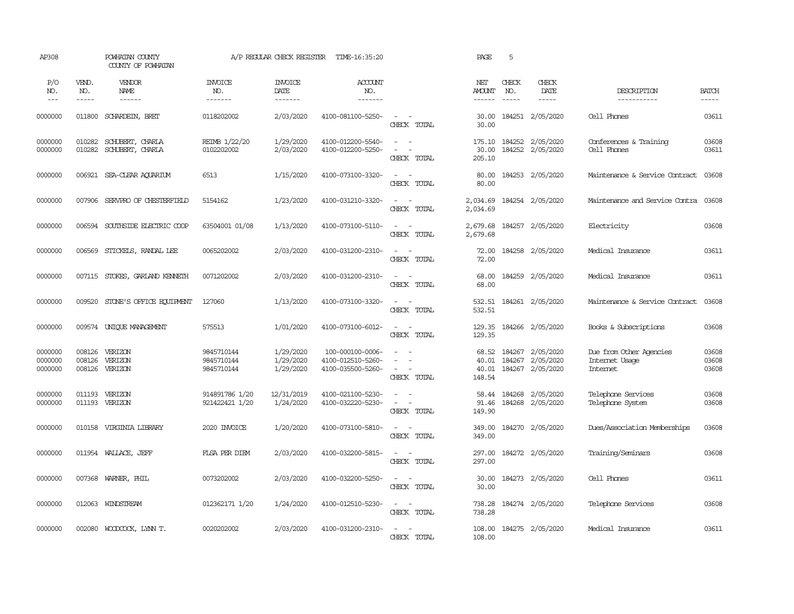| AP308                         |                               | POWHATAN COUNTY<br>COUNTY OF POWHATAN |                                        | A/P REGULAR CHECK REGISTER          | TIME-16:35:20                                              |                                                                                                                             | PAGE                              | 5                           |                                                   |                                                       |                         |
|-------------------------------|-------------------------------|---------------------------------------|----------------------------------------|-------------------------------------|------------------------------------------------------------|-----------------------------------------------------------------------------------------------------------------------------|-----------------------------------|-----------------------------|---------------------------------------------------|-------------------------------------------------------|-------------------------|
| P/O<br>NO.<br>$---$           | VEND.<br>NO.<br>$\frac{1}{2}$ | VENDOR<br>NAME                        | <b>INVOICE</b><br>NO.<br>-------       | <b>INVOICE</b><br>DATE<br>--------  | ACCOUNT<br>NO.<br>--------                                 |                                                                                                                             | NET<br>AMOUNT<br>$- - - - - -$    | CHECK<br>NO.<br>$- - - - -$ | CHECK<br>DATE<br>$\frac{1}{2}$                    | DESCRIPTION<br>-----------                            | <b>BATCH</b><br>-----   |
| 0000000                       | 011800                        | SCHARDEIN, BRET                       | 0118202002                             | 2/03/2020                           | 4100-081100-5250-                                          | $\sim$<br>$\sim$<br>CHECK TOTAL                                                                                             | 30.00<br>30.00                    |                             | 184251 2/05/2020                                  | Cell Phones                                           | 03611                   |
| 0000000<br>0000000            | 010282<br>010282              | SCHUBERT, CHARLA<br>SCHUBERT, CHARLA  | REIMB 1/22/20<br>0102202002            | 1/29/2020<br>2/03/2020              | 4100-012200-5540-<br>4100-012200-5250-                     | $\omega_{\rm{max}}$ and $\omega_{\rm{max}}$<br>$\equiv$<br>$\overline{\phantom{a}}$<br>CHECK TOTAL                          | 175.10<br>30.00<br>205.10         | 184252                      | 184252 2/05/2020<br>2/05/2020                     | Conferences & Training<br>Cell Phones                 | 03608<br>03611          |
| 0000000                       | 006921                        | SEA-CLEAR AQUARIUM                    | 6513                                   | 1/15/2020                           | 4100-073100-3320-                                          | $\sim$<br>$\sim$<br>CHECK TOTAL                                                                                             | 80.00<br>80.00                    |                             | 184253 2/05/2020                                  | Maintenance & Service Contract                        | 03608                   |
| 0000000                       | 007906                        | SERVPRO OF CHESTERFIELD               | 5154162                                | 1/23/2020                           | 4100-031210-3320-                                          | $\omega_{\rm{max}}$ and $\omega_{\rm{max}}$<br>CHECK TOTAL                                                                  | 2,034.69<br>2,034.69              |                             | 184254 2/05/2020                                  | Maintenance and Service Contra                        | 03608                   |
| 0000000                       | 006594                        | SOUTHSIDE ELECTRIC COOP               | 63504001 01/08                         | 1/13/2020                           | 4100-073100-5110-                                          | $\sim$ 100 $\sim$<br>CHECK TOTAL                                                                                            | 2,679.68<br>2,679.68              |                             | 184257 2/05/2020                                  | Electricity                                           | 03608                   |
| 0000000                       | 006569                        | STICKELS, RANDAL LEE                  | 0065202002                             | 2/03/2020                           | 4100-031200-2310-                                          | $\sim$ $ \sim$<br>CHECK TOTAL                                                                                               | 72.00<br>72.00                    |                             | 184258 2/05/2020                                  | Medical Insurance                                     | 03611                   |
| 0000000                       | 007115                        | STOKES, GARLAND KENNETH               | 0071202002                             | 2/03/2020                           | 4100-031200-2310-                                          | $\frac{1}{2} \left( \frac{1}{2} \right) \left( \frac{1}{2} \right) = \frac{1}{2} \left( \frac{1}{2} \right)$<br>CHECK TOTAL | 68.00<br>68.00                    |                             | 184259 2/05/2020                                  | Medical Insurance                                     | 03611                   |
| 0000000                       | 009520                        | STONE'S OFFICE EQUIPMENT              | 127060                                 | 1/13/2020                           | 4100-073100-3320-                                          | $\sim$<br>$\sim$<br>CHECK TOTAL                                                                                             | 532.51<br>532.51                  |                             | 184261 2/05/2020                                  | Maintenance & Service Contract                        | 03608                   |
| 0000000                       |                               | 009574 UNIQUE MANAGEMENT              | 575513                                 | 1/01/2020                           | 4100-073100-6012-                                          | $\sim$<br>$\sim$<br>CHECK TOTAL                                                                                             | 129.35<br>129.35                  |                             | 184266 2/05/2020                                  | Books & Subscriptions                                 | 03608                   |
| 0000000<br>0000000<br>0000000 | 008126<br>008126<br>008126    | VERIZON<br>VERIZON<br>VERIZON         | 9845710144<br>9845710144<br>9845710144 | 1/29/2020<br>1/29/2020<br>1/29/2020 | 100-000100-0006-<br>4100-012510-5260-<br>4100-035500-5260- | $\sim$<br>$\sim$<br>$\sim$<br>$\overline{\phantom{a}}$<br>CHECK TOTAL                                                       | 68.52<br>40.01<br>40.01<br>148.54 | 184267                      | 184267 2/05/2020<br>2/05/2020<br>184267 2/05/2020 | Due from Other Agencies<br>Internet Usage<br>Internet | 03608<br>03608<br>03608 |
| 0000000<br>0000000            | 011193<br>011193              | VERIZON<br>VERIZON                    | 914891786 1/20<br>921422421 1/20       | 12/31/2019<br>1/24/2020             | 4100-021100-5230-<br>4100-032220-5230-                     | $\sim$<br>$\overline{\phantom{a}}$<br>$\omega_{\rm{max}}$ and $\omega_{\rm{max}}$<br>CHECK TOTAL                            | 58.44<br>91.46<br>149.90          | 184268                      | 2/05/2020<br>184268 2/05/2020                     | Telephone Services<br>Telephone System                | 03608<br>03608          |
| 0000000                       | 010158                        | VIRGINIA LIBRARY                      | 2020 INVOICE                           | 1/20/2020                           | 4100-073100-5810-                                          | $\sim$ $ \sim$<br>CHECK TOTAL                                                                                               | 349.00<br>349.00                  |                             | 184270 2/05/2020                                  | Dues/Association Memberships                          | 03608                   |
| 0000000                       |                               | 011954 WALLACE, JEFF                  | FLSA PER DIEM                          | 2/03/2020                           | 4100-032200-5815-                                          | $\sim$<br>$\sim$<br>CHECK TOTAL                                                                                             | 297.00<br>297.00                  |                             | 184272 2/05/2020                                  | Training/Seminars                                     | 03608                   |
| 0000000                       | 007368                        | WARNER, PHIL                          | 0073202002                             | 2/03/2020                           | 4100-032200-5250-                                          | $\sim$<br>$\sim$<br>CHECK TOTAL                                                                                             | 30.00<br>30.00                    |                             | 184273 2/05/2020                                  | Cell Phones                                           | 03611                   |
| 0000000                       | 012063                        | WINDSTREAM                            | 012362171 1/20                         | 1/24/2020                           | 4100-012510-5230-                                          | $\sim$ $ -$<br>CHECK TOTAL                                                                                                  | 738.28<br>738.28                  |                             | 184274 2/05/2020                                  | Telephone Services                                    | 03608                   |
| 0000000                       |                               | 002080 WOODCOCK, LYNN T.              | 0020202002                             | 2/03/2020                           | 4100-031200-2310-                                          | $\sim$ $\sim$<br>CHECK TOTAL                                                                                                | 108.00<br>108.00                  |                             | 184275 2/05/2020                                  | Medical Insurance                                     | 03611                   |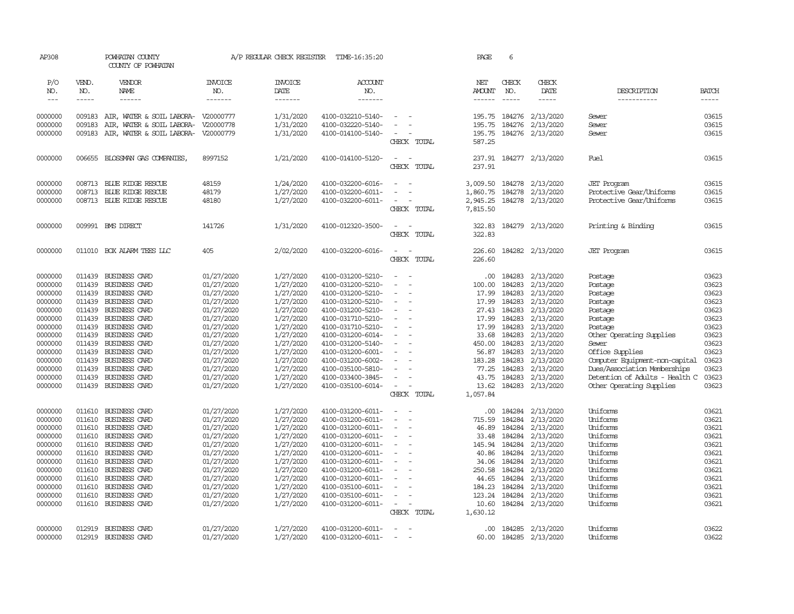| AP308   |        | POWHATAN COUNTY<br>COUNTY OF POWHATAN        |                | A/P REGULAR CHECK REGISTER | TIME-16:35:20     |                                                      | PAGE                  | 6             |                  |                                |              |
|---------|--------|----------------------------------------------|----------------|----------------------------|-------------------|------------------------------------------------------|-----------------------|---------------|------------------|--------------------------------|--------------|
| P/O     | VEND.  | VENDOR                                       | <b>INVOICE</b> | <b>INVOICE</b>             | <b>ACCOUNT</b>    |                                                      | NET                   | CHECK         | CHECK            |                                |              |
| NO.     | NO.    | NAME                                         | NO.            | DATE                       | NO.               |                                                      | AMOUNT                | NO.           | DATE             | DESCRIPTION                    | <b>BATCH</b> |
| $---$   | -----  | $- - - - - -$                                | -------        | --------                   | --------          |                                                      | $- - - - - -$         | $\frac{1}{2}$ | -----            | -----------                    | $- - - - -$  |
| 0000000 | 009183 | AIR, WATER & SOIL LABORA- V20000777          |                | 1/31/2020                  | 4100-032210-5140- |                                                      | 195.75                | 184276        | 2/13/2020        | Sewer                          | 03615        |
| 0000000 | 009183 | AIR, WATER & SOIL LABORA-                    | V20000778      | 1/31/2020                  | 4100-032220-5140- |                                                      | 195.75                | 184276        | 2/13/2020        | Sewer                          | 03615        |
| 0000000 | 009183 | AIR, WATER & SOIL LABORA- V20000779          |                | 1/31/2020                  | 4100-014100-5140- | $\equiv$                                             | 195.75                |               | 184276 2/13/2020 | Sewer                          | 03615        |
|         |        |                                              |                |                            |                   | CHECK TOTAL                                          | 587.25                |               |                  |                                |              |
|         |        |                                              |                |                            |                   |                                                      |                       |               |                  |                                |              |
| 0000000 | 006655 | BLOSSMAN GAS COMPANIES,                      | 8997152        | 1/21/2020                  | 4100-014100-5120- | $\overline{\phantom{a}}$<br>$\sim$                   | 237.91                |               | 184277 2/13/2020 | Fuel                           | 03615        |
|         |        |                                              |                |                            |                   | CHECK TOTAL                                          | 237.91                |               |                  |                                |              |
| 0000000 |        | 008713 BLUE RIDGE RESCUE                     | 48159          | 1/24/2020                  | 4100-032200-6016- |                                                      | 3,009.50              |               | 184278 2/13/2020 | <b>JET</b> Program             | 03615        |
| 0000000 | 008713 | BLUE RIDGE RESCUE                            | 48179          | 1/27/2020                  | 4100-032200-6011- |                                                      | 1,860.75              | 184278        | 2/13/2020        | Protective Gear/Uniforms       | 03615        |
| 0000000 |        | 008713 BLUE RIDGE RESCUE                     | 48180          | 1/27/2020                  | 4100-032200-6011- | $\sim$                                               | 2,945.25              | 184278        | 2/13/2020        | Protective Gear/Uniforms       | 03615        |
|         |        |                                              |                |                            |                   | CHECK TOTAL                                          | 7,815.50              |               |                  |                                |              |
|         |        |                                              |                |                            |                   |                                                      |                       |               |                  |                                |              |
| 0000000 |        | 009991 BMS DIRECT                            | 141726         | 1/31/2020                  | 4100-012320-3500- | $\overline{\phantom{a}}$<br>$\overline{\phantom{a}}$ | 322.83                |               | 184279 2/13/2020 | Printing & Binding             | 03615        |
|         |        |                                              |                |                            |                   | CHECK TOTAL                                          | 322.83                |               |                  |                                |              |
| 0000000 |        | 011010 BOX ALARM TEES LLC                    | 405            | 2/02/2020                  | 4100-032200-6016- | $\sim$<br>$\sim$                                     | 226.60                |               | 184282 2/13/2020 | <b>JET</b> Program             | 03615        |
|         |        |                                              |                |                            |                   | CHECK TOTAL                                          | 226.60                |               |                  |                                |              |
|         |        |                                              |                |                            |                   |                                                      |                       |               |                  |                                |              |
| 0000000 | 011439 | BUSINESS CARD                                | 01/27/2020     | 1/27/2020                  | 4100-031200-5210- |                                                      | .00                   | 184283        | 2/13/2020        | Postage                        | 03623        |
| 0000000 | 011439 | BUSINESS CARD                                | 01/27/2020     | 1/27/2020                  | 4100-031200-5210- | $\sim$<br>$\sim$                                     | 100.00                | 184283        | 2/13/2020        | Postage                        | 03623        |
| 0000000 | 011439 | BUSINESS CARD                                | 01/27/2020     | 1/27/2020                  | 4100-031200-5210- | $\equiv$                                             | 17.99                 | 184283        | 2/13/2020        | Postage                        | 03623        |
| 0000000 | 011439 | BUSINESS CARD                                | 01/27/2020     | 1/27/2020                  | 4100-031200-5210- |                                                      | 17.99                 | 184283        | 2/13/2020        | Postage                        | 03623        |
| 0000000 | 011439 | BUSINESS CARD                                | 01/27/2020     | 1/27/2020                  | 4100-031200-5210- | $\equiv$                                             | 27.43                 | 184283        | 2/13/2020        | Postage                        | 03623        |
| 0000000 | 011439 | BUSINESS CARD                                | 01/27/2020     | 1/27/2020                  | 4100-031710-5210- | $\sim$                                               | 17.99                 | 184283        | 2/13/2020        | Postage                        | 03623        |
| 0000000 | 011439 | BUSINESS CARD                                | 01/27/2020     | 1/27/2020                  | 4100-031710-5210- | $\sim$                                               | 17.99                 | 184283        | 2/13/2020        | Postage                        | 03623        |
| 0000000 | 011439 | BUSINESS CARD                                | 01/27/2020     | 1/27/2020                  | 4100-031200-6014- |                                                      | 33.68                 | 184283        | 2/13/2020        | Other Operating Supplies       | 03623        |
| 0000000 | 011439 | BUSINESS CARD                                | 01/27/2020     | 1/27/2020                  | 4100-031200-5140- | $\overline{a}$                                       | 450.00                | 184283        | 2/13/2020        | Sewer                          | 03623        |
| 0000000 | 011439 | BUSINESS CARD                                | 01/27/2020     | 1/27/2020                  | 4100-031200-6001- | $\overline{\phantom{a}}$                             | 56.87                 | 184283        | 2/13/2020        | Office Supplies                | 03623        |
| 0000000 | 011439 | BUSINESS CARD                                | 01/27/2020     | 1/27/2020                  | 4100-031200-6002- |                                                      | 183.28                | 184283        | 2/13/2020        | Computer Equipment-non-capital | 03623        |
| 0000000 | 011439 | BUSINESS CARD                                | 01/27/2020     | 1/27/2020                  | 4100-035100-5810- | $\sim$                                               | 77.25                 | 184283        | 2/13/2020        | Dues/Association Memberships   | 03623        |
| 0000000 | 011439 | <b>BUSINESS CARD</b>                         | 01/27/2020     | 1/27/2020                  | 4100-033400-3845- | $\equiv$                                             | 43.75                 | 184283        | 2/13/2020        | Detention of Adults - Health C | 03623        |
| 0000000 |        | 011439 BUSINESS CARD                         | 01/27/2020     | 1/27/2020                  | 4100-035100-6014- | $\sim$<br>$\sim$                                     | 13.62                 |               | 184283 2/13/2020 | Other Operating Supplies       | 03623        |
|         |        |                                              |                |                            |                   | CHECK TOTAL                                          | 1,057.84              |               |                  |                                |              |
| 0000000 | 011610 | BUSINESS CARD                                | 01/27/2020     | 1/27/2020                  | 4100-031200-6011- | $\equiv$                                             | .00                   | 184284        | 2/13/2020        | Uniforms                       | 03621        |
| 0000000 | 011610 | BUSINESS CARD                                | 01/27/2020     | 1/27/2020                  | 4100-031200-6011- |                                                      | 715.59                | 184284        | 2/13/2020        | Uniforms                       | 03621        |
| 0000000 | 011610 | BUSINESS CARD                                | 01/27/2020     | 1/27/2020                  | 4100-031200-6011- | $\sim$                                               | 46.89                 | 184284        | 2/13/2020        | Uniforms                       | 03621        |
| 0000000 | 011610 | BUSINESS CARD                                | 01/27/2020     | 1/27/2020                  | 4100-031200-6011- | $\equiv$                                             | 33.48                 | 184284        | 2/13/2020        | Uniforms                       | 03621        |
| 0000000 | 011610 | BUSINESS CARD                                | 01/27/2020     | 1/27/2020                  | 4100-031200-6011- | $\sim$                                               | 145.94                | 184284        | 2/13/2020        | Uniforms                       | 03621        |
| 0000000 | 011610 | BUSINESS CARD                                | 01/27/2020     | 1/27/2020                  | 4100-031200-6011- | $\blacksquare$                                       | 40.86                 | 184284        | 2/13/2020        | Uniforms                       | 03621        |
| 0000000 | 011610 | BUSINESS CARD                                | 01/27/2020     | 1/27/2020                  | 4100-031200-6011- | $\equiv$                                             | 34.06                 | 184284        | 2/13/2020        | Uniforms                       | 03621        |
| 0000000 | 011610 | BUSINESS CARD                                | 01/27/2020     | 1/27/2020                  | 4100-031200-6011- |                                                      | 250.58                | 184284        | 2/13/2020        | Uniforms                       | 03621        |
| 0000000 | 011610 | BUSINESS CARD                                | 01/27/2020     | 1/27/2020                  | 4100-031200-6011- |                                                      | 44.65                 | 184284        | 2/13/2020        | Uniforms                       | 03621        |
| 0000000 | 011610 | BUSINESS CARD                                | 01/27/2020     | 1/27/2020                  | 4100-035100-6011- | $\overline{\phantom{a}}$                             | 184.23                | 184284        | 2/13/2020        | Uniforms                       | 03621        |
| 0000000 | 011610 | BUSINESS CARD                                | 01/27/2020     | 1/27/2020                  | 4100-035100-6011- |                                                      | 123.24                | 184284        | 2/13/2020        | Uniforms                       | 03621        |
| 0000000 | 011610 | BUSINESS CARD                                | 01/27/2020     | 1/27/2020                  | 4100-031200-6011- | $\sim$<br>$\sim$                                     | 10.60                 |               | 184284 2/13/2020 | Uniforms                       | 03621        |
|         |        |                                              |                |                            |                   | CHECK TOTAL                                          | 1,630.12              |               |                  |                                |              |
| 0000000 |        |                                              | 01/27/2020     | 1/27/2020                  | 4100-031200-6011- | $\overline{\phantom{a}}$<br>$\overline{\phantom{a}}$ |                       |               | 184285 2/13/2020 | Uniforms                       | 03622        |
| 0000000 | 012919 | 012919 BUSINESS CARD<br><b>BUSINESS CARD</b> | 01/27/2020     | 1/27/2020                  | 4100-031200-6011- |                                                      | $.00 \times$<br>60.00 | 184285        | 2/13/2020        | Uniforms                       | 03622        |
|         |        |                                              |                |                            |                   |                                                      |                       |               |                  |                                |              |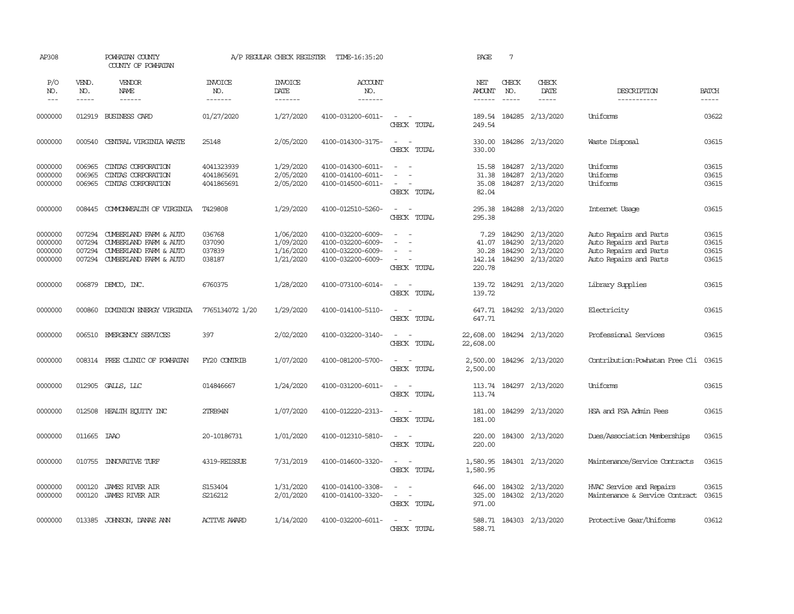| AP308                                    |                                      | POWHATAN COUNTY<br>COUNTY OF POWHATAN                                                                                                                                                                                                                                                                                                                                                                                                                                                                               |                                        | A/P REGULAR CHECK REGISTER                       | TIME-16:35:20                                                                    |                                                                                                                                          | PAGE                                       | $7\phantom{.0}$                                                                                                                                                                                                                                                                                                                                                                                                                                                        |                                                                                                                                                                                                                                                                                                                                                                                                                                                                                                      |                                                                                                      |                                  |
|------------------------------------------|--------------------------------------|---------------------------------------------------------------------------------------------------------------------------------------------------------------------------------------------------------------------------------------------------------------------------------------------------------------------------------------------------------------------------------------------------------------------------------------------------------------------------------------------------------------------|----------------------------------------|--------------------------------------------------|----------------------------------------------------------------------------------|------------------------------------------------------------------------------------------------------------------------------------------|--------------------------------------------|------------------------------------------------------------------------------------------------------------------------------------------------------------------------------------------------------------------------------------------------------------------------------------------------------------------------------------------------------------------------------------------------------------------------------------------------------------------------|------------------------------------------------------------------------------------------------------------------------------------------------------------------------------------------------------------------------------------------------------------------------------------------------------------------------------------------------------------------------------------------------------------------------------------------------------------------------------------------------------|------------------------------------------------------------------------------------------------------|----------------------------------|
| P/O<br>NO.<br>$---$                      | VEND.<br>NO.<br>$- - - - -$          | <b>VENDOR</b><br><b>NAME</b><br>$\begin{tabular}{ccccc} \multicolumn{2}{c}{} & \multicolumn{2}{c}{} & \multicolumn{2}{c}{} & \multicolumn{2}{c}{} & \multicolumn{2}{c}{} & \multicolumn{2}{c}{} & \multicolumn{2}{c}{} & \multicolumn{2}{c}{} & \multicolumn{2}{c}{} & \multicolumn{2}{c}{} & \multicolumn{2}{c}{} & \multicolumn{2}{c}{} & \multicolumn{2}{c}{} & \multicolumn{2}{c}{} & \multicolumn{2}{c}{} & \multicolumn{2}{c}{} & \multicolumn{2}{c}{} & \multicolumn{2}{c}{} & \multicolumn{2}{c}{} & \mult$ | <b>INVOICE</b><br>NO.<br>-------       | <b>INVOICE</b><br>DATE<br>-------                | <b>ACCOUNT</b><br>NO.                                                            |                                                                                                                                          | NET<br>AMOUNT<br>------                    | CHECK<br>NO.<br>$\begin{tabular}{ccccc} \multicolumn{2}{c }{\multicolumn{2}{c }{\multicolumn{2}{c }{\multicolumn{2}{c}}{\hspace{-2.2cm}}}} \multicolumn{2}{c }{\multicolumn{2}{c }{\hspace{-2.2cm}}\hline} \multicolumn{2}{c }{\hspace{-2.2cm}} \multicolumn{2}{c }{\hspace{-2.2cm}}\hline} \multicolumn{2}{c }{\hspace{-2.2cm}} \multicolumn{2}{c }{\hspace{-2.2cm}}\hline} \multicolumn{2}{c }{\hspace{-2.2cm}} \multicolumn{2}{c }{\hspace{-2.2cm}}\hline} \multic$ | CHECK<br>DATE<br>$\begin{tabular}{ccccc} \multicolumn{2}{c}{} & \multicolumn{2}{c}{} & \multicolumn{2}{c}{} & \multicolumn{2}{c}{} & \multicolumn{2}{c}{} & \multicolumn{2}{c}{} & \multicolumn{2}{c}{} & \multicolumn{2}{c}{} & \multicolumn{2}{c}{} & \multicolumn{2}{c}{} & \multicolumn{2}{c}{} & \multicolumn{2}{c}{} & \multicolumn{2}{c}{} & \multicolumn{2}{c}{} & \multicolumn{2}{c}{} & \multicolumn{2}{c}{} & \multicolumn{2}{c}{} & \multicolumn{2}{c}{} & \multicolumn{2}{c}{} & \mult$ | DESCRIPTION<br>-----------                                                                           | <b>BATCH</b><br>$- - - - -$      |
| 0000000                                  | 012919                               | BUSINESS CARD                                                                                                                                                                                                                                                                                                                                                                                                                                                                                                       | 01/27/2020                             | 1/27/2020                                        | 4100-031200-6011-                                                                | $\frac{1}{2} \left( \frac{1}{2} \right) \left( \frac{1}{2} \right) \left( \frac{1}{2} \right) \left( \frac{1}{2} \right)$<br>CHECK TOTAL | 189.54<br>249.54                           |                                                                                                                                                                                                                                                                                                                                                                                                                                                                        | 184285 2/13/2020                                                                                                                                                                                                                                                                                                                                                                                                                                                                                     | Uniforms                                                                                             | 03622                            |
| 0000000                                  | 000540                               | CENTRAL VIRGINIA WASTE                                                                                                                                                                                                                                                                                                                                                                                                                                                                                              | 25148                                  | 2/05/2020                                        | 4100-014300-3175-                                                                | $\sim$<br>$\sim$<br>CHECK TOTAL                                                                                                          | 330.00<br>330.00                           |                                                                                                                                                                                                                                                                                                                                                                                                                                                                        | 184286 2/13/2020                                                                                                                                                                                                                                                                                                                                                                                                                                                                                     | Waste Disposal                                                                                       | 03615                            |
| 0000000<br>0000000<br>0000000            | 006965<br>006965<br>006965           | CINIAS CORPORATION<br>CINIAS CORPORATION<br>CINIAS CORPORATION                                                                                                                                                                                                                                                                                                                                                                                                                                                      | 4041323939<br>4041865691<br>4041865691 | 1/29/2020<br>2/05/2020<br>2/05/2020              | 4100-014300-6011-<br>4100-014100-6011-<br>4100-014500-6011-                      | $\overline{\phantom{a}}$<br>CHECK TOTAL                                                                                                  | 15.58<br>31.38<br>35.08<br>82.04           |                                                                                                                                                                                                                                                                                                                                                                                                                                                                        | 184287 2/13/2020<br>184287 2/13/2020<br>184287 2/13/2020                                                                                                                                                                                                                                                                                                                                                                                                                                             | Uniforms<br>Uniforms<br>Uniforms                                                                     | 03615<br>03615<br>03615          |
| 0000000                                  | 008445                               | COMONWEALTH OF VIRGINIA                                                                                                                                                                                                                                                                                                                                                                                                                                                                                             | T429808                                | 1/29/2020                                        | 4100-012510-5260-                                                                | $\sim$ $ \sim$<br>CHECK TOTAL                                                                                                            | 295.38<br>295.38                           |                                                                                                                                                                                                                                                                                                                                                                                                                                                                        | 184288 2/13/2020                                                                                                                                                                                                                                                                                                                                                                                                                                                                                     | Internet Usage                                                                                       | 03615                            |
| 0000000<br>0000000<br>0000000<br>0000000 | 007294<br>007294<br>007294<br>007294 | CUMBERLAND FARM & AUTO<br>CUMBERLAND FARM & AUTO<br>CUMBERLAND FARM & AUTO<br>CUMBERLAND FARM & AUTO                                                                                                                                                                                                                                                                                                                                                                                                                | 036768<br>037090<br>037839<br>038187   | 1/06/2020<br>1/09/2020<br>1/16/2020<br>1/21/2020 | 4100-032200-6009-<br>4100-032200-6009-<br>4100-032200-6009-<br>4100-032200-6009- | $\sim$<br>$\sim$<br>CHECK TOTAL                                                                                                          | 7.29<br>41.07<br>30.28<br>142.14<br>220.78 | 184290                                                                                                                                                                                                                                                                                                                                                                                                                                                                 | 184290 2/13/2020<br>2/13/2020<br>184290 2/13/2020<br>184290 2/13/2020                                                                                                                                                                                                                                                                                                                                                                                                                                | Auto Repairs and Parts<br>Auto Repairs and Parts<br>Auto Repairs and Parts<br>Auto Repairs and Parts | 03615<br>03615<br>03615<br>03615 |
| 0000000                                  | 006879                               | DEMCO, INC.                                                                                                                                                                                                                                                                                                                                                                                                                                                                                                         | 6760375                                | 1/28/2020                                        | 4100-073100-6014-                                                                | $\sim$<br>$\sim$<br>CHECK TOTAL                                                                                                          | 139.72<br>139.72                           |                                                                                                                                                                                                                                                                                                                                                                                                                                                                        | 184291 2/13/2020                                                                                                                                                                                                                                                                                                                                                                                                                                                                                     | Library Supplies                                                                                     | 03615                            |
| 0000000                                  | 000860                               | DOMINION ENERGY VIRGINIA                                                                                                                                                                                                                                                                                                                                                                                                                                                                                            | 7765134072 1/20                        | 1/29/2020                                        | 4100-014100-5110-                                                                | $\sim$ $ -$<br>CHECK TOTAL                                                                                                               | 647.71                                     |                                                                                                                                                                                                                                                                                                                                                                                                                                                                        | 647.71 184292 2/13/2020                                                                                                                                                                                                                                                                                                                                                                                                                                                                              | Electricity                                                                                          | 03615                            |
| 0000000                                  | 006510                               | EMERGENCY SERVICES                                                                                                                                                                                                                                                                                                                                                                                                                                                                                                  | 397                                    | 2/02/2020                                        | 4100-032200-3140-                                                                | $\frac{1}{2} \left( \frac{1}{2} \right) \left( \frac{1}{2} \right) = \frac{1}{2} \left( \frac{1}{2} \right)$<br>CHECK TOTAL              | 22,608.00<br>22,608.00                     |                                                                                                                                                                                                                                                                                                                                                                                                                                                                        | 184294 2/13/2020                                                                                                                                                                                                                                                                                                                                                                                                                                                                                     | Professional Services                                                                                | 03615                            |
| 0000000                                  |                                      | 008314 FREE CLINIC OF POWHATAN                                                                                                                                                                                                                                                                                                                                                                                                                                                                                      | FY20 CONTRIB                           | 1/07/2020                                        | 4100-081200-5700-                                                                | $\frac{1}{2} \left( \frac{1}{2} \right) \left( \frac{1}{2} \right) = \frac{1}{2} \left( \frac{1}{2} \right)$<br>CHECK TOTAL              | 2,500.00<br>2,500.00                       |                                                                                                                                                                                                                                                                                                                                                                                                                                                                        | 184296 2/13/2020                                                                                                                                                                                                                                                                                                                                                                                                                                                                                     | Contribution: Powhatan Free Cli                                                                      | 03615                            |
| 0000000                                  | 012905                               | GALLS, LLC                                                                                                                                                                                                                                                                                                                                                                                                                                                                                                          | 014846667                              | 1/24/2020                                        | 4100-031200-6011-                                                                | $\sim$<br>$\sim$<br>CHECK TOTAL                                                                                                          | 113.74<br>113.74                           |                                                                                                                                                                                                                                                                                                                                                                                                                                                                        | 184297 2/13/2020                                                                                                                                                                                                                                                                                                                                                                                                                                                                                     | Uniforms                                                                                             | 03615                            |
| 0000000                                  | 012508                               | HEALTH EQUITY INC                                                                                                                                                                                                                                                                                                                                                                                                                                                                                                   | 2TRB94N                                | 1/07/2020                                        | 4100-012220-2313-                                                                | $\sim$<br>$\sim$<br>CHECK TOTAL                                                                                                          | 181.00<br>181.00                           |                                                                                                                                                                                                                                                                                                                                                                                                                                                                        | 184299 2/13/2020                                                                                                                                                                                                                                                                                                                                                                                                                                                                                     | HSA and FSA Admin Fees                                                                               | 03615                            |
| 0000000                                  | 011665                               | <b>TAAO</b>                                                                                                                                                                                                                                                                                                                                                                                                                                                                                                         | 20-10186731                            | 1/01/2020                                        | 4100-012310-5810-                                                                | $\sim$<br>$\overline{\phantom{a}}$<br>CHECK TOTAL                                                                                        | 220.00<br>220.00                           |                                                                                                                                                                                                                                                                                                                                                                                                                                                                        | 184300 2/13/2020                                                                                                                                                                                                                                                                                                                                                                                                                                                                                     | Dues/Association Memberships                                                                         | 03615                            |
| 0000000                                  | 010755                               | <b>INIOVATIVE TURF</b>                                                                                                                                                                                                                                                                                                                                                                                                                                                                                              | 4319-REISSUE                           | 7/31/2019                                        | 4100-014600-3320-                                                                | $\sim$<br>$\sim$<br>CHECK TOTAL                                                                                                          | 1,580.95<br>1,580.95                       |                                                                                                                                                                                                                                                                                                                                                                                                                                                                        | 184301 2/13/2020                                                                                                                                                                                                                                                                                                                                                                                                                                                                                     | Maintenance/Service Contracts                                                                        | 03615                            |
| 0000000<br>0000000                       | 000120<br>000120                     | <b>JAMES RIVER AIR</b><br><b>JAMES RIVER AIR</b>                                                                                                                                                                                                                                                                                                                                                                                                                                                                    | S153404<br>S216212                     | 1/31/2020<br>2/01/2020                           | 4100-014100-3308-<br>4100-014100-3320-                                           | $\overline{\phantom{a}}$<br>$\omega_{\rm{max}}$ and $\omega_{\rm{max}}$<br>CHECK TOTAL                                                   | 646.00<br>325.00<br>971.00                 |                                                                                                                                                                                                                                                                                                                                                                                                                                                                        | 184302 2/13/2020<br>184302 2/13/2020                                                                                                                                                                                                                                                                                                                                                                                                                                                                 | HVAC Service and Repairs<br>Maintenance & Service Contract                                           | 03615<br>03615                   |
| 0000000                                  |                                      | 013385 JOHNSON, DANAE ANN                                                                                                                                                                                                                                                                                                                                                                                                                                                                                           | <b>ACTIVE AWARD</b>                    | 1/14/2020                                        | 4100-032200-6011-                                                                | $\sim$<br>CHECK TOTAL                                                                                                                    | 588.71                                     |                                                                                                                                                                                                                                                                                                                                                                                                                                                                        | 588.71 184303 2/13/2020                                                                                                                                                                                                                                                                                                                                                                                                                                                                              | Protective Gear/Uniforms                                                                             | 03612                            |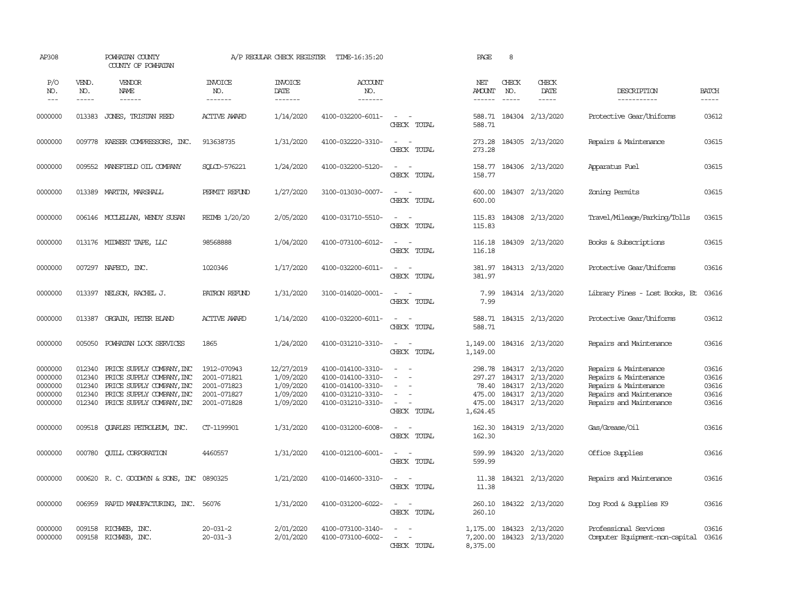| AP308                                               |                                                | POWHATAN COUNTY<br>COUNTY OF POWHATAN                                                                                                         |                                                                         | A/P REGULAR CHECK REGISTER                                     | TIME-16:35:20                                                                                         |                                                                        | PAGE                                                      | 8                             |                                                                                    |                                                                                                                               |                                           |
|-----------------------------------------------------|------------------------------------------------|-----------------------------------------------------------------------------------------------------------------------------------------------|-------------------------------------------------------------------------|----------------------------------------------------------------|-------------------------------------------------------------------------------------------------------|------------------------------------------------------------------------|-----------------------------------------------------------|-------------------------------|------------------------------------------------------------------------------------|-------------------------------------------------------------------------------------------------------------------------------|-------------------------------------------|
| P/O<br>NO.<br>$---$                                 | VEND.<br>NO.<br>$\cdots\cdots\cdots$           | VENDOR<br>NAME                                                                                                                                | <b>INVOICE</b><br>NO.<br>-------                                        | <b>INVOICE</b><br>DATE<br>-------                              | ACCOUNT<br>NO.<br>-------                                                                             |                                                                        | NET<br>AMOUNT<br>------                                   | CHECK<br>NO.<br>$\frac{1}{2}$ | CHECK<br>DATE<br>$\cdots\cdots\cdots$                                              | DESCRIPTION<br>-----------                                                                                                    | <b>BATCH</b><br>-----                     |
| 0000000                                             | 013383                                         | JONES, TRISTAN REED                                                                                                                           | <b>ACTIVE AWARD</b>                                                     | 1/14/2020                                                      | 4100-032200-6011-                                                                                     | $\sim$<br>$\sim$<br>CHECK TOTAL                                        | 588.71                                                    |                               | 588.71 184304 2/13/2020                                                            | Protective Gear/Uniforms                                                                                                      | 03612                                     |
| 0000000                                             | 009778                                         | KAESER COMPRESSORS, INC.                                                                                                                      | 913638735                                                               | 1/31/2020                                                      | 4100-032220-3310-                                                                                     | $\sim$<br>$\sim$<br>CHECK TOTAL                                        | 273.28<br>273.28                                          |                               | 184305 2/13/2020                                                                   | Repairs & Maintenance                                                                                                         | 03615                                     |
| 0000000                                             | 009552                                         | MANSFIEID OIL COMPANY                                                                                                                         | SOLCD-576221                                                            | 1/24/2020                                                      | 4100-032200-5120-                                                                                     | $\overline{\phantom{a}}$<br>$\overline{\phantom{a}}$<br>CHECK TOTAL    | 158.77<br>158.77                                          |                               | 184306 2/13/2020                                                                   | Apparatus Fuel                                                                                                                | 03615                                     |
| 0000000                                             | 013389                                         | MARTIN, MARSHALL                                                                                                                              | PERMIT REFUND                                                           | 1/27/2020                                                      | 3100-013030-0007-                                                                                     | $\overline{\phantom{a}}$<br>$\sim$<br>CHECK TOTAL                      | 600.00<br>600.00                                          |                               | 184307 2/13/2020                                                                   | Zoning Permits                                                                                                                | 03615                                     |
| 0000000                                             |                                                | 006146 MCCLELLAN, WENDY SUSAN                                                                                                                 | REIMB 1/20/20                                                           | 2/05/2020                                                      | 4100-031710-5510-                                                                                     | $\sim$<br>$\sim$<br>CHECK TOTAL                                        | 115.83<br>115.83                                          |                               | 184308 2/13/2020                                                                   | Travel/Mileage/Parking/Tolls                                                                                                  | 03615                                     |
| 0000000                                             |                                                | 013176 MIDWEST TAPE, LLC                                                                                                                      | 98568888                                                                | 1/04/2020                                                      | 4100-073100-6012-                                                                                     | $\sim$<br>$\sim$<br>CHECK TOTAL                                        | 116.18<br>116.18                                          |                               | 184309 2/13/2020                                                                   | Books & Subscriptions                                                                                                         | 03615                                     |
| 0000000                                             |                                                | 007297 NAFECO, INC.                                                                                                                           | 1020346                                                                 | 1/17/2020                                                      | 4100-032200-6011-                                                                                     | $\sim$<br>$\overline{\phantom{a}}$<br>CHECK TOTAL                      | 381.97<br>381.97                                          |                               | 184313 2/13/2020                                                                   | Protective Gear/Uniforms                                                                                                      | 03616                                     |
| 0000000                                             | 013397                                         | NELSON, RACHEL J.                                                                                                                             | PATRON REFUND                                                           | 1/31/2020                                                      | 3100-014020-0001-                                                                                     | $\sim$<br>$\sim$<br>CHECK TOTAL                                        | 7.99<br>7.99                                              |                               | 184314 2/13/2020                                                                   | Library Fines - Lost Books, Et                                                                                                | 03616                                     |
| 0000000                                             | 013387                                         | ORGAIN, PETER BLAND                                                                                                                           | <b>ACTIVE AWARD</b>                                                     | 1/14/2020                                                      | 4100-032200-6011-                                                                                     | $\sim$<br>$\sim$<br>CHECK TOTAL                                        | 588.71<br>588.71                                          |                               | 184315 2/13/2020                                                                   | Protective Gear/Uniforms                                                                                                      | 03612                                     |
| 0000000                                             | 005050                                         | POWHATAN LOCK SERVICES                                                                                                                        | 1865                                                                    | 1/24/2020                                                      | 4100-031210-3310-                                                                                     | $\sim$<br>$\sim$<br>CHECK TOTAL                                        | 1,149.00<br>1,149.00                                      |                               | 184316 2/13/2020                                                                   | Repairs and Maintenance                                                                                                       | 03616                                     |
| 0000000<br>0000000<br>0000000<br>0000000<br>0000000 | 012340<br>012340<br>012340<br>012340<br>012340 | PRICE SUPPLY COMPANY, INC<br>PRICE SUPPLY COMPANY, INC<br>PRICE SUPPLY COMPANY, INC<br>PRICE SUPPLY COMPANY, INC<br>PRICE SUPPLY COMPANY, INC | 1912-070943<br>2001-071821<br>2001-071823<br>2001-071827<br>2001-071828 | 12/27/2019<br>1/09/2020<br>1/09/2020<br>1/09/2020<br>1/09/2020 | 4100-014100-3310-<br>4100-014100-3310-<br>4100-014100-3310-<br>4100-031210-3310-<br>4100-031210-3310- | $\sim$<br>$\sim$<br>÷<br>$\equiv$<br>$\equiv$<br>$\sim$<br>CHECK TOTAL | 298.78<br>297.27<br>78.40<br>475.00<br>475.00<br>1,624.45 | 184317<br>184317              | 184317 2/13/2020<br>2/13/2020<br>184317 2/13/2020<br>2/13/2020<br>184317 2/13/2020 | Repairs & Maintenance<br>Repairs & Maintenance<br>Repairs & Maintenance<br>Repairs and Maintenance<br>Repairs and Maintenance | 03616<br>03616<br>03616<br>03616<br>03616 |
| 0000000                                             | 009518                                         | QUARLES PETROLEUM, INC.                                                                                                                       | CT-1199901                                                              | 1/31/2020                                                      | 4100-031200-6008-                                                                                     | $\sim$<br>CHECK TOTAL                                                  | 162.30<br>162.30                                          |                               | 184319 2/13/2020                                                                   | Gas/Grease/Oil                                                                                                                | 03616                                     |
| 0000000                                             | 000780                                         | <b>CUILL CORPORATION</b>                                                                                                                      | 4460557                                                                 | 1/31/2020                                                      | 4100-012100-6001-                                                                                     | $\overline{\phantom{a}}$<br>$\sim$<br>CHECK TOTAL                      | 599.99<br>599.99                                          |                               | 184320 2/13/2020                                                                   | Office Supplies                                                                                                               | 03616                                     |
| 0000000                                             |                                                | 000620 R. C. GOODWIN & SONS, INC                                                                                                              | 0890325                                                                 | 1/21/2020                                                      | 4100-014600-3310-                                                                                     | $\sim$<br>$\sim$<br>CHECK TOTAL                                        | 11.38<br>11.38                                            |                               | 184321 2/13/2020                                                                   | Repairs and Maintenance                                                                                                       | 03616                                     |
| 0000000                                             | 006959                                         | RAPID MANUFACTURING, INC. 56076                                                                                                               |                                                                         | 1/31/2020                                                      | 4100-031200-6022-                                                                                     | $\overline{\phantom{a}}$<br>$\sim$<br>CHECK TOTAL                      | 260.10<br>260.10                                          |                               | 184322 2/13/2020                                                                   | Dog Food & Supplies K9                                                                                                        | 03616                                     |
| 0000000<br>0000000                                  | 009158<br>009158                               | RICHWEB, INC.<br>RICHWEB, INC.                                                                                                                | 20-031-2<br>20-031-3                                                    | 2/01/2020<br>2/01/2020                                         | 4100-073100-3140-<br>4100-073100-6002-                                                                | CHECK TOTAL                                                            | 1,175.00<br>7,200.00<br>8,375.00                          |                               | 184323 2/13/2020<br>184323 2/13/2020                                               | Professional Services<br>Computer Equipment-non-capital                                                                       | 03616<br>03616                            |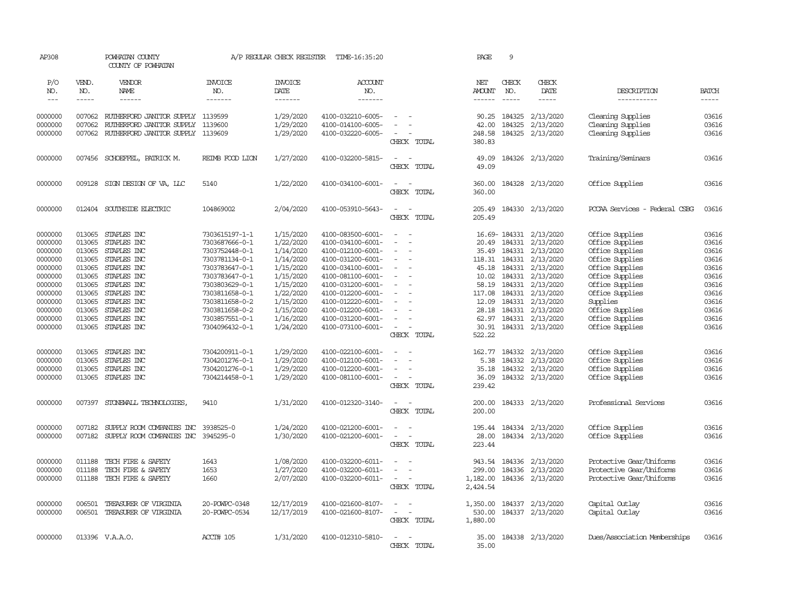| AP308                |              | POWHATAN COUNTY<br>COUNTY OF POWHATAN    |                       | A/P REGULAR CHECK REGISTER | TIME-16:35:20     |                                                      | PAGE                 | 9                      |                         |                               |              |
|----------------------|--------------|------------------------------------------|-----------------------|----------------------------|-------------------|------------------------------------------------------|----------------------|------------------------|-------------------------|-------------------------------|--------------|
| P/O<br>NO.           | VEND.<br>NO. | VENDOR<br>NAME                           | <b>INVOICE</b><br>NO. | <b>INVOICE</b><br>DATE     | ACCOUNT<br>NO.    |                                                      | NET<br><b>AMOUNT</b> | CHECK<br>NO.           | CHECK<br>DATE           | DESCRIPTION                   | <b>BATCH</b> |
| $\sim$ $\sim$ $\sim$ | $- - - - -$  | $- - - - - -$                            | -------               | -------                    | --------          |                                                      | $- - - - - -$        | $\cdots \cdots \cdots$ | $- - - - -$             | -----------                   | -----        |
| 0000000              |              | 007062 RUIHERFORD JANITOR SUPPLY 1139599 |                       | 1/29/2020                  | 4100-032210-6005- | $\sim$                                               | 90.25                | 184325                 | 2/13/2020               | Cleaning Supplies             | 03616        |
| 0000000              | 007062       | RUIHERFORD JANITOR SUPPLY                | 1139600               | 1/29/2020                  | 4100-014100-6005- |                                                      | 42.00                | 184325                 | 2/13/2020               | Cleaning Supplies             | 03616        |
| 0000000              | 007062       | RUIHERFORD JANITOR SUPPLY 1139609        |                       | 1/29/2020                  | 4100-032220-6005- | CHECK TOTAL                                          | 248.58<br>380.83     |                        | 184325 2/13/2020        | Cleaning Supplies             | 03616        |
| 0000000              |              | 007456 SCHOEFFEL, PATRICK M.             | REIMB FOOD LION       | 1/27/2020                  | 4100-032200-5815- | $\equiv$<br>$\overline{\phantom{a}}$<br>CHECK TOTAL  | 49.09<br>49.09       |                        | 184326 2/13/2020        | Training/Seminars             | 03616        |
| 0000000              | 009128       | SIGN DESIGN OF VA, LLC                   | 5140                  | 1/22/2020                  | 4100-034100-6001- | $\sim$<br>$\sim$<br>CHECK TOTAL                      | 360.00<br>360.00     |                        | 184328 2/13/2020        | Office Supplies               | 03616        |
| 0000000              |              | 012404 SOUTHSIDE ELECTRIC                | 104869002             | 2/04/2020                  | 4100-053910-5643- | $\sim$<br>$\overline{\phantom{a}}$                   | 205.49               |                        | 184330 2/13/2020        | POCAA Services - Federal CSBG | 03616        |
|                      |              |                                          |                       |                            |                   | CHECK TOTAL                                          | 205.49               |                        |                         |                               |              |
| 0000000              | 013065       | STAPLES INC                              | 7303615197-1-1        | 1/15/2020                  | 4100-083500-6001- | $\sim$<br>$\sim$                                     |                      |                        | 16.69-184331 2/13/2020  | Office Supplies               | 03616        |
| 0000000              | 013065       | STAPLES INC                              | 7303687666-0-1        | 1/22/2020                  | 4100-034100-6001- | $\equiv$<br>$\sim$                                   | 20.49                |                        | 184331 2/13/2020        | Office Supplies               | 03616        |
| 0000000              | 013065       | STAPLES INC                              | 7303752448-0-1        | 1/14/2020                  | 4100-012100-6001- | $\equiv$                                             | 35.49                | 184331                 | 2/13/2020               | Office Supplies               | 03616        |
| 0000000              | 013065       | STAPLES INC                              | 7303781134-0-1        | 1/14/2020                  | 4100-031200-6001- |                                                      |                      | 118.31 184331          | 2/13/2020               | Office Supplies               | 03616        |
| 0000000              | 013065       | STAPLES INC                              | 7303783647-0-1        | 1/15/2020                  | 4100-034100-6001- | $\sim$<br>÷.                                         | 45.18                | 184331                 | 2/13/2020               | Office Supplies               | 03616        |
| 0000000              | 013065       | STAPLES INC                              | 7303783647-0-1        | 1/15/2020                  | 4100-081100-6001- | $\sim$                                               | 10.02                | 184331                 | 2/13/2020               | Office Supplies               | 03616        |
| 0000000              | 013065       | STAPLES INC                              | 7303803629-0-1        | 1/15/2020                  | 4100-031200-6001- | $\equiv$                                             | 58.19                | 184331                 | 2/13/2020               | Office Supplies               | 03616        |
| 0000000              | 013065       | STAPLES INC                              | 7303811658-0-1        | 1/22/2020                  | 4100-012200-6001- | $\sim$                                               | 117.08               | 184331                 | 2/13/2020               | Office Supplies               | 03616        |
| 0000000              | 013065       | STAPLES INC                              | 7303811658-0-2        | 1/15/2020                  | 4100-012220-6001- | $\equiv$                                             | 12.09                | 184331                 | 2/13/2020               | Supplies                      | 03616        |
| 0000000              | 013065       | STAPLES INC                              | 7303811658-0-2        | 1/15/2020                  | 4100-012200-6001- | $\sim$                                               | 28.18                | 184331                 | 2/13/2020               | Office Supplies               | 03616        |
| 0000000              | 013065       | STAPLES INC                              | 7303857551-0-1        | 1/16/2020                  | 4100-031200-6001- | $\equiv$                                             | 62.97                | 184331                 | 2/13/2020               | Office Supplies               | 03616        |
| 0000000              | 013065       | STAPLES INC                              | 7304096432-0-1        | 1/24/2020                  | 4100-073100-6001- | $\sim$<br>$\overline{\phantom{a}}$<br>CHECK TOTAL    | 30.91<br>522.22      |                        | 184331 2/13/2020        | Office Supplies               | 03616        |
| 0000000              | 013065       | STAPLES INC                              | 7304200911-0-1        | 1/29/2020                  | 4100-022100-6001- |                                                      |                      |                        | 162.77 184332 2/13/2020 | Office Supplies               | 03616        |
| 0000000              | 013065       | STAPLES INC                              | 7304201276-0-1        | 1/29/2020                  | 4100-012100-6001- | $\equiv$<br>$\overline{\phantom{a}}$                 | 5.38                 |                        | 184332 2/13/2020        | Office Supplies               | 03616        |
| 0000000              | 013065       | STAPLES INC                              | 7304201276-0-1        | 1/29/2020                  | 4100-012200-6001- | $\equiv$                                             | 35.18                | 184332                 | 2/13/2020               | Office Supplies               | 03616        |
| 0000000              | 013065       | STAPLES INC                              | 7304214458-0-1        | 1/29/2020                  | 4100-081100-6001- | $\sim$<br>$\overline{\phantom{a}}$                   | 36.09                |                        | 184332 2/13/2020        | Office Supplies               | 03616        |
|                      |              |                                          |                       |                            |                   | CHECK TOTAL                                          | 239.42               |                        |                         |                               |              |
| 0000000              | 007397       | STONEWALL TECHNOLOGIES                   | 9410                  | 1/31/2020                  | 4100-012320-3140- | $\sim$<br>$\overline{\phantom{a}}$                   | 200.00               |                        | 184333 2/13/2020        | Professional Services         | 03616        |
|                      |              |                                          |                       |                            |                   | CHECK TOTAL                                          | 200.00               |                        |                         |                               |              |
| 0000000              | 007182       | SUPPLY ROOM COMPANIES INC                | 3938525-0             | 1/24/2020                  | 4100-021200-6001- | $\equiv$                                             | 195.44               |                        | 184334 2/13/2020        | Office Supplies               | 03616        |
| 0000000              | 007182       | SUPPLY ROOM COMPANIES INC                | 3945295-0             | 1/30/2020                  | 4100-021200-6001- | $\sim$<br>CHECK TOTAL                                | 28.00<br>223.44      |                        | 184334 2/13/2020        | Office Supplies               | 03616        |
| 0000000              | 011188       | TECH FIRE & SAFETY                       | 1643                  | 1/08/2020                  | 4100-032200-6011- | $\sim$                                               | 943.54               |                        | 184336 2/13/2020        | Protective Gear/Uniforms      | 03616        |
| 0000000              | 011188       | TECH FIRE & SAFETY                       | 1653                  | 1/27/2020                  | 4100-032200-6011- | $\sim$                                               | 299.00               | 184336                 | 2/13/2020               | Protective Gear/Uniforms      | 03616        |
| 0000000              | 011188       | TECH FIRE & SAFETY                       | 1660                  | 2/07/2020                  | 4100-032200-6011- | $\sim$                                               | 1,182.00             |                        | 184336 2/13/2020        | Protective Gear/Uniforms      | 03616        |
|                      |              |                                          |                       |                            |                   | CHECK TOTAL                                          | 2,424.54             |                        |                         |                               |              |
| 0000000              | 006501       | TREASURER OF VIRGINIA                    | 20-POWPC-0348         | 12/17/2019                 | 4100-021600-8107- | $\equiv$                                             | 1,350.00             |                        | 184337 2/13/2020        | Capital Outlay                | 03616        |
| 0000000              | 006501       | TREASURER OF VIRGINIA                    | 20-POWPC-0534         | 12/17/2019                 | 4100-021600-8107- | $\overline{\phantom{a}}$<br>$\overline{\phantom{a}}$ | 530.00               |                        | 184337 2/13/2020        | Capital Outlay                | 03616        |
|                      |              |                                          |                       |                            |                   | CHECK TOTAL                                          | 1,880.00             |                        |                         |                               |              |
| 0000000              |              | 013396 V.A.A.O.                          | ACCT# 105             | 1/31/2020                  | 4100-012310-5810- |                                                      | 35.00                |                        | 184338 2/13/2020        | Dues/Association Memberships  | 03616        |
|                      |              |                                          |                       |                            |                   | CHECK<br>TOTAL                                       | 35.00                |                        |                         |                               |              |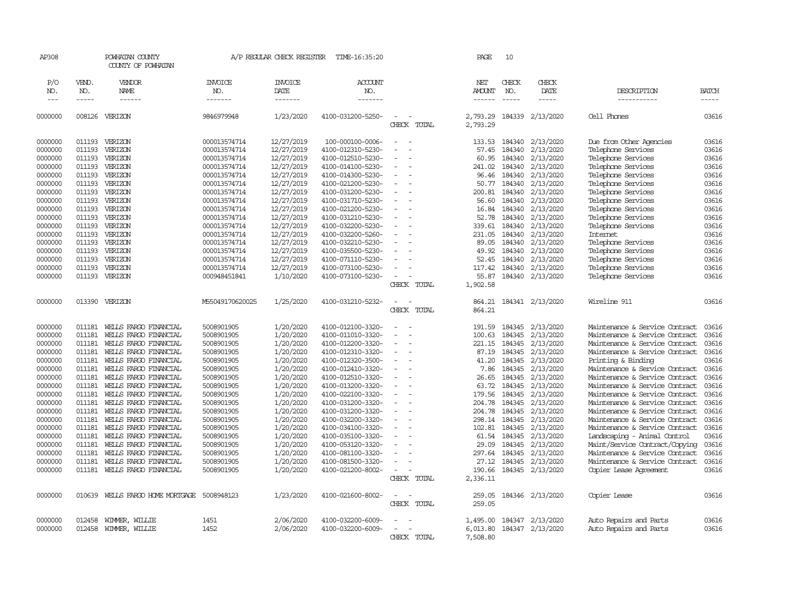| AP308            |              | POWHATAN COUNTY<br>COUNTY OF POWHATAN |                       | A/P REGULAR CHECK REGISTER | TIME-16:35:20                |                          | PAGE               | 10                            |                                 |                                |                      |
|------------------|--------------|---------------------------------------|-----------------------|----------------------------|------------------------------|--------------------------|--------------------|-------------------------------|---------------------------------|--------------------------------|----------------------|
| P/O<br>NO.       | VEND.<br>NO. | VENDOR<br><b>NAME</b>                 | <b>INVOICE</b><br>NO. | <b>INVOICE</b><br>DATE     | ACCOUNT<br>NO.               |                          | NET<br>AMOUNT      | CHECK<br>NO.<br>$\frac{1}{2}$ | CHECK<br>DATE                   | DESCRIPTION                    | <b>BATCH</b>         |
| $---$<br>0000000 | -----        | ------<br>008126 VERIZON              | -------<br>9846979948 | -------<br>1/23/2020       | -------<br>4100-031200-5250- |                          | ------<br>2,793.29 |                               | $- - - - -$<br>184339 2/13/2020 | -----------<br>Cell Phones     | $- - - - -$<br>03616 |
|                  |              |                                       |                       |                            |                              | CHECK TOTAL              | 2,793.29           |                               |                                 |                                |                      |
| 0000000          | 011193       | VERIZON                               | 000013574714          | 12/27/2019                 | 100-000100-0006-             |                          | 133.53             | 184340                        | 2/13/2020                       | Due from Other Agencies        | 03616                |
| 0000000          | 011193       | VERIZON                               | 000013574714          | 12/27/2019                 | 4100-012310-5230-            |                          | 57.45              | 184340                        | 2/13/2020                       | Telephone Services             | 03616                |
| 0000000          | 011193       | VERIZON                               | 000013574714          | 12/27/2019                 | 4100-012510-5230-            |                          | 60.95              | 184340                        | 2/13/2020                       | Telephone Services             | 03616                |
| 0000000          | 011193       | VERIZON                               | 000013574714          | 12/27/2019                 | 4100-014100-5230-            |                          | 241.02             | 184340                        | 2/13/2020                       | Telephone Services             | 03616                |
| 0000000          | 011193       | VERIZON                               | 000013574714          | 12/27/2019                 | 4100-014300-5230-            | $\sim$                   | 96.46              |                               | 184340 2/13/2020                | Telephone Services             | 03616                |
| 0000000          | 011193       | VERIZON                               | 000013574714          | 12/27/2019                 | 4100-021200-5230-            |                          | 50.77              | 184340                        | 2/13/2020                       | Telephone Services             | 03616                |
| 0000000          | 011193       | VERIZON                               | 000013574714          | 12/27/2019                 | 4100-031200-5230-            |                          | 200.81             | 184340                        | 2/13/2020                       | Telephone Services             | 03616                |
| 0000000          | 011193       | VERIZON                               | 000013574714          | 12/27/2019                 | 4100-031710-5230-            |                          | 56.60              | 184340                        | 2/13/2020                       | Telephone Services             | 03616                |
| 0000000          | 011193       | VERIZON                               | 000013574714          | 12/27/2019                 | 4100-021200-5230-            |                          | 16.84              | 184340                        | 2/13/2020                       | Telephone Services             | 03616                |
| 0000000          | 011193       | VERIZON                               | 000013574714          | 12/27/2019                 | 4100-031210-5230-            |                          | 52.78              | 184340                        | 2/13/2020                       | Telephone Services             | 03616                |
| 0000000          | 011193       | VERIZON                               | 000013574714          | 12/27/2019                 | 4100-032200-5230-            |                          | 339.61             | 184340                        | 2/13/2020                       | Telephone Services             | 03616                |
| 0000000          | 011193       | VERIZON                               | 000013574714          | 12/27/2019                 | 4100-032200-5260-            |                          | 231.05             | 184340                        | 2/13/2020                       | Internet                       | 03616                |
| 0000000          | 011193       | VERIZON                               | 000013574714          | 12/27/2019                 | 4100-032210-5230-            |                          | 89.05              | 184340                        | 2/13/2020                       | Telephone Services             | 03616                |
| 0000000          | 011193       | VERIZON                               | 000013574714          | 12/27/2019                 | 4100-035500-5230-            |                          | 49.92              | 184340                        | 2/13/2020                       | Telephone Services             | 03616                |
| 0000000          | 011193       | VERIZON                               | 000013574714          | 12/27/2019                 | 4100-071110-5230-            |                          | 52.45              | 184340                        | 2/13/2020                       | Telephone Services             | 03616                |
| 0000000          | 011193       | VERIZON                               | 000013574714          | 12/27/2019                 | 4100-073100-5230-            |                          | 117.42             | 184340                        | 2/13/2020                       | Telephone Services             | 03616                |
| 0000000          | 011193       | VERIZON                               | 000948451841          | 1/10/2020                  | 4100-073100-5230-            | $\overline{\phantom{a}}$ | 55.87              | 184340                        | 2/13/2020                       | Telephone Services             | 03616                |
|                  |              |                                       |                       |                            |                              | CHECK TOTAL              | 1,902.58           |                               |                                 |                                |                      |
| 0000000          |              | 013390 VERIZON                        | M55049170620025       | 1/25/2020                  | 4100-031210-5232-            | $\overline{\phantom{a}}$ | 864.21             |                               | 184341 2/13/2020                | Wireline 911                   | 03616                |
|                  |              |                                       |                       |                            |                              | CHECK TOTAL              | 864.21             |                               |                                 |                                |                      |
| 0000000          | 011181       | WEILS FARGO FINANCIAL                 | 5008901905            | 1/20/2020                  | 4100-012100-3320-            | $\overline{\phantom{a}}$ | 191.59             | 184345                        | 2/13/2020                       | Maintenance & Service Contract | 03616                |
| 0000000          | 011181       | WELLS FARGO FINANCIAL                 | 5008901905            | 1/20/2020                  | 4100-011010-3320-            |                          | 100.63             | 184345                        | 2/13/2020                       | Maintenance & Service Contract | 03616                |
| 0000000          | 011181       | WELLS FARGO FINANCIAL                 | 5008901905            | 1/20/2020                  | 4100-012200-3320-            |                          | 221.15             | 184345                        | 2/13/2020                       | Maintenance & Service Contract | 03616                |
| 0000000          | 011181       | WELLS FARGO FINANCIAL                 | 5008901905            | 1/20/2020                  | 4100-012310-3320-            | $\equiv$                 | 87.19              | 184345                        | 2/13/2020                       | Maintenance & Service Contract | 03616                |
| 0000000          | 011181       | WELLS FARGO FINANCIAL                 | 5008901905            | 1/20/2020                  | 4100-012320-3500-            |                          | 41.20              | 184345                        | 2/13/2020                       | Printing & Binding             | 03616                |
| 0000000          | 011181       | WELLS FARGO FINANCIAL                 | 5008901905            | 1/20/2020                  | 4100-012410-3320-            |                          | 7.86               | 184345                        | 2/13/2020                       | Maintenance & Service Contract | 03616                |
| 0000000          | 011181       | WELLS FARGO FINANCIAL                 | 5008901905            | 1/20/2020                  | 4100-012510-3320-            |                          | 26.65              | 184345                        | 2/13/2020                       | Maintenance & Service Contract | 03616                |
| 0000000          | 011181       | WELLS FARGO FINANCIAL                 | 5008901905            | 1/20/2020                  | 4100-013200-3320-            |                          | 63.72              | 184345                        | 2/13/2020                       | Maintenance & Service Contract | 03616                |
| 0000000          | 011181       | WELLS FARGO FINANCIAL                 | 5008901905            | 1/20/2020                  | 4100-022100-3320-            |                          | 179.56             | 184345                        | 2/13/2020                       | Maintenance & Service Contract | 03616                |
| 0000000          | 011181       | WELLS FARGO FINANCIAL                 | 5008901905            | 1/20/2020                  | 4100-031200-3320-            |                          | 204.78             | 184345                        | 2/13/2020                       | Maintenance & Service Contract | 03616                |
| 0000000          | 011181       | WELLS FARGO FINANCIAL                 | 5008901905            | 1/20/2020                  | 4100-031200-3320-            |                          |                    | 204.78 184345                 | 2/13/2020                       | Maintenance & Service Contract | 03616                |
| 0000000          | 011181       | WELLS FARGO FINANCIAL                 | 5008901905            | 1/20/2020                  | 4100-032200-3320-            |                          | 298.14             | 184345                        | 2/13/2020                       | Maintenance & Service Contract | 03616                |
| 0000000          | 011181       | WELLS FARGO FINANCIAL                 | 5008901905            | 1/20/2020                  | 4100-034100-3320-            |                          | 102.81             | 184345                        | 2/13/2020                       | Maintenance & Service Contract | 03616                |
| 0000000          | 011181       | WELLS FARGO FINANCIAL                 | 5008901905            | 1/20/2020                  | 4100-035100-3320-            |                          |                    | 61.54 184345                  | 2/13/2020                       | Landscaping - Animal Control   | 03616                |
| 0000000          | 011181       | WELLS FARGO FINANCIAL                 | 5008901905            | 1/20/2020                  | 4100-053120-3320-            |                          | 29.09              | 184345                        | 2/13/2020                       | Maint/Service Contract/Copying | 03616                |
| 0000000          | 011181       | WELLS FARGO FINANCIAL                 | 5008901905            | 1/20/2020                  | 4100-081100-3320-            |                          | 297.64             | 184345                        | 2/13/2020                       | Maintenance & Service Contract | 03616                |
| 0000000          | 011181       | WELLS FARGO FINANCIAL                 | 5008901905            | 1/20/2020                  | 4100-081500-3320-            |                          | 27.12              | 184345                        | 2/13/2020                       | Maintenance & Service Contract | 03616                |
| 0000000          |              | 011181 WELLS FARGO FINANCIAL          | 5008901905            | 1/20/2020                  | 4100-021200-8002-            | $\overline{\phantom{a}}$ | 190.66             |                               | 184345 2/13/2020                | Copier Lease Agreement         | 03616                |
|                  |              |                                       |                       |                            |                              | CHECK TOTAL              | 2,336.11           |                               |                                 |                                |                      |
| 0000000          | 010639       | WELLS FARGO HOME MORTGAGE             | 5008948123            | 1/23/2020                  | 4100-021600-8002-            | $\sim$<br>$\sim$         | 259.05             |                               | 184346 2/13/2020                | Copier Lease                   | 03616                |
|                  |              |                                       |                       |                            |                              | CHECK TOTAL              | 259.05             |                               |                                 |                                |                      |
| 0000000          | 012458       | WIMMER, WILLIE                        | 1451                  | 2/06/2020                  | 4100-032200-6009-            |                          | 1,495.00           | 184347                        | 2/13/2020                       | Auto Repairs and Parts         | 03616                |
| 0000000          |              | 012458 WIMMER, WILLIE                 | 1452                  | 2/06/2020                  | 4100-032200-6009-            |                          | 6,013.80           |                               | 184347 2/13/2020                | Auto Repairs and Parts         | 03616                |
|                  |              |                                       |                       |                            |                              | CHECK TOTAL              | 7,508.80           |                               |                                 |                                |                      |
|                  |              |                                       |                       |                            |                              |                          |                    |                               |                                 |                                |                      |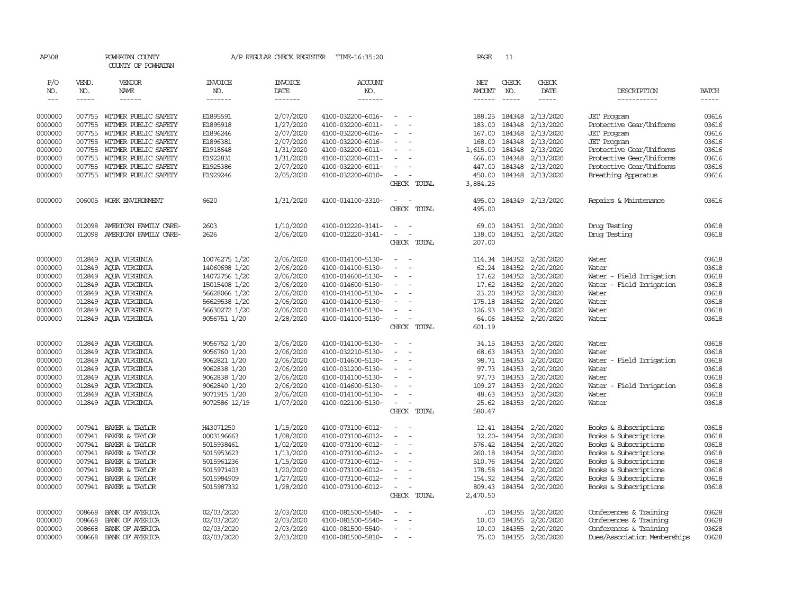| AP308         |        | POWHATAN COUNTY<br>COUNTY OF POWHATAN |                | A/P REGULAR CHECK REGISTER | TIME-16:35:20     |                  | PAGE     | 11            |                        |                              |              |
|---------------|--------|---------------------------------------|----------------|----------------------------|-------------------|------------------|----------|---------------|------------------------|------------------------------|--------------|
| P/O           | VEND.  | VENDOR                                | <b>INVOICE</b> | <b>INVOICE</b>             | ACCOUNT           |                  | NET      | CHECK         | CHECK                  |                              |              |
| NO.           | NO.    | NAME                                  | NO.            | DATE                       | NO.               |                  | AMOUNT   | NO.           | DATE                   | DESCRIPTION                  | <b>BATCH</b> |
| $\frac{1}{2}$ | -----  | ------                                | -------        | -------                    | -------           |                  | ------   | $\frac{1}{2}$ | -----                  | -----------                  | $- - - - -$  |
|               |        |                                       |                |                            |                   |                  |          |               |                        |                              |              |
| 0000000       |        | 007755 WITMER PUBLIC SAFETY           | E1895591       | 2/07/2020                  | 4100-032200-6016- | $\sim$           | 188.25   | 184348        | 2/13/2020              | <b>JET</b> Program           | 03616        |
| 0000000       | 007755 | WITMER PUBLIC SAFETY                  | E1895918       | 1/27/2020                  | 4100-032200-6011- |                  | 183.00   | 184348        | 2/13/2020              | Protective Gear/Uniforms     | 03616        |
| 0000000       | 007755 | WITMER PUBLIC SAFETY                  | E1896246       | 2/07/2020                  | 4100-032200-6016- |                  | 167.00   | 184348        | 2/13/2020              | <b>JET</b> Program           | 03616        |
| 0000000       | 007755 | WITMER PUBLIC SAFETY                  | E1896381       | 2/07/2020                  | 4100-032200-6016- | $\blacksquare$   | 168.00   | 184348        | 2/13/2020              | <b>JET</b> Program           | 03616        |
| 0000000       | 007755 | WITMER PUBLIC SAFETY                  | E1918648       | 1/31/2020                  | 4100-032200-6011- |                  | 1,615.00 | 184348        | 2/13/2020              | Protective Gear/Uniforms     | 03616        |
| 0000000       | 007755 | WITMER PUBLIC SAFETY                  | E1922831       | 1/31/2020                  | 4100-032200-6011- |                  | 666.00   | 184348        | 2/13/2020              | Protective Gear/Uniforms     | 03616        |
| 0000000       | 007755 | WITMER PUBLIC SAFETY                  | E1925386       | 2/07/2020                  | 4100-032200-6011- |                  | 447.00   | 184348        | 2/13/2020              | Protective Gear/Uniforms     | 03616        |
| 0000000       | 007755 | WITMER PUBLIC SAFETY                  | E1929246       | 2/05/2020                  | 4100-032200-6010- | $\equiv$         | 450.00   | 184348        | 2/13/2020              | Breathing Apparatus          | 03616        |
|               |        |                                       |                |                            |                   | CHECK TOTAL      | 3,884.25 |               |                        |                              |              |
| 0000000       |        | 006005 WORK ENVIRONMENT               | 6620           | 1/31/2020                  | 4100-014100-3310- | $\equiv$<br>. —  | 495.00   |               | 184349 2/13/2020       | Repairs & Maintenance        | 03616        |
|               |        |                                       |                |                            |                   | CHECK TOTAL      | 495.00   |               |                        |                              |              |
|               |        |                                       |                |                            |                   |                  |          |               |                        |                              |              |
| 0000000       | 012098 | AMERICAN FAMILY CARE-                 | 2603           | 1/10/2020                  | 4100-012220-3141- |                  | 69.00    | 184351        | 2/20/2020              | Drug Testing                 | 03618        |
| 0000000       | 012098 | AMERICAN FAMILY CARE-                 | 2626           | 2/06/2020                  | 4100-012220-3141- | $\equiv$         | 138.00   | 184351        | 2/20/2020              | Drug Testing                 | 03618        |
|               |        |                                       |                |                            |                   | CHECK TOTAL      | 207.00   |               |                        |                              |              |
| 0000000       | 012849 | AOUA VIRGINIA                         | 10076275 1/20  | 2/06/2020                  | 4100-014100-5130- | $\sim$<br>$\sim$ |          | 114.34 184352 | 2/20/2020              | Water                        | 03618        |
| 0000000       | 012849 | AOUA VIRGINIA                         | 14060698 1/20  | 2/06/2020                  | 4100-014100-5130- |                  | 62.24    | 184352        | 2/20/2020              | Water                        | 03618        |
| 0000000       | 012849 | AQUA VIRGINIA                         | 14072756 1/20  | 2/06/2020                  | 4100-014600-5130- |                  | 17.62    | 184352        | 2/20/2020              | Water - Field Irrigation     | 03618        |
| 0000000       | 012849 | AQUA VIRGINIA                         | 15015408 1/20  | 2/06/2020                  | 4100-014600-5130- | $\equiv$         |          | 17.62 184352  | 2/20/2020              | Water - Field Irrigation     | 03618        |
| 0000000       | 012849 | AQUA VIRGINIA                         | 56628066 1/20  | 2/06/2020                  | 4100-014100-5130- |                  | 23.20    | 184352        | 2/20/2020              | Water                        | 03618        |
| 0000000       | 012849 | AOUA VIRGINIA                         | 56629538 1/20  | 2/06/2020                  | 4100-014100-5130- |                  | 175.18   | 184352        | 2/20/2020              | Water                        | 03618        |
| 0000000       | 012849 | AQUA VIRGINIA                         | 56630272 1/20  | 2/06/2020                  | 4100-014100-5130- |                  | 126.93   | 184352        | 2/20/2020              | Water                        | 03618        |
| 0000000       | 012849 | AOUA VIRGINIA                         | 9056751 1/20   | 2/28/2020                  | 4100-014100-5130- | $\equiv$         | 64.06    | 184352        | 2/20/2020              | Water                        | 03618        |
|               |        |                                       |                |                            |                   | CHECK TOTAL      | 601.19   |               |                        |                              |              |
|               |        |                                       |                |                            |                   |                  |          |               |                        |                              |              |
| 0000000       | 012849 | AQUA VIRGINIA                         | 9056752 1/20   | 2/06/2020                  | 4100-014100-5130- | $\equiv$         | 34.15    | 184353        | 2/20/2020              | Water                        | 03618        |
| 0000000       | 012849 | AOUA VIRGINIA                         | 9056760 1/20   | 2/06/2020                  | 4100-032210-5130- | $\sim$           | 68.63    | 184353        | 2/20/2020              | Water                        | 03618        |
| 0000000       | 012849 | AQUA VIRGINIA                         | 9062821 1/20   | 2/06/2020                  | 4100-014600-5130- |                  |          | 98.71 184353  | 2/20/2020              | Water - Field Irrigation     | 03618        |
| 0000000       | 012849 | ACUA VIRGINIA                         | 9062838 1/20   | 2/06/2020                  | 4100-031200-5130- |                  |          | 97.73 184353  | 2/20/2020              | Water                        | 03618        |
| 0000000       | 012849 | AOUA VIRGINIA                         | 9062838 1/20   | 2/06/2020                  | 4100-014100-5130- |                  | 97.73    | 184353        | 2/20/2020              | Water                        | 03618        |
| 0000000       | 012849 | ACUA VIRGINIA                         | 9062840 1/20   | 2/06/2020                  | 4100-014600-5130- |                  | 109.27   | 184353        | 2/20/2020              | Water - Field Irrigation     | 03618        |
| 0000000       | 012849 | AQUA VIRGINIA                         | 9071915 1/20   | 2/06/2020                  | 4100-014100-5130- |                  | 48.63    | 184353        | 2/20/2020              | Water                        | 03618        |
| 0000000       |        | 012849 AQUA VIRGINIA                  | 9072586 12/19  | 1/07/2020                  | 4100-022100-5130- | $\sim$           |          |               | 25.62 184353 2/20/2020 | Water                        | 03618        |
|               |        |                                       |                |                            |                   | CHECK TOTAL      | 580.47   |               |                        |                              |              |
| 0000000       | 007941 | BAKER & TAYLOR                        | H43071250      | 1/15/2020                  | 4100-073100-6012- |                  |          |               | 12.41 184354 2/20/2020 | Books & Subscriptions        | 03618        |
| 0000000       | 007941 | BAKER & TAYLOR                        | 0003196663     | 1/08/2020                  | 4100-073100-6012- |                  |          | 32.20-184354  | 2/20/2020              | Books & Subscriptions        | 03618        |
| 0000000       | 007941 | BAKER & TAYLOR                        | 5015938461     | 1/02/2020                  | 4100-073100-6012- | $\equiv$         |          | 576.42 184354 | 2/20/2020              | Books & Subscriptions        | 03618        |
| 0000000       | 007941 | BAKER & TAYLOR                        | 5015953623     | 1/13/2020                  | 4100-073100-6012- |                  |          | 260.18 184354 | 2/20/2020              | Books & Subscriptions        | 03618        |
| 0000000       | 007941 | BAKER & TAYLOR                        | 5015961236     | 1/15/2020                  | 4100-073100-6012- | $\equiv$         |          | 510.76 184354 | 2/20/2020              | Books & Subscriptions        | 03618        |
| 0000000       | 007941 | BAKER & TAYLOR                        | 5015971403     | 1/20/2020                  | 4100-073100-6012- |                  | 178.58   | 184354        | 2/20/2020              | Books & Subscriptions        | 03618        |
| 0000000       | 007941 | BAKER & TAYLOR                        | 5015984909     | 1/27/2020                  | 4100-073100-6012- |                  | 154.92   | 184354        | 2/20/2020              | Books & Subscriptions        | 03618        |
| 0000000       |        | 007941 BAKER & TAYLOR                 | 5015987332     | 1/28/2020                  | 4100-073100-6012- | $\equiv$         | 809.43   |               | 184354 2/20/2020       | Books & Subscriptions        | 03618        |
|               |        |                                       |                |                            |                   | CHECK TOTAL      | 2,470.50 |               |                        |                              |              |
|               |        |                                       |                |                            |                   |                  |          |               |                        |                              |              |
| 0000000       | 008668 | BANK OF AMERICA                       | 02/03/2020     | 2/03/2020                  | 4100-081500-5540- |                  | .00      | 184355        | 2/20/2020              | Conferences & Training       | 03628        |
| 0000000       | 008668 | BANK OF AMERICA                       | 02/03/2020     | 2/03/2020                  | 4100-081500-5540- |                  | 10.00    | 184355        | 2/20/2020              | Conferences & Training       | 03628        |
| 0000000       | 008668 | BANK OF AMERICA                       | 02/03/2020     | 2/03/2020                  | 4100-081500-5540- |                  | 10.00    | 184355        | 2/20/2020              | Conferences & Training       | 03628        |
| 0000000       | 008668 | BANK OF AMERICA                       | 02/03/2020     | 2/03/2020                  | 4100-081500-5810- |                  | 75.00    |               | 184355 2/20/2020       | Dues/Association Memberships | 03628        |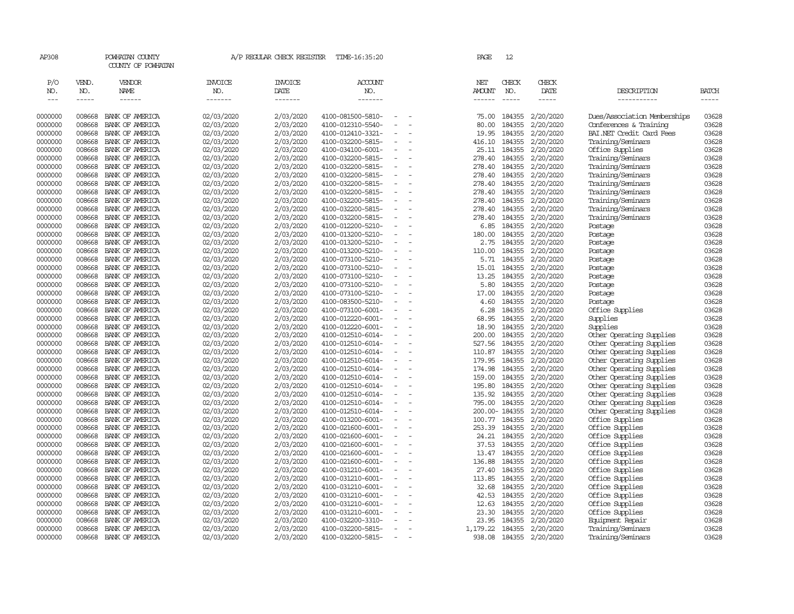| AP308               |                       | POWHATAN COUNTY<br>COUNTY OF POWHATAN |                                  |                                   | A/P REGULAR CHECK REGISTER TIME-16:35:20 |                          | PAGE                    | 12                            |                        |                              |                          |
|---------------------|-----------------------|---------------------------------------|----------------------------------|-----------------------------------|------------------------------------------|--------------------------|-------------------------|-------------------------------|------------------------|------------------------------|--------------------------|
| P/O<br>NO.<br>$---$ | VEND.<br>NO.<br>----- | <b>VENDOR</b><br>NAME<br>------       | <b>INVOICE</b><br>NO.<br>------- | <b>INVOICE</b><br>DATE<br>------- | <b>ACCOUNT</b><br>NO.<br>-------         |                          | NET<br>AMOUNT<br>------ | CHECK<br>NO.<br>$\frac{1}{2}$ | CHECK<br>DATE<br>----- | DESCRIPTION<br>-----------   | <b>BATCH</b><br>$\cdots$ |
|                     |                       |                                       |                                  |                                   |                                          |                          |                         |                               |                        |                              |                          |
| 0000000             | 008668                | BANK OF AMERICA                       | 02/03/2020                       | 2/03/2020                         | 4100-081500-5810-                        |                          | 75.00                   | 184355                        | 2/20/2020              | Dues/Association Memberships | 03628                    |
| 0000000             | 008668                | BANK OF AMERICA                       | 02/03/2020                       | 2/03/2020                         | 4100-012310-5540-                        |                          | 80.00                   | 184355                        | 2/20/2020              | Conferences & Training       | 03628                    |
| 0000000             | 008668                | BANK OF AMERICA                       | 02/03/2020                       | 2/03/2020                         | 4100-012410-3321-                        |                          | 19.95                   | 184355                        | 2/20/2020              | BAI.NET Credit Card Fees     | 03628                    |
| 0000000             | 008668                | BANK OF AMERICA                       | 02/03/2020                       | 2/03/2020                         | 4100-032200-5815-                        |                          | 416.10                  | 184355                        | 2/20/2020              | Training/Seminars            | 03628                    |
| 0000000             | 008668                | BANK OF AMERICA                       | 02/03/2020                       | 2/03/2020                         | 4100-034100-6001-                        |                          |                         | 25.11 184355                  | 2/20/2020              | Office Supplies              | 03628                    |
| 0000000             | 008668                | BANK OF AMERICA                       | 02/03/2020                       | 2/03/2020                         | 4100-032200-5815-                        |                          | 278.40                  | 184355                        | 2/20/2020              | Training/Seminars            | 03628                    |
| 0000000             | 008668                | BANK OF AMERICA                       | 02/03/2020                       | 2/03/2020                         | 4100-032200-5815-                        |                          | 278.40                  | 184355                        | 2/20/2020              | Training/Seminars            | 03628                    |
| 0000000             | 008668                | BANK OF AMERICA                       | 02/03/2020                       | 2/03/2020                         | 4100-032200-5815-                        |                          |                         | 278.40 184355                 | 2/20/2020              | Training/Seminars            | 03628                    |
| 0000000             | 008668                | BANK OF AMERICA                       | 02/03/2020                       | 2/03/2020                         | 4100-032200-5815-                        |                          | 278.40                  | 184355                        | 2/20/2020              | Training/Seminars            | 03628                    |
| 0000000             | 008668                | BANK OF AMERICA                       | 02/03/2020                       | 2/03/2020                         | 4100-032200-5815-                        | $\equiv$                 | 278.40                  | 184355                        | 2/20/2020              | Training/Seminars            | 03628                    |
| 0000000             | 008668                | BANK OF AMERICA                       | 02/03/2020                       | 2/03/2020                         | 4100-032200-5815-                        |                          | 278.40                  | 184355                        | 2/20/2020              | Training/Seminars            | 03628                    |
| 0000000             | 008668                | BANK OF AMERICA                       | 02/03/2020                       | 2/03/2020                         | 4100-032200-5815-                        | $\overline{\phantom{a}}$ |                         | 278.40 184355                 | 2/20/2020              | Training/Seminars            | 03628                    |
| 0000000             | 008668                | BANK OF AMERICA                       | 02/03/2020                       | 2/03/2020                         | 4100-032200-5815-                        |                          | 278.40                  | 184355                        | 2/20/2020              | Training/Seminars            | 03628                    |
| 0000000             | 008668                | BANK OF AMERICA                       | 02/03/2020                       | 2/03/2020                         | 4100-012200-5210-                        |                          | 6.85                    | 184355                        | 2/20/2020              | Postage                      | 03628                    |
| 0000000             | 008668                | BANK OF AMERICA                       | 02/03/2020                       | 2/03/2020                         | 4100-013200-5210-                        |                          | 180.00                  | 184355                        | 2/20/2020              | Postage                      | 03628                    |
| 0000000             | 008668                | BANK OF AMERICA                       | 02/03/2020                       | 2/03/2020                         | 4100-013200-5210-                        |                          | 2.75                    | 184355                        | 2/20/2020              | Postage                      | 03628                    |
| 0000000             | 008668                | BANK OF AMERICA                       | 02/03/2020                       | 2/03/2020                         | 4100-013200-5210-                        |                          | 110.00                  | 184355                        | 2/20/2020              | Postage                      | 03628                    |
| 0000000             | 008668                | BANK OF AMERICA                       | 02/03/2020                       | 2/03/2020                         | 4100-073100-5210-                        |                          | 5.71                    | 184355                        | 2/20/2020              | Postage                      | 03628                    |
| 0000000             | 008668                | BANK OF AMERICA                       | 02/03/2020                       | 2/03/2020                         | 4100-073100-5210-                        |                          | 15.01                   | 184355                        | 2/20/2020              | Postage                      | 03628                    |
| 0000000             | 008668                | BANK OF AMERICA                       | 02/03/2020                       | 2/03/2020                         | 4100-073100-5210-                        |                          | 13.25                   | 184355                        | 2/20/2020              | Postage                      | 03628                    |
| 0000000             | 008668                | BANK OF AMERICA                       | 02/03/2020                       | 2/03/2020                         | 4100-073100-5210-                        | $\sim$                   | 5.80                    | 184355                        | 2/20/2020              | Postage                      | 03628                    |
| 0000000             | 008668                | BANK OF AMERICA                       | 02/03/2020                       | 2/03/2020                         | 4100-073100-5210-                        |                          | 17.00                   | 184355                        | 2/20/2020              | Postage                      | 03628                    |
| 0000000             | 008668                | BANK OF AMERICA                       | 02/03/2020                       | 2/03/2020                         | 4100-083500-5210-                        | $\equiv$                 | 4.60                    | 184355                        | 2/20/2020              | Postage                      | 03628                    |
| 0000000             | 008668                | BANK OF AMERICA                       | 02/03/2020                       | 2/03/2020                         | 4100-073100-6001-                        |                          | 6.28                    | 184355                        | 2/20/2020              | Office Supplies              | 03628                    |
| 0000000             | 008668                | BANK OF AMERICA                       | 02/03/2020                       | 2/03/2020                         | 4100-012220-6001-                        |                          | 68.95                   | 184355                        | 2/20/2020              | Supplies                     | 03628                    |
| 0000000             | 008668                | BANK OF AMERICA                       | 02/03/2020                       | 2/03/2020                         | 4100-012220-6001-                        |                          | 18.90                   | 184355                        | 2/20/2020              | Supplies                     | 03628                    |
| 0000000             | 008668                | BANK OF AMERICA                       | 02/03/2020                       | 2/03/2020                         | 4100-012510-6014-                        |                          | 200.00                  | 184355                        | 2/20/2020              | Other Operating Supplies     | 03628                    |
| 0000000             | 008668                | BANK OF AMERICA                       | 02/03/2020                       | 2/03/2020                         | 4100-012510-6014-                        |                          | 527.56                  | 184355                        | 2/20/2020              | Other Operating Supplies     | 03628                    |
| 0000000             | 008668                | BANK OF AMERICA                       | 02/03/2020                       | 2/03/2020                         | 4100-012510-6014-                        |                          | 110.87                  | 184355                        | 2/20/2020              | Other Operating Supplies     | 03628                    |
| 0000000             | 008668                | BANK OF AMERICA                       | 02/03/2020                       | 2/03/2020                         | 4100-012510-6014-                        | $\equiv$                 |                         | 179.95 184355                 | 2/20/2020              | Other Operating Supplies     | 03628                    |
| 0000000             | 008668                | BANK OF AMERICA                       | 02/03/2020                       | 2/03/2020                         | 4100-012510-6014-                        |                          | 174.98                  | 184355                        | 2/20/2020              | Other Operating Supplies     | 03628                    |
| 0000000             | 008668                | BANK OF AMERICA                       | 02/03/2020                       | 2/03/2020                         | 4100-012510-6014-                        | $\equiv$                 | 159.00                  | 184355                        | 2/20/2020              | Other Operating Supplies     | 03628                    |
| 0000000             | 008668                | BANK OF AMERICA                       | 02/03/2020                       | 2/03/2020                         | 4100-012510-6014-                        |                          | 195.80                  | 184355                        | 2/20/2020              | Other Operating Supplies     | 03628                    |
| 0000000             | 008668                | BANK OF AMERICA                       | 02/03/2020                       | 2/03/2020                         | 4100-012510-6014-                        | $\sim$                   |                         | 135.92 184355                 | 2/20/2020              | Other Operating Supplies     | 03628                    |
| 0000000             | 008668                | BANK OF AMERICA                       | 02/03/2020                       | 2/03/2020                         | 4100-012510-6014-                        |                          | 795.00                  | 184355                        | 2/20/2020              | Other Operating Supplies     | 03628                    |
| 0000000             | 008668                | BANK OF AMERICA                       | 02/03/2020                       | 2/03/2020                         | 4100-012510-6014-                        |                          |                         | 200.00-184355                 | 2/20/2020              | Other Operating Supplies     | 03628                    |
| 0000000             | 008668                | BANK OF AMERICA                       | 02/03/2020                       | 2/03/2020                         | 4100-013200-6001-                        |                          |                         | 100.77 184355                 | 2/20/2020              | Office Supplies              | 03628                    |
| 0000000             | 008668                | BANK OF AMERICA                       | 02/03/2020                       | 2/03/2020                         | 4100-021600-6001-                        |                          | 253.39                  | 184355                        | 2/20/2020              | Office Supplies              | 03628                    |
| 0000000             | 008668                | BANK OF AMERICA                       | 02/03/2020                       | 2/03/2020                         | 4100-021600-6001-                        |                          | 24.21                   | 184355                        | 2/20/2020              | Office Supplies              | 03628                    |
| 0000000             | 008668                | BANK OF AMERICA                       | 02/03/2020                       | 2/03/2020                         | 4100-021600-6001-                        |                          |                         | 37.53 184355                  | 2/20/2020              | Office Supplies              | 03628                    |
| 0000000             | 008668                | BANK OF AMERICA                       | 02/03/2020                       | 2/03/2020                         | 4100-021600-6001-                        | $\overline{\phantom{a}}$ |                         | 13.47 184355                  | 2/20/2020              | Office Supplies              | 03628                    |
| 0000000             | 008668                | BANK OF AMERICA                       | 02/03/2020                       | 2/03/2020                         | 4100-021600-6001-                        |                          | 136.88                  | 184355                        | 2/20/2020              | Office Supplies              | 03628                    |
| 0000000             | 008668                | BANK OF AMERICA                       | 02/03/2020                       | 2/03/2020                         | 4100-031210-6001-                        |                          | 27.40                   | 184355                        | 2/20/2020              | Office Supplies              | 03628                    |
| 0000000             | 008668                | BANK OF AMERICA                       | 02/03/2020                       | 2/03/2020                         | 4100-031210-6001-                        |                          |                         | 113.85 184355                 | 2/20/2020              | Office Supplies              | 03628                    |
| 0000000             | 008668                | BANK OF AMERICA                       | 02/03/2020                       | 2/03/2020                         | 4100-031210-6001-                        | $\equiv$                 |                         | 32.68 184355                  | 2/20/2020              | Office Supplies              | 03628                    |
| 0000000             | 008668                | BANK OF AMERICA                       | 02/03/2020                       | 2/03/2020                         | 4100-031210-6001-                        |                          | 42.53                   | 184355                        | 2/20/2020              | Office Supplies              | 03628                    |
| 0000000             | 008668                | BANK OF AMERICA                       | 02/03/2020                       | 2/03/2020                         | 4100-031210-6001-                        |                          | 12.63                   | 184355                        | 2/20/2020              | Office Supplies              | 03628                    |
| 0000000             | 008668                | BANK OF AMERICA                       | 02/03/2020                       | 2/03/2020                         | 4100-031210-6001-                        |                          | 23.30                   | 184355                        | 2/20/2020              | Office Supplies              | 03628                    |
| 0000000             | 008668                | BANK OF AMERICA                       | 02/03/2020                       | 2/03/2020                         | 4100-032200-3310-                        |                          | 23.95                   | 184355                        | 2/20/2020              | Equipment Repair             | 03628                    |
| 0000000             | 008668                | BANK OF AMERICA                       | 02/03/2020                       | 2/03/2020                         | 4100-032200-5815-                        |                          | 1,179.22                | 184355                        | 2/20/2020              | Training/Seminars            | 03628                    |
| 0000000             | 008668                | BANK OF AMERICA                       | 02/03/2020                       | 2/03/2020                         | 4100-032200-5815-                        |                          | 938.08                  |                               | 184355 2/20/2020       | Training/Seminars            | 03628                    |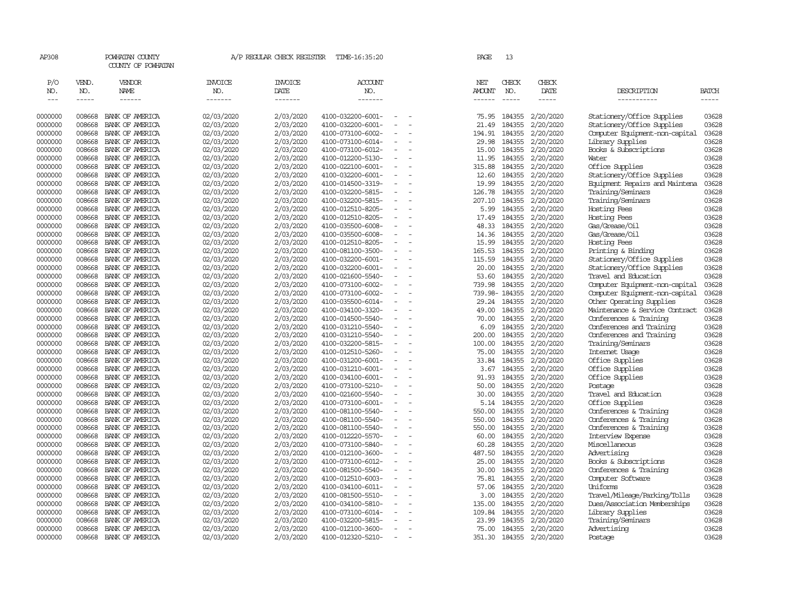| P/O<br>VEND.<br><b>VENDOR</b><br><b>INVOICE</b><br><b>INVOICE</b><br><b>ACCOUNT</b><br>NET<br>CHECK<br><b>CHECK</b><br>NO.<br>NO.<br>NAME<br>NO.<br>DATE<br>NO.<br><b>AMOUNT</b><br>NO.<br>DATE<br>DESCRIPTION<br>$- - - - - -$<br>-------<br>-------<br>-------<br>-----<br>-----------<br>$\frac{1}{2}$<br>$- - - - -$<br>$\frac{1}{2}$<br>$- - - - - -$<br>02/03/2020<br>2/03/2020<br>2/20/2020<br>Stationery/Office Supplies<br>0000000<br>008668<br>BANK OF AMERICA<br>4100-032200-6001-<br>75.95<br>184355<br>008668<br>02/03/2020<br>2/03/2020<br>4100-032200-6001-<br>184355<br>2/20/2020<br>Stationery/Office Supplies<br>0000000<br>BANK OF AMERICA<br>21.49<br>$\equiv$<br>02/03/2020<br>2/03/2020<br>2/20/2020<br>Computer Equipment-non-capital<br>0000000<br>008668<br>BANK OF AMERICA<br>4100-073100-6002-<br>194.91<br>184355<br>2/03/2020<br>2/20/2020<br>0000000<br>008668<br>BANK OF AMERICA<br>02/03/2020<br>4100-073100-6014-<br>29.98<br>184355<br>Library Supplies<br>$\equiv$<br>0000000<br>008668<br>BANK OF AMERICA<br>02/03/2020<br>2/03/2020<br>4100-073100-6012-<br>15.00<br>184355<br>2/20/2020<br>Books & Subscriptions<br>02/03/2020<br>2/03/2020<br>4100-012200-5130-<br>184355<br>2/20/2020<br>0000000<br>008668<br>BANK OF AMERICA<br>11.95<br>Water<br>$\sim$<br>2/03/2020<br>2/20/2020<br>Office Supplies<br>03628<br>0000000<br>008668<br>BANK OF AMERICA<br>02/03/2020<br>4100-022100-6001-<br>315.88<br>184355<br>$\blacksquare$<br>2/03/2020<br>184355<br>2/20/2020<br>03628<br>0000000<br>008668<br>BANK OF AMERICA<br>02/03/2020<br>4100-032200-6001-<br>12.60<br>Stationery/Office Supplies<br>2/03/2020<br>184355<br>2/20/2020<br>03628<br>0000000<br>008668<br>02/03/2020<br>19.99<br>Equipment Repairs and Maintena<br>BANK OF AMERICA<br>4100-014500-3319-<br>03628<br>008668<br>02/03/2020<br>2/03/2020<br>126.78<br>184355<br>2/20/2020<br>Training/Seminars<br>0000000<br>BANK OF AMERICA<br>4100-032200-5815-<br>$\overline{\phantom{a}}$<br>02/03/2020<br>2/03/2020<br>207.10<br>184355<br>2/20/2020<br>Training/Seminars<br>03628<br>0000000<br>008668<br>BANK OF AMERICA<br>4100-032200-5815-<br>008668<br>2/03/2020<br>5.99<br>184355<br>2/20/2020<br>03628<br>0000000<br>BANK OF AMERICA<br>02/03/2020<br>4100-012510-8205-<br>Hosting Fees<br>008668<br>02/03/2020<br>2/03/2020<br>4100-012510-8205-<br>184355<br>2/20/2020<br>Hosting Fees<br>03628<br>0000000<br>BANK OF AMERICA<br>17.49<br>$\equiv$<br>02/03/2020<br>2/03/2020<br>184355<br>2/20/2020<br>Gas/Grease/Oil<br>03628<br>0000000<br>008668<br>BANK OF AMERICA<br>4100-035500-6008-<br>48.33<br>2/03/2020<br>184355<br>2/20/2020<br>Gas/Grease/Oil<br>03628<br>0000000<br>008668<br>BANK OF AMERICA<br>02/03/2020<br>4100-035500-6008-<br>14.36<br>$\sim$<br>008668<br>02/03/2020<br>2/03/2020<br>4100-012510-8205-<br>184355<br>2/20/2020<br>03628<br>0000000<br>BANK OF AMERICA<br>15.99<br>Hosting Fees<br>2/03/2020<br>2/20/2020<br>03628<br>0000000<br>008668<br>BANK OF AMERICA<br>02/03/2020<br>4100-081100-3500-<br>165.53<br>184355<br>Printing & Binding<br>$\overline{\phantom{a}}$<br>2/03/2020<br>184355<br>2/20/2020<br>03628<br>0000000<br>008668<br>02/03/2020<br>4100-032200-6001-<br>115.59<br>Stationery/Office Supplies<br>BANK OF AMERICA<br>$\blacksquare$<br>03628<br>008668<br>02/03/2020<br>2/03/2020<br>20.00<br>184355<br>2/20/2020<br>Stationery/Office Supplies<br>0000000<br>BANK OF AMERICA<br>4100-032200-6001-<br>008668<br>02/03/2020<br>2/03/2020<br>184355<br>2/20/2020<br>Travel and Education<br>0000000<br>BANK OF AMERICA<br>4100-021600-5540-<br>53.60<br>0000000<br>008668<br>02/03/2020<br>2/03/2020<br>4100-073100-6002-<br>739.98<br>184355<br>2/20/2020<br>Computer Equipment-non-capital<br>BANK OF AMERICA<br>0000000<br>008668<br>02/03/2020<br>2/03/2020<br>739.98-184355<br>2/20/2020<br>BANK OF AMERICA<br>4100-073100-6002-<br>Computer Equipment-non-capital<br>$\sim$<br>0000000<br>008668<br>02/03/2020<br>2/03/2020<br>4100-035500-6014-<br>29.24 184355<br>2/20/2020<br>Other Operating Supplies<br>BANK OF AMERICA<br>02/03/2020<br>2/03/2020<br>184355<br>2/20/2020<br>0000000<br>008668<br>BANK OF AMERICA<br>4100-034100-3320-<br>49.00<br>Maintenance & Service Contract<br>$\equiv$<br>02/03/2020<br>2/03/2020<br>184355<br>2/20/2020<br>0000000<br>008668<br>4100-014500-5540-<br>70.00<br>Conferences & Training<br>BANK OF AMERICA<br>$\overline{\phantom{a}}$<br>2/03/2020<br>184355<br>2/20/2020<br>0000000<br>008668<br>02/03/2020<br>4100-031210-5540-<br>6.09<br>Conferences and Training<br>BANK OF AMERICA<br>184355<br>0000000<br>008668<br>02/03/2020<br>2/03/2020<br>4100-031210-5540-<br>200.00<br>2/20/2020<br>Conferences and Training<br>BANK OF AMERICA<br>$\equiv$<br>Training/Seminars<br>0000000<br>008668<br>BANK OF AMERICA<br>02/03/2020<br>2/03/2020<br>4100-032200-5815-<br>100.00<br>184355<br>2/20/2020<br>0000000<br>008668<br>BANK OF AMERICA<br>02/03/2020<br>2/03/2020<br>4100-012510-5260-<br>75.00<br>184355<br>2/20/2020<br>Internet Usage<br>$\equiv$<br>0000000<br>008668<br>02/03/2020<br>2/03/2020<br>4100-031200-6001-<br>184355<br>2/20/2020<br>Office Supplies<br>BANK OF AMERICA<br>33.84<br>0000000<br>008668<br>BANK OF AMERICA<br>02/03/2020<br>2/03/2020<br>4100-031210-6001-<br>3.67<br>184355<br>2/20/2020<br>Office Supplies<br>$\equiv$<br>0000000<br>008668<br>02/03/2020<br>2/03/2020<br>4100-034100-6001-<br>184355<br>2/20/2020<br>BANK OF AMERICA<br>91.93<br>Office Supplies<br>008668<br>02/03/2020<br>2/03/2020<br>184355<br>2/20/2020<br>0000000<br>BANK OF AMERICA<br>4100-073100-5210-<br>50.00<br>Postage<br>02/03/2020<br>2/03/2020<br>184355<br>2/20/2020<br>Travel and Education<br>0000000<br>008668<br>30.00<br>BANK OF AMERICA<br>4100-021600-5540-<br>$\overline{\phantom{a}}$<br>03628<br>008668<br>02/03/2020<br>2/03/2020<br>5.14<br>184355<br>2/20/2020<br>Office Supplies<br>0000000<br>BANK OF AMERICA<br>4100-073100-6001-<br>2/03/2020<br>03628<br>0000000<br>008668<br>BANK OF AMERICA<br>02/03/2020<br>4100-081100-5540-<br>550.00<br>184355<br>2/20/2020<br>Conferences & Training<br>$\equiv$<br>Conferences & Training<br>0000000<br>008668<br>BANK OF AMERICA<br>02/03/2020<br>2/03/2020<br>4100-081100-5540-<br>550.00<br>184355<br>2/20/2020<br>03628<br>184355<br>2/20/2020<br>03628<br>0000000<br>008668<br>BANK OF AMERICA<br>02/03/2020<br>2/03/2020<br>4100-081100-5540-<br>550.00<br>Conferences & Training<br>$\equiv$<br>0000000<br>008668<br>BANK OF AMERICA<br>02/03/2020<br>2/03/2020<br>4100-012220-5570-<br>60.00<br>184355<br>2/20/2020<br>Interview Expense<br>03628<br>0000000<br>008668<br>02/03/2020<br>2/03/2020<br>4100-073100-5840-<br>60.28<br>184355<br>2/20/2020<br>Miscellaneous<br>03628<br>BANK OF AMERICA<br>$\blacksquare$<br>2/03/2020<br>2/20/2020<br>03628<br>0000000<br>008668<br>02/03/2020<br>4100-012100-3600-<br>487.50<br>184355<br>Advertising<br>BANK OF AMERICA<br>008668<br>2/03/2020<br>184355<br>Books & Subscriptions<br>03628<br>0000000<br>BANK OF AMERICA<br>02/03/2020<br>4100-073100-6012-<br>25.00<br>2/20/2020<br>$\overline{\phantom{a}}$<br>2/03/2020<br>2/20/2020<br>Conferences & Training<br>03628<br>0000000<br>008668<br>BANK OF AMERICA<br>02/03/2020<br>4100-081500-5540-<br>30.00<br>184355<br>0000000<br>008668<br>BANK OF AMERICA<br>02/03/2020<br>2/03/2020<br>4100-012510-6003-<br>75.81<br>184355<br>2/20/2020<br>Computer Software<br>03628<br>Uniforms<br>03628<br>0000000<br>008668<br>BANK OF AMERICA<br>02/03/2020<br>2/03/2020<br>4100-034100-6011-<br>57.06<br>184355<br>2/20/2020<br>$\overline{\phantom{a}}$<br>2/03/2020<br>184355<br>2/20/2020<br>0000000<br>008668<br>BANK OF AMERICA<br>02/03/2020<br>4100-081500-5510-<br>3.00<br>Travel/Mileage/Parking/Tolls<br>03628<br>$\equiv$<br>0000000<br>008668<br>BANK OF AMERICA<br>02/03/2020<br>2/03/2020<br>4100-034100-5810-<br>135.00<br>184355<br>2/20/2020<br>Dues/Association Memberships<br>2/03/2020<br>184355<br>2/20/2020<br>0000000<br>008668<br>BANK OF AMERICA<br>02/03/2020<br>4100-073100-6014-<br>Library Supplies<br>109.84<br>008668<br>2/03/2020<br>23.99<br>184355<br>2/20/2020<br>Training/Seminars<br>0000000<br>BANK OF AMERICA<br>02/03/2020<br>4100-032200-5815-<br>0000000<br>02/03/2020<br>2/03/2020<br>184355<br>2/20/2020<br>Advertising<br>008668<br>BANK OF AMERICA<br>4100-012100-3600-<br>75.00<br>$\overline{\phantom{a}}$<br>0000000<br>008668<br>2/03/2020<br>4100-012320-5210-<br>351.30<br>184355<br>BANK OF AMERICA<br>$\overline{\phantom{a}}$ | AP308 | POWHATAN COUNTY<br>COUNTY OF POWHATAN |            | A/P REGULAR CHECK REGISTER | TIME-16:35:20 |  | PAGE | 13 |           |         |                |
|----------------------------------------------------------------------------------------------------------------------------------------------------------------------------------------------------------------------------------------------------------------------------------------------------------------------------------------------------------------------------------------------------------------------------------------------------------------------------------------------------------------------------------------------------------------------------------------------------------------------------------------------------------------------------------------------------------------------------------------------------------------------------------------------------------------------------------------------------------------------------------------------------------------------------------------------------------------------------------------------------------------------------------------------------------------------------------------------------------------------------------------------------------------------------------------------------------------------------------------------------------------------------------------------------------------------------------------------------------------------------------------------------------------------------------------------------------------------------------------------------------------------------------------------------------------------------------------------------------------------------------------------------------------------------------------------------------------------------------------------------------------------------------------------------------------------------------------------------------------------------------------------------------------------------------------------------------------------------------------------------------------------------------------------------------------------------------------------------------------------------------------------------------------------------------------------------------------------------------------------------------------------------------------------------------------------------------------------------------------------------------------------------------------------------------------------------------------------------------------------------------------------------------------------------------------------------------------------------------------------------------------------------------------------------------------------------------------------------------------------------------------------------------------------------------------------------------------------------------------------------------------------------------------------------------------------------------------------------------------------------------------------------------------------------------------------------------------------------------------------------------------------------------------------------------------------------------------------------------------------------------------------------------------------------------------------------------------------------------------------------------------------------------------------------------------------------------------------------------------------------------------------------------------------------------------------------------------------------------------------------------------------------------------------------------------------------------------------------------------------------------------------------------------------------------------------------------------------------------------------------------------------------------------------------------------------------------------------------------------------------------------------------------------------------------------------------------------------------------------------------------------------------------------------------------------------------------------------------------------------------------------------------------------------------------------------------------------------------------------------------------------------------------------------------------------------------------------------------------------------------------------------------------------------------------------------------------------------------------------------------------------------------------------------------------------------------------------------------------------------------------------------------------------------------------------------------------------------------------------------------------------------------------------------------------------------------------------------------------------------------------------------------------------------------------------------------------------------------------------------------------------------------------------------------------------------------------------------------------------------------------------------------------------------------------------------------------------------------------------------------------------------------------------------------------------------------------------------------------------------------------------------------------------------------------------------------------------------------------------------------------------------------------------------------------------------------------------------------------------------------------------------------------------------------------------------------------------------------------------------------------------------------------------------------------------------------------------------------------------------------------------------------------------------------------------------------------------------------------------------------------------------------------------------------------------------------------------------------------------------------------------------------------------------------------------------------------------------------------------------------------------------------------------------------------------------------------------------------------------------------------------------------------------------------------------------------------------------------------------------------------------------------------------------------------------------------------------------------------------------------------------------------------------------------------------------------------------------------------------------------------------------------------------------------------------------------------------------------------------------------------------------------------------------------------------------------------------------------------------------------------------------------------------------------------------------------------------------------------------------------------------------------------------------------------------------------------------------------------------------------------------------------------------------------------------------------------------------------------------------------------------------------------------------------------------------------------------------------------------------------------------------------------------------------------------------------------------------------------------------------------------------------------------------------------------------------------------------------------------------------------------------------------------------------------------------------------------------------------------------------------------------------------------------------------------------------------------------------------------------------------------------------------------------------------------------------------------------------------------------------------------------------------------------------------------------------------------------------------------------------------------------------------------------------------------------------------------------------------------------------------------------------------------------------------------------------------------------------|-------|---------------------------------------|------------|----------------------------|---------------|--|------|----|-----------|---------|----------------|
|                                                                                                                                                                                                                                                                                                                                                                                                                                                                                                                                                                                                                                                                                                                                                                                                                                                                                                                                                                                                                                                                                                                                                                                                                                                                                                                                                                                                                                                                                                                                                                                                                                                                                                                                                                                                                                                                                                                                                                                                                                                                                                                                                                                                                                                                                                                                                                                                                                                                                                                                                                                                                                                                                                                                                                                                                                                                                                                                                                                                                                                                                                                                                                                                                                                                                                                                                                                                                                                                                                                                                                                                                                                                                                                                                                                                                                                                                                                                                                                                                                                                                                                                                                                                                                                                                                                                                                                                                                                                                                                                                                                                                                                                                                                                                                                                                                                                                                                                                                                                                                                                                                                                                                                                                                                                                                                                                                                                                                                                                                                                                                                                                                                                                                                                                                                                                                                                                                                                                                                                                                                                                                                                                                                                                                                                                                                                                                                                                                                                                                                                                                                                                                                                                                                                                                                                                                                                                                                                                                                                                                                                                                                                                                                                                                                                                                                                                                                                                                                                                                                                                                                                                                                                                                                                                                                                                                                                                                                                                                                                                                                                                                                                                                                                                                                                                                                                                                                                                                                                                                                                                                                                    |       |                                       |            |                            |               |  |      |    |           |         | BATCH<br>----- |
|                                                                                                                                                                                                                                                                                                                                                                                                                                                                                                                                                                                                                                                                                                                                                                                                                                                                                                                                                                                                                                                                                                                                                                                                                                                                                                                                                                                                                                                                                                                                                                                                                                                                                                                                                                                                                                                                                                                                                                                                                                                                                                                                                                                                                                                                                                                                                                                                                                                                                                                                                                                                                                                                                                                                                                                                                                                                                                                                                                                                                                                                                                                                                                                                                                                                                                                                                                                                                                                                                                                                                                                                                                                                                                                                                                                                                                                                                                                                                                                                                                                                                                                                                                                                                                                                                                                                                                                                                                                                                                                                                                                                                                                                                                                                                                                                                                                                                                                                                                                                                                                                                                                                                                                                                                                                                                                                                                                                                                                                                                                                                                                                                                                                                                                                                                                                                                                                                                                                                                                                                                                                                                                                                                                                                                                                                                                                                                                                                                                                                                                                                                                                                                                                                                                                                                                                                                                                                                                                                                                                                                                                                                                                                                                                                                                                                                                                                                                                                                                                                                                                                                                                                                                                                                                                                                                                                                                                                                                                                                                                                                                                                                                                                                                                                                                                                                                                                                                                                                                                                                                                                                                                    |       |                                       |            |                            |               |  |      |    |           |         | 03628          |
|                                                                                                                                                                                                                                                                                                                                                                                                                                                                                                                                                                                                                                                                                                                                                                                                                                                                                                                                                                                                                                                                                                                                                                                                                                                                                                                                                                                                                                                                                                                                                                                                                                                                                                                                                                                                                                                                                                                                                                                                                                                                                                                                                                                                                                                                                                                                                                                                                                                                                                                                                                                                                                                                                                                                                                                                                                                                                                                                                                                                                                                                                                                                                                                                                                                                                                                                                                                                                                                                                                                                                                                                                                                                                                                                                                                                                                                                                                                                                                                                                                                                                                                                                                                                                                                                                                                                                                                                                                                                                                                                                                                                                                                                                                                                                                                                                                                                                                                                                                                                                                                                                                                                                                                                                                                                                                                                                                                                                                                                                                                                                                                                                                                                                                                                                                                                                                                                                                                                                                                                                                                                                                                                                                                                                                                                                                                                                                                                                                                                                                                                                                                                                                                                                                                                                                                                                                                                                                                                                                                                                                                                                                                                                                                                                                                                                                                                                                                                                                                                                                                                                                                                                                                                                                                                                                                                                                                                                                                                                                                                                                                                                                                                                                                                                                                                                                                                                                                                                                                                                                                                                                                                    |       |                                       |            |                            |               |  |      |    |           |         | 03628          |
|                                                                                                                                                                                                                                                                                                                                                                                                                                                                                                                                                                                                                                                                                                                                                                                                                                                                                                                                                                                                                                                                                                                                                                                                                                                                                                                                                                                                                                                                                                                                                                                                                                                                                                                                                                                                                                                                                                                                                                                                                                                                                                                                                                                                                                                                                                                                                                                                                                                                                                                                                                                                                                                                                                                                                                                                                                                                                                                                                                                                                                                                                                                                                                                                                                                                                                                                                                                                                                                                                                                                                                                                                                                                                                                                                                                                                                                                                                                                                                                                                                                                                                                                                                                                                                                                                                                                                                                                                                                                                                                                                                                                                                                                                                                                                                                                                                                                                                                                                                                                                                                                                                                                                                                                                                                                                                                                                                                                                                                                                                                                                                                                                                                                                                                                                                                                                                                                                                                                                                                                                                                                                                                                                                                                                                                                                                                                                                                                                                                                                                                                                                                                                                                                                                                                                                                                                                                                                                                                                                                                                                                                                                                                                                                                                                                                                                                                                                                                                                                                                                                                                                                                                                                                                                                                                                                                                                                                                                                                                                                                                                                                                                                                                                                                                                                                                                                                                                                                                                                                                                                                                                                                    |       |                                       |            |                            |               |  |      |    |           |         | 03628          |
|                                                                                                                                                                                                                                                                                                                                                                                                                                                                                                                                                                                                                                                                                                                                                                                                                                                                                                                                                                                                                                                                                                                                                                                                                                                                                                                                                                                                                                                                                                                                                                                                                                                                                                                                                                                                                                                                                                                                                                                                                                                                                                                                                                                                                                                                                                                                                                                                                                                                                                                                                                                                                                                                                                                                                                                                                                                                                                                                                                                                                                                                                                                                                                                                                                                                                                                                                                                                                                                                                                                                                                                                                                                                                                                                                                                                                                                                                                                                                                                                                                                                                                                                                                                                                                                                                                                                                                                                                                                                                                                                                                                                                                                                                                                                                                                                                                                                                                                                                                                                                                                                                                                                                                                                                                                                                                                                                                                                                                                                                                                                                                                                                                                                                                                                                                                                                                                                                                                                                                                                                                                                                                                                                                                                                                                                                                                                                                                                                                                                                                                                                                                                                                                                                                                                                                                                                                                                                                                                                                                                                                                                                                                                                                                                                                                                                                                                                                                                                                                                                                                                                                                                                                                                                                                                                                                                                                                                                                                                                                                                                                                                                                                                                                                                                                                                                                                                                                                                                                                                                                                                                                                                    |       |                                       |            |                            |               |  |      |    |           |         | 03628          |
|                                                                                                                                                                                                                                                                                                                                                                                                                                                                                                                                                                                                                                                                                                                                                                                                                                                                                                                                                                                                                                                                                                                                                                                                                                                                                                                                                                                                                                                                                                                                                                                                                                                                                                                                                                                                                                                                                                                                                                                                                                                                                                                                                                                                                                                                                                                                                                                                                                                                                                                                                                                                                                                                                                                                                                                                                                                                                                                                                                                                                                                                                                                                                                                                                                                                                                                                                                                                                                                                                                                                                                                                                                                                                                                                                                                                                                                                                                                                                                                                                                                                                                                                                                                                                                                                                                                                                                                                                                                                                                                                                                                                                                                                                                                                                                                                                                                                                                                                                                                                                                                                                                                                                                                                                                                                                                                                                                                                                                                                                                                                                                                                                                                                                                                                                                                                                                                                                                                                                                                                                                                                                                                                                                                                                                                                                                                                                                                                                                                                                                                                                                                                                                                                                                                                                                                                                                                                                                                                                                                                                                                                                                                                                                                                                                                                                                                                                                                                                                                                                                                                                                                                                                                                                                                                                                                                                                                                                                                                                                                                                                                                                                                                                                                                                                                                                                                                                                                                                                                                                                                                                                                                    |       |                                       |            |                            |               |  |      |    |           |         | 03628          |
|                                                                                                                                                                                                                                                                                                                                                                                                                                                                                                                                                                                                                                                                                                                                                                                                                                                                                                                                                                                                                                                                                                                                                                                                                                                                                                                                                                                                                                                                                                                                                                                                                                                                                                                                                                                                                                                                                                                                                                                                                                                                                                                                                                                                                                                                                                                                                                                                                                                                                                                                                                                                                                                                                                                                                                                                                                                                                                                                                                                                                                                                                                                                                                                                                                                                                                                                                                                                                                                                                                                                                                                                                                                                                                                                                                                                                                                                                                                                                                                                                                                                                                                                                                                                                                                                                                                                                                                                                                                                                                                                                                                                                                                                                                                                                                                                                                                                                                                                                                                                                                                                                                                                                                                                                                                                                                                                                                                                                                                                                                                                                                                                                                                                                                                                                                                                                                                                                                                                                                                                                                                                                                                                                                                                                                                                                                                                                                                                                                                                                                                                                                                                                                                                                                                                                                                                                                                                                                                                                                                                                                                                                                                                                                                                                                                                                                                                                                                                                                                                                                                                                                                                                                                                                                                                                                                                                                                                                                                                                                                                                                                                                                                                                                                                                                                                                                                                                                                                                                                                                                                                                                                                    |       |                                       |            |                            |               |  |      |    |           |         | 03628          |
|                                                                                                                                                                                                                                                                                                                                                                                                                                                                                                                                                                                                                                                                                                                                                                                                                                                                                                                                                                                                                                                                                                                                                                                                                                                                                                                                                                                                                                                                                                                                                                                                                                                                                                                                                                                                                                                                                                                                                                                                                                                                                                                                                                                                                                                                                                                                                                                                                                                                                                                                                                                                                                                                                                                                                                                                                                                                                                                                                                                                                                                                                                                                                                                                                                                                                                                                                                                                                                                                                                                                                                                                                                                                                                                                                                                                                                                                                                                                                                                                                                                                                                                                                                                                                                                                                                                                                                                                                                                                                                                                                                                                                                                                                                                                                                                                                                                                                                                                                                                                                                                                                                                                                                                                                                                                                                                                                                                                                                                                                                                                                                                                                                                                                                                                                                                                                                                                                                                                                                                                                                                                                                                                                                                                                                                                                                                                                                                                                                                                                                                                                                                                                                                                                                                                                                                                                                                                                                                                                                                                                                                                                                                                                                                                                                                                                                                                                                                                                                                                                                                                                                                                                                                                                                                                                                                                                                                                                                                                                                                                                                                                                                                                                                                                                                                                                                                                                                                                                                                                                                                                                                                                    |       |                                       |            |                            |               |  |      |    |           |         |                |
|                                                                                                                                                                                                                                                                                                                                                                                                                                                                                                                                                                                                                                                                                                                                                                                                                                                                                                                                                                                                                                                                                                                                                                                                                                                                                                                                                                                                                                                                                                                                                                                                                                                                                                                                                                                                                                                                                                                                                                                                                                                                                                                                                                                                                                                                                                                                                                                                                                                                                                                                                                                                                                                                                                                                                                                                                                                                                                                                                                                                                                                                                                                                                                                                                                                                                                                                                                                                                                                                                                                                                                                                                                                                                                                                                                                                                                                                                                                                                                                                                                                                                                                                                                                                                                                                                                                                                                                                                                                                                                                                                                                                                                                                                                                                                                                                                                                                                                                                                                                                                                                                                                                                                                                                                                                                                                                                                                                                                                                                                                                                                                                                                                                                                                                                                                                                                                                                                                                                                                                                                                                                                                                                                                                                                                                                                                                                                                                                                                                                                                                                                                                                                                                                                                                                                                                                                                                                                                                                                                                                                                                                                                                                                                                                                                                                                                                                                                                                                                                                                                                                                                                                                                                                                                                                                                                                                                                                                                                                                                                                                                                                                                                                                                                                                                                                                                                                                                                                                                                                                                                                                                                                    |       |                                       |            |                            |               |  |      |    |           |         |                |
|                                                                                                                                                                                                                                                                                                                                                                                                                                                                                                                                                                                                                                                                                                                                                                                                                                                                                                                                                                                                                                                                                                                                                                                                                                                                                                                                                                                                                                                                                                                                                                                                                                                                                                                                                                                                                                                                                                                                                                                                                                                                                                                                                                                                                                                                                                                                                                                                                                                                                                                                                                                                                                                                                                                                                                                                                                                                                                                                                                                                                                                                                                                                                                                                                                                                                                                                                                                                                                                                                                                                                                                                                                                                                                                                                                                                                                                                                                                                                                                                                                                                                                                                                                                                                                                                                                                                                                                                                                                                                                                                                                                                                                                                                                                                                                                                                                                                                                                                                                                                                                                                                                                                                                                                                                                                                                                                                                                                                                                                                                                                                                                                                                                                                                                                                                                                                                                                                                                                                                                                                                                                                                                                                                                                                                                                                                                                                                                                                                                                                                                                                                                                                                                                                                                                                                                                                                                                                                                                                                                                                                                                                                                                                                                                                                                                                                                                                                                                                                                                                                                                                                                                                                                                                                                                                                                                                                                                                                                                                                                                                                                                                                                                                                                                                                                                                                                                                                                                                                                                                                                                                                                                    |       |                                       |            |                            |               |  |      |    |           |         |                |
|                                                                                                                                                                                                                                                                                                                                                                                                                                                                                                                                                                                                                                                                                                                                                                                                                                                                                                                                                                                                                                                                                                                                                                                                                                                                                                                                                                                                                                                                                                                                                                                                                                                                                                                                                                                                                                                                                                                                                                                                                                                                                                                                                                                                                                                                                                                                                                                                                                                                                                                                                                                                                                                                                                                                                                                                                                                                                                                                                                                                                                                                                                                                                                                                                                                                                                                                                                                                                                                                                                                                                                                                                                                                                                                                                                                                                                                                                                                                                                                                                                                                                                                                                                                                                                                                                                                                                                                                                                                                                                                                                                                                                                                                                                                                                                                                                                                                                                                                                                                                                                                                                                                                                                                                                                                                                                                                                                                                                                                                                                                                                                                                                                                                                                                                                                                                                                                                                                                                                                                                                                                                                                                                                                                                                                                                                                                                                                                                                                                                                                                                                                                                                                                                                                                                                                                                                                                                                                                                                                                                                                                                                                                                                                                                                                                                                                                                                                                                                                                                                                                                                                                                                                                                                                                                                                                                                                                                                                                                                                                                                                                                                                                                                                                                                                                                                                                                                                                                                                                                                                                                                                                                    |       |                                       |            |                            |               |  |      |    |           |         |                |
|                                                                                                                                                                                                                                                                                                                                                                                                                                                                                                                                                                                                                                                                                                                                                                                                                                                                                                                                                                                                                                                                                                                                                                                                                                                                                                                                                                                                                                                                                                                                                                                                                                                                                                                                                                                                                                                                                                                                                                                                                                                                                                                                                                                                                                                                                                                                                                                                                                                                                                                                                                                                                                                                                                                                                                                                                                                                                                                                                                                                                                                                                                                                                                                                                                                                                                                                                                                                                                                                                                                                                                                                                                                                                                                                                                                                                                                                                                                                                                                                                                                                                                                                                                                                                                                                                                                                                                                                                                                                                                                                                                                                                                                                                                                                                                                                                                                                                                                                                                                                                                                                                                                                                                                                                                                                                                                                                                                                                                                                                                                                                                                                                                                                                                                                                                                                                                                                                                                                                                                                                                                                                                                                                                                                                                                                                                                                                                                                                                                                                                                                                                                                                                                                                                                                                                                                                                                                                                                                                                                                                                                                                                                                                                                                                                                                                                                                                                                                                                                                                                                                                                                                                                                                                                                                                                                                                                                                                                                                                                                                                                                                                                                                                                                                                                                                                                                                                                                                                                                                                                                                                                                                    |       |                                       |            |                            |               |  |      |    |           |         |                |
|                                                                                                                                                                                                                                                                                                                                                                                                                                                                                                                                                                                                                                                                                                                                                                                                                                                                                                                                                                                                                                                                                                                                                                                                                                                                                                                                                                                                                                                                                                                                                                                                                                                                                                                                                                                                                                                                                                                                                                                                                                                                                                                                                                                                                                                                                                                                                                                                                                                                                                                                                                                                                                                                                                                                                                                                                                                                                                                                                                                                                                                                                                                                                                                                                                                                                                                                                                                                                                                                                                                                                                                                                                                                                                                                                                                                                                                                                                                                                                                                                                                                                                                                                                                                                                                                                                                                                                                                                                                                                                                                                                                                                                                                                                                                                                                                                                                                                                                                                                                                                                                                                                                                                                                                                                                                                                                                                                                                                                                                                                                                                                                                                                                                                                                                                                                                                                                                                                                                                                                                                                                                                                                                                                                                                                                                                                                                                                                                                                                                                                                                                                                                                                                                                                                                                                                                                                                                                                                                                                                                                                                                                                                                                                                                                                                                                                                                                                                                                                                                                                                                                                                                                                                                                                                                                                                                                                                                                                                                                                                                                                                                                                                                                                                                                                                                                                                                                                                                                                                                                                                                                                                                    |       |                                       |            |                            |               |  |      |    |           |         |                |
|                                                                                                                                                                                                                                                                                                                                                                                                                                                                                                                                                                                                                                                                                                                                                                                                                                                                                                                                                                                                                                                                                                                                                                                                                                                                                                                                                                                                                                                                                                                                                                                                                                                                                                                                                                                                                                                                                                                                                                                                                                                                                                                                                                                                                                                                                                                                                                                                                                                                                                                                                                                                                                                                                                                                                                                                                                                                                                                                                                                                                                                                                                                                                                                                                                                                                                                                                                                                                                                                                                                                                                                                                                                                                                                                                                                                                                                                                                                                                                                                                                                                                                                                                                                                                                                                                                                                                                                                                                                                                                                                                                                                                                                                                                                                                                                                                                                                                                                                                                                                                                                                                                                                                                                                                                                                                                                                                                                                                                                                                                                                                                                                                                                                                                                                                                                                                                                                                                                                                                                                                                                                                                                                                                                                                                                                                                                                                                                                                                                                                                                                                                                                                                                                                                                                                                                                                                                                                                                                                                                                                                                                                                                                                                                                                                                                                                                                                                                                                                                                                                                                                                                                                                                                                                                                                                                                                                                                                                                                                                                                                                                                                                                                                                                                                                                                                                                                                                                                                                                                                                                                                                                                    |       |                                       |            |                            |               |  |      |    |           |         |                |
|                                                                                                                                                                                                                                                                                                                                                                                                                                                                                                                                                                                                                                                                                                                                                                                                                                                                                                                                                                                                                                                                                                                                                                                                                                                                                                                                                                                                                                                                                                                                                                                                                                                                                                                                                                                                                                                                                                                                                                                                                                                                                                                                                                                                                                                                                                                                                                                                                                                                                                                                                                                                                                                                                                                                                                                                                                                                                                                                                                                                                                                                                                                                                                                                                                                                                                                                                                                                                                                                                                                                                                                                                                                                                                                                                                                                                                                                                                                                                                                                                                                                                                                                                                                                                                                                                                                                                                                                                                                                                                                                                                                                                                                                                                                                                                                                                                                                                                                                                                                                                                                                                                                                                                                                                                                                                                                                                                                                                                                                                                                                                                                                                                                                                                                                                                                                                                                                                                                                                                                                                                                                                                                                                                                                                                                                                                                                                                                                                                                                                                                                                                                                                                                                                                                                                                                                                                                                                                                                                                                                                                                                                                                                                                                                                                                                                                                                                                                                                                                                                                                                                                                                                                                                                                                                                                                                                                                                                                                                                                                                                                                                                                                                                                                                                                                                                                                                                                                                                                                                                                                                                                                                    |       |                                       |            |                            |               |  |      |    |           |         |                |
|                                                                                                                                                                                                                                                                                                                                                                                                                                                                                                                                                                                                                                                                                                                                                                                                                                                                                                                                                                                                                                                                                                                                                                                                                                                                                                                                                                                                                                                                                                                                                                                                                                                                                                                                                                                                                                                                                                                                                                                                                                                                                                                                                                                                                                                                                                                                                                                                                                                                                                                                                                                                                                                                                                                                                                                                                                                                                                                                                                                                                                                                                                                                                                                                                                                                                                                                                                                                                                                                                                                                                                                                                                                                                                                                                                                                                                                                                                                                                                                                                                                                                                                                                                                                                                                                                                                                                                                                                                                                                                                                                                                                                                                                                                                                                                                                                                                                                                                                                                                                                                                                                                                                                                                                                                                                                                                                                                                                                                                                                                                                                                                                                                                                                                                                                                                                                                                                                                                                                                                                                                                                                                                                                                                                                                                                                                                                                                                                                                                                                                                                                                                                                                                                                                                                                                                                                                                                                                                                                                                                                                                                                                                                                                                                                                                                                                                                                                                                                                                                                                                                                                                                                                                                                                                                                                                                                                                                                                                                                                                                                                                                                                                                                                                                                                                                                                                                                                                                                                                                                                                                                                                                    |       |                                       |            |                            |               |  |      |    |           |         |                |
|                                                                                                                                                                                                                                                                                                                                                                                                                                                                                                                                                                                                                                                                                                                                                                                                                                                                                                                                                                                                                                                                                                                                                                                                                                                                                                                                                                                                                                                                                                                                                                                                                                                                                                                                                                                                                                                                                                                                                                                                                                                                                                                                                                                                                                                                                                                                                                                                                                                                                                                                                                                                                                                                                                                                                                                                                                                                                                                                                                                                                                                                                                                                                                                                                                                                                                                                                                                                                                                                                                                                                                                                                                                                                                                                                                                                                                                                                                                                                                                                                                                                                                                                                                                                                                                                                                                                                                                                                                                                                                                                                                                                                                                                                                                                                                                                                                                                                                                                                                                                                                                                                                                                                                                                                                                                                                                                                                                                                                                                                                                                                                                                                                                                                                                                                                                                                                                                                                                                                                                                                                                                                                                                                                                                                                                                                                                                                                                                                                                                                                                                                                                                                                                                                                                                                                                                                                                                                                                                                                                                                                                                                                                                                                                                                                                                                                                                                                                                                                                                                                                                                                                                                                                                                                                                                                                                                                                                                                                                                                                                                                                                                                                                                                                                                                                                                                                                                                                                                                                                                                                                                                                                    |       |                                       |            |                            |               |  |      |    |           |         |                |
|                                                                                                                                                                                                                                                                                                                                                                                                                                                                                                                                                                                                                                                                                                                                                                                                                                                                                                                                                                                                                                                                                                                                                                                                                                                                                                                                                                                                                                                                                                                                                                                                                                                                                                                                                                                                                                                                                                                                                                                                                                                                                                                                                                                                                                                                                                                                                                                                                                                                                                                                                                                                                                                                                                                                                                                                                                                                                                                                                                                                                                                                                                                                                                                                                                                                                                                                                                                                                                                                                                                                                                                                                                                                                                                                                                                                                                                                                                                                                                                                                                                                                                                                                                                                                                                                                                                                                                                                                                                                                                                                                                                                                                                                                                                                                                                                                                                                                                                                                                                                                                                                                                                                                                                                                                                                                                                                                                                                                                                                                                                                                                                                                                                                                                                                                                                                                                                                                                                                                                                                                                                                                                                                                                                                                                                                                                                                                                                                                                                                                                                                                                                                                                                                                                                                                                                                                                                                                                                                                                                                                                                                                                                                                                                                                                                                                                                                                                                                                                                                                                                                                                                                                                                                                                                                                                                                                                                                                                                                                                                                                                                                                                                                                                                                                                                                                                                                                                                                                                                                                                                                                                                                    |       |                                       |            |                            |               |  |      |    |           |         |                |
|                                                                                                                                                                                                                                                                                                                                                                                                                                                                                                                                                                                                                                                                                                                                                                                                                                                                                                                                                                                                                                                                                                                                                                                                                                                                                                                                                                                                                                                                                                                                                                                                                                                                                                                                                                                                                                                                                                                                                                                                                                                                                                                                                                                                                                                                                                                                                                                                                                                                                                                                                                                                                                                                                                                                                                                                                                                                                                                                                                                                                                                                                                                                                                                                                                                                                                                                                                                                                                                                                                                                                                                                                                                                                                                                                                                                                                                                                                                                                                                                                                                                                                                                                                                                                                                                                                                                                                                                                                                                                                                                                                                                                                                                                                                                                                                                                                                                                                                                                                                                                                                                                                                                                                                                                                                                                                                                                                                                                                                                                                                                                                                                                                                                                                                                                                                                                                                                                                                                                                                                                                                                                                                                                                                                                                                                                                                                                                                                                                                                                                                                                                                                                                                                                                                                                                                                                                                                                                                                                                                                                                                                                                                                                                                                                                                                                                                                                                                                                                                                                                                                                                                                                                                                                                                                                                                                                                                                                                                                                                                                                                                                                                                                                                                                                                                                                                                                                                                                                                                                                                                                                                                                    |       |                                       |            |                            |               |  |      |    |           |         |                |
|                                                                                                                                                                                                                                                                                                                                                                                                                                                                                                                                                                                                                                                                                                                                                                                                                                                                                                                                                                                                                                                                                                                                                                                                                                                                                                                                                                                                                                                                                                                                                                                                                                                                                                                                                                                                                                                                                                                                                                                                                                                                                                                                                                                                                                                                                                                                                                                                                                                                                                                                                                                                                                                                                                                                                                                                                                                                                                                                                                                                                                                                                                                                                                                                                                                                                                                                                                                                                                                                                                                                                                                                                                                                                                                                                                                                                                                                                                                                                                                                                                                                                                                                                                                                                                                                                                                                                                                                                                                                                                                                                                                                                                                                                                                                                                                                                                                                                                                                                                                                                                                                                                                                                                                                                                                                                                                                                                                                                                                                                                                                                                                                                                                                                                                                                                                                                                                                                                                                                                                                                                                                                                                                                                                                                                                                                                                                                                                                                                                                                                                                                                                                                                                                                                                                                                                                                                                                                                                                                                                                                                                                                                                                                                                                                                                                                                                                                                                                                                                                                                                                                                                                                                                                                                                                                                                                                                                                                                                                                                                                                                                                                                                                                                                                                                                                                                                                                                                                                                                                                                                                                                                                    |       |                                       |            |                            |               |  |      |    |           |         | 03628          |
|                                                                                                                                                                                                                                                                                                                                                                                                                                                                                                                                                                                                                                                                                                                                                                                                                                                                                                                                                                                                                                                                                                                                                                                                                                                                                                                                                                                                                                                                                                                                                                                                                                                                                                                                                                                                                                                                                                                                                                                                                                                                                                                                                                                                                                                                                                                                                                                                                                                                                                                                                                                                                                                                                                                                                                                                                                                                                                                                                                                                                                                                                                                                                                                                                                                                                                                                                                                                                                                                                                                                                                                                                                                                                                                                                                                                                                                                                                                                                                                                                                                                                                                                                                                                                                                                                                                                                                                                                                                                                                                                                                                                                                                                                                                                                                                                                                                                                                                                                                                                                                                                                                                                                                                                                                                                                                                                                                                                                                                                                                                                                                                                                                                                                                                                                                                                                                                                                                                                                                                                                                                                                                                                                                                                                                                                                                                                                                                                                                                                                                                                                                                                                                                                                                                                                                                                                                                                                                                                                                                                                                                                                                                                                                                                                                                                                                                                                                                                                                                                                                                                                                                                                                                                                                                                                                                                                                                                                                                                                                                                                                                                                                                                                                                                                                                                                                                                                                                                                                                                                                                                                                                                    |       |                                       |            |                            |               |  |      |    |           |         | 03628          |
|                                                                                                                                                                                                                                                                                                                                                                                                                                                                                                                                                                                                                                                                                                                                                                                                                                                                                                                                                                                                                                                                                                                                                                                                                                                                                                                                                                                                                                                                                                                                                                                                                                                                                                                                                                                                                                                                                                                                                                                                                                                                                                                                                                                                                                                                                                                                                                                                                                                                                                                                                                                                                                                                                                                                                                                                                                                                                                                                                                                                                                                                                                                                                                                                                                                                                                                                                                                                                                                                                                                                                                                                                                                                                                                                                                                                                                                                                                                                                                                                                                                                                                                                                                                                                                                                                                                                                                                                                                                                                                                                                                                                                                                                                                                                                                                                                                                                                                                                                                                                                                                                                                                                                                                                                                                                                                                                                                                                                                                                                                                                                                                                                                                                                                                                                                                                                                                                                                                                                                                                                                                                                                                                                                                                                                                                                                                                                                                                                                                                                                                                                                                                                                                                                                                                                                                                                                                                                                                                                                                                                                                                                                                                                                                                                                                                                                                                                                                                                                                                                                                                                                                                                                                                                                                                                                                                                                                                                                                                                                                                                                                                                                                                                                                                                                                                                                                                                                                                                                                                                                                                                                                                    |       |                                       |            |                            |               |  |      |    |           |         | 03628          |
|                                                                                                                                                                                                                                                                                                                                                                                                                                                                                                                                                                                                                                                                                                                                                                                                                                                                                                                                                                                                                                                                                                                                                                                                                                                                                                                                                                                                                                                                                                                                                                                                                                                                                                                                                                                                                                                                                                                                                                                                                                                                                                                                                                                                                                                                                                                                                                                                                                                                                                                                                                                                                                                                                                                                                                                                                                                                                                                                                                                                                                                                                                                                                                                                                                                                                                                                                                                                                                                                                                                                                                                                                                                                                                                                                                                                                                                                                                                                                                                                                                                                                                                                                                                                                                                                                                                                                                                                                                                                                                                                                                                                                                                                                                                                                                                                                                                                                                                                                                                                                                                                                                                                                                                                                                                                                                                                                                                                                                                                                                                                                                                                                                                                                                                                                                                                                                                                                                                                                                                                                                                                                                                                                                                                                                                                                                                                                                                                                                                                                                                                                                                                                                                                                                                                                                                                                                                                                                                                                                                                                                                                                                                                                                                                                                                                                                                                                                                                                                                                                                                                                                                                                                                                                                                                                                                                                                                                                                                                                                                                                                                                                                                                                                                                                                                                                                                                                                                                                                                                                                                                                                                                    |       |                                       |            |                            |               |  |      |    |           |         | 03628          |
|                                                                                                                                                                                                                                                                                                                                                                                                                                                                                                                                                                                                                                                                                                                                                                                                                                                                                                                                                                                                                                                                                                                                                                                                                                                                                                                                                                                                                                                                                                                                                                                                                                                                                                                                                                                                                                                                                                                                                                                                                                                                                                                                                                                                                                                                                                                                                                                                                                                                                                                                                                                                                                                                                                                                                                                                                                                                                                                                                                                                                                                                                                                                                                                                                                                                                                                                                                                                                                                                                                                                                                                                                                                                                                                                                                                                                                                                                                                                                                                                                                                                                                                                                                                                                                                                                                                                                                                                                                                                                                                                                                                                                                                                                                                                                                                                                                                                                                                                                                                                                                                                                                                                                                                                                                                                                                                                                                                                                                                                                                                                                                                                                                                                                                                                                                                                                                                                                                                                                                                                                                                                                                                                                                                                                                                                                                                                                                                                                                                                                                                                                                                                                                                                                                                                                                                                                                                                                                                                                                                                                                                                                                                                                                                                                                                                                                                                                                                                                                                                                                                                                                                                                                                                                                                                                                                                                                                                                                                                                                                                                                                                                                                                                                                                                                                                                                                                                                                                                                                                                                                                                                                                    |       |                                       |            |                            |               |  |      |    |           |         | 03628          |
|                                                                                                                                                                                                                                                                                                                                                                                                                                                                                                                                                                                                                                                                                                                                                                                                                                                                                                                                                                                                                                                                                                                                                                                                                                                                                                                                                                                                                                                                                                                                                                                                                                                                                                                                                                                                                                                                                                                                                                                                                                                                                                                                                                                                                                                                                                                                                                                                                                                                                                                                                                                                                                                                                                                                                                                                                                                                                                                                                                                                                                                                                                                                                                                                                                                                                                                                                                                                                                                                                                                                                                                                                                                                                                                                                                                                                                                                                                                                                                                                                                                                                                                                                                                                                                                                                                                                                                                                                                                                                                                                                                                                                                                                                                                                                                                                                                                                                                                                                                                                                                                                                                                                                                                                                                                                                                                                                                                                                                                                                                                                                                                                                                                                                                                                                                                                                                                                                                                                                                                                                                                                                                                                                                                                                                                                                                                                                                                                                                                                                                                                                                                                                                                                                                                                                                                                                                                                                                                                                                                                                                                                                                                                                                                                                                                                                                                                                                                                                                                                                                                                                                                                                                                                                                                                                                                                                                                                                                                                                                                                                                                                                                                                                                                                                                                                                                                                                                                                                                                                                                                                                                                                    |       |                                       |            |                            |               |  |      |    |           |         | 03628          |
|                                                                                                                                                                                                                                                                                                                                                                                                                                                                                                                                                                                                                                                                                                                                                                                                                                                                                                                                                                                                                                                                                                                                                                                                                                                                                                                                                                                                                                                                                                                                                                                                                                                                                                                                                                                                                                                                                                                                                                                                                                                                                                                                                                                                                                                                                                                                                                                                                                                                                                                                                                                                                                                                                                                                                                                                                                                                                                                                                                                                                                                                                                                                                                                                                                                                                                                                                                                                                                                                                                                                                                                                                                                                                                                                                                                                                                                                                                                                                                                                                                                                                                                                                                                                                                                                                                                                                                                                                                                                                                                                                                                                                                                                                                                                                                                                                                                                                                                                                                                                                                                                                                                                                                                                                                                                                                                                                                                                                                                                                                                                                                                                                                                                                                                                                                                                                                                                                                                                                                                                                                                                                                                                                                                                                                                                                                                                                                                                                                                                                                                                                                                                                                                                                                                                                                                                                                                                                                                                                                                                                                                                                                                                                                                                                                                                                                                                                                                                                                                                                                                                                                                                                                                                                                                                                                                                                                                                                                                                                                                                                                                                                                                                                                                                                                                                                                                                                                                                                                                                                                                                                                                                    |       |                                       |            |                            |               |  |      |    |           |         | 03628          |
|                                                                                                                                                                                                                                                                                                                                                                                                                                                                                                                                                                                                                                                                                                                                                                                                                                                                                                                                                                                                                                                                                                                                                                                                                                                                                                                                                                                                                                                                                                                                                                                                                                                                                                                                                                                                                                                                                                                                                                                                                                                                                                                                                                                                                                                                                                                                                                                                                                                                                                                                                                                                                                                                                                                                                                                                                                                                                                                                                                                                                                                                                                                                                                                                                                                                                                                                                                                                                                                                                                                                                                                                                                                                                                                                                                                                                                                                                                                                                                                                                                                                                                                                                                                                                                                                                                                                                                                                                                                                                                                                                                                                                                                                                                                                                                                                                                                                                                                                                                                                                                                                                                                                                                                                                                                                                                                                                                                                                                                                                                                                                                                                                                                                                                                                                                                                                                                                                                                                                                                                                                                                                                                                                                                                                                                                                                                                                                                                                                                                                                                                                                                                                                                                                                                                                                                                                                                                                                                                                                                                                                                                                                                                                                                                                                                                                                                                                                                                                                                                                                                                                                                                                                                                                                                                                                                                                                                                                                                                                                                                                                                                                                                                                                                                                                                                                                                                                                                                                                                                                                                                                                                                    |       |                                       |            |                            |               |  |      |    |           |         | 03628          |
|                                                                                                                                                                                                                                                                                                                                                                                                                                                                                                                                                                                                                                                                                                                                                                                                                                                                                                                                                                                                                                                                                                                                                                                                                                                                                                                                                                                                                                                                                                                                                                                                                                                                                                                                                                                                                                                                                                                                                                                                                                                                                                                                                                                                                                                                                                                                                                                                                                                                                                                                                                                                                                                                                                                                                                                                                                                                                                                                                                                                                                                                                                                                                                                                                                                                                                                                                                                                                                                                                                                                                                                                                                                                                                                                                                                                                                                                                                                                                                                                                                                                                                                                                                                                                                                                                                                                                                                                                                                                                                                                                                                                                                                                                                                                                                                                                                                                                                                                                                                                                                                                                                                                                                                                                                                                                                                                                                                                                                                                                                                                                                                                                                                                                                                                                                                                                                                                                                                                                                                                                                                                                                                                                                                                                                                                                                                                                                                                                                                                                                                                                                                                                                                                                                                                                                                                                                                                                                                                                                                                                                                                                                                                                                                                                                                                                                                                                                                                                                                                                                                                                                                                                                                                                                                                                                                                                                                                                                                                                                                                                                                                                                                                                                                                                                                                                                                                                                                                                                                                                                                                                                                                    |       |                                       |            |                            |               |  |      |    |           |         | 03628          |
|                                                                                                                                                                                                                                                                                                                                                                                                                                                                                                                                                                                                                                                                                                                                                                                                                                                                                                                                                                                                                                                                                                                                                                                                                                                                                                                                                                                                                                                                                                                                                                                                                                                                                                                                                                                                                                                                                                                                                                                                                                                                                                                                                                                                                                                                                                                                                                                                                                                                                                                                                                                                                                                                                                                                                                                                                                                                                                                                                                                                                                                                                                                                                                                                                                                                                                                                                                                                                                                                                                                                                                                                                                                                                                                                                                                                                                                                                                                                                                                                                                                                                                                                                                                                                                                                                                                                                                                                                                                                                                                                                                                                                                                                                                                                                                                                                                                                                                                                                                                                                                                                                                                                                                                                                                                                                                                                                                                                                                                                                                                                                                                                                                                                                                                                                                                                                                                                                                                                                                                                                                                                                                                                                                                                                                                                                                                                                                                                                                                                                                                                                                                                                                                                                                                                                                                                                                                                                                                                                                                                                                                                                                                                                                                                                                                                                                                                                                                                                                                                                                                                                                                                                                                                                                                                                                                                                                                                                                                                                                                                                                                                                                                                                                                                                                                                                                                                                                                                                                                                                                                                                                                                    |       |                                       |            |                            |               |  |      |    |           |         | 03628          |
|                                                                                                                                                                                                                                                                                                                                                                                                                                                                                                                                                                                                                                                                                                                                                                                                                                                                                                                                                                                                                                                                                                                                                                                                                                                                                                                                                                                                                                                                                                                                                                                                                                                                                                                                                                                                                                                                                                                                                                                                                                                                                                                                                                                                                                                                                                                                                                                                                                                                                                                                                                                                                                                                                                                                                                                                                                                                                                                                                                                                                                                                                                                                                                                                                                                                                                                                                                                                                                                                                                                                                                                                                                                                                                                                                                                                                                                                                                                                                                                                                                                                                                                                                                                                                                                                                                                                                                                                                                                                                                                                                                                                                                                                                                                                                                                                                                                                                                                                                                                                                                                                                                                                                                                                                                                                                                                                                                                                                                                                                                                                                                                                                                                                                                                                                                                                                                                                                                                                                                                                                                                                                                                                                                                                                                                                                                                                                                                                                                                                                                                                                                                                                                                                                                                                                                                                                                                                                                                                                                                                                                                                                                                                                                                                                                                                                                                                                                                                                                                                                                                                                                                                                                                                                                                                                                                                                                                                                                                                                                                                                                                                                                                                                                                                                                                                                                                                                                                                                                                                                                                                                                                                    |       |                                       |            |                            |               |  |      |    |           |         | 03628          |
|                                                                                                                                                                                                                                                                                                                                                                                                                                                                                                                                                                                                                                                                                                                                                                                                                                                                                                                                                                                                                                                                                                                                                                                                                                                                                                                                                                                                                                                                                                                                                                                                                                                                                                                                                                                                                                                                                                                                                                                                                                                                                                                                                                                                                                                                                                                                                                                                                                                                                                                                                                                                                                                                                                                                                                                                                                                                                                                                                                                                                                                                                                                                                                                                                                                                                                                                                                                                                                                                                                                                                                                                                                                                                                                                                                                                                                                                                                                                                                                                                                                                                                                                                                                                                                                                                                                                                                                                                                                                                                                                                                                                                                                                                                                                                                                                                                                                                                                                                                                                                                                                                                                                                                                                                                                                                                                                                                                                                                                                                                                                                                                                                                                                                                                                                                                                                                                                                                                                                                                                                                                                                                                                                                                                                                                                                                                                                                                                                                                                                                                                                                                                                                                                                                                                                                                                                                                                                                                                                                                                                                                                                                                                                                                                                                                                                                                                                                                                                                                                                                                                                                                                                                                                                                                                                                                                                                                                                                                                                                                                                                                                                                                                                                                                                                                                                                                                                                                                                                                                                                                                                                                                    |       |                                       |            |                            |               |  |      |    |           |         | 03628          |
|                                                                                                                                                                                                                                                                                                                                                                                                                                                                                                                                                                                                                                                                                                                                                                                                                                                                                                                                                                                                                                                                                                                                                                                                                                                                                                                                                                                                                                                                                                                                                                                                                                                                                                                                                                                                                                                                                                                                                                                                                                                                                                                                                                                                                                                                                                                                                                                                                                                                                                                                                                                                                                                                                                                                                                                                                                                                                                                                                                                                                                                                                                                                                                                                                                                                                                                                                                                                                                                                                                                                                                                                                                                                                                                                                                                                                                                                                                                                                                                                                                                                                                                                                                                                                                                                                                                                                                                                                                                                                                                                                                                                                                                                                                                                                                                                                                                                                                                                                                                                                                                                                                                                                                                                                                                                                                                                                                                                                                                                                                                                                                                                                                                                                                                                                                                                                                                                                                                                                                                                                                                                                                                                                                                                                                                                                                                                                                                                                                                                                                                                                                                                                                                                                                                                                                                                                                                                                                                                                                                                                                                                                                                                                                                                                                                                                                                                                                                                                                                                                                                                                                                                                                                                                                                                                                                                                                                                                                                                                                                                                                                                                                                                                                                                                                                                                                                                                                                                                                                                                                                                                                                                    |       |                                       |            |                            |               |  |      |    |           |         | 03628          |
|                                                                                                                                                                                                                                                                                                                                                                                                                                                                                                                                                                                                                                                                                                                                                                                                                                                                                                                                                                                                                                                                                                                                                                                                                                                                                                                                                                                                                                                                                                                                                                                                                                                                                                                                                                                                                                                                                                                                                                                                                                                                                                                                                                                                                                                                                                                                                                                                                                                                                                                                                                                                                                                                                                                                                                                                                                                                                                                                                                                                                                                                                                                                                                                                                                                                                                                                                                                                                                                                                                                                                                                                                                                                                                                                                                                                                                                                                                                                                                                                                                                                                                                                                                                                                                                                                                                                                                                                                                                                                                                                                                                                                                                                                                                                                                                                                                                                                                                                                                                                                                                                                                                                                                                                                                                                                                                                                                                                                                                                                                                                                                                                                                                                                                                                                                                                                                                                                                                                                                                                                                                                                                                                                                                                                                                                                                                                                                                                                                                                                                                                                                                                                                                                                                                                                                                                                                                                                                                                                                                                                                                                                                                                                                                                                                                                                                                                                                                                                                                                                                                                                                                                                                                                                                                                                                                                                                                                                                                                                                                                                                                                                                                                                                                                                                                                                                                                                                                                                                                                                                                                                                                                    |       |                                       |            |                            |               |  |      |    |           |         | 03628          |
|                                                                                                                                                                                                                                                                                                                                                                                                                                                                                                                                                                                                                                                                                                                                                                                                                                                                                                                                                                                                                                                                                                                                                                                                                                                                                                                                                                                                                                                                                                                                                                                                                                                                                                                                                                                                                                                                                                                                                                                                                                                                                                                                                                                                                                                                                                                                                                                                                                                                                                                                                                                                                                                                                                                                                                                                                                                                                                                                                                                                                                                                                                                                                                                                                                                                                                                                                                                                                                                                                                                                                                                                                                                                                                                                                                                                                                                                                                                                                                                                                                                                                                                                                                                                                                                                                                                                                                                                                                                                                                                                                                                                                                                                                                                                                                                                                                                                                                                                                                                                                                                                                                                                                                                                                                                                                                                                                                                                                                                                                                                                                                                                                                                                                                                                                                                                                                                                                                                                                                                                                                                                                                                                                                                                                                                                                                                                                                                                                                                                                                                                                                                                                                                                                                                                                                                                                                                                                                                                                                                                                                                                                                                                                                                                                                                                                                                                                                                                                                                                                                                                                                                                                                                                                                                                                                                                                                                                                                                                                                                                                                                                                                                                                                                                                                                                                                                                                                                                                                                                                                                                                                                                    |       |                                       |            |                            |               |  |      |    |           |         | 03628          |
|                                                                                                                                                                                                                                                                                                                                                                                                                                                                                                                                                                                                                                                                                                                                                                                                                                                                                                                                                                                                                                                                                                                                                                                                                                                                                                                                                                                                                                                                                                                                                                                                                                                                                                                                                                                                                                                                                                                                                                                                                                                                                                                                                                                                                                                                                                                                                                                                                                                                                                                                                                                                                                                                                                                                                                                                                                                                                                                                                                                                                                                                                                                                                                                                                                                                                                                                                                                                                                                                                                                                                                                                                                                                                                                                                                                                                                                                                                                                                                                                                                                                                                                                                                                                                                                                                                                                                                                                                                                                                                                                                                                                                                                                                                                                                                                                                                                                                                                                                                                                                                                                                                                                                                                                                                                                                                                                                                                                                                                                                                                                                                                                                                                                                                                                                                                                                                                                                                                                                                                                                                                                                                                                                                                                                                                                                                                                                                                                                                                                                                                                                                                                                                                                                                                                                                                                                                                                                                                                                                                                                                                                                                                                                                                                                                                                                                                                                                                                                                                                                                                                                                                                                                                                                                                                                                                                                                                                                                                                                                                                                                                                                                                                                                                                                                                                                                                                                                                                                                                                                                                                                                                                    |       |                                       |            |                            |               |  |      |    |           |         |                |
|                                                                                                                                                                                                                                                                                                                                                                                                                                                                                                                                                                                                                                                                                                                                                                                                                                                                                                                                                                                                                                                                                                                                                                                                                                                                                                                                                                                                                                                                                                                                                                                                                                                                                                                                                                                                                                                                                                                                                                                                                                                                                                                                                                                                                                                                                                                                                                                                                                                                                                                                                                                                                                                                                                                                                                                                                                                                                                                                                                                                                                                                                                                                                                                                                                                                                                                                                                                                                                                                                                                                                                                                                                                                                                                                                                                                                                                                                                                                                                                                                                                                                                                                                                                                                                                                                                                                                                                                                                                                                                                                                                                                                                                                                                                                                                                                                                                                                                                                                                                                                                                                                                                                                                                                                                                                                                                                                                                                                                                                                                                                                                                                                                                                                                                                                                                                                                                                                                                                                                                                                                                                                                                                                                                                                                                                                                                                                                                                                                                                                                                                                                                                                                                                                                                                                                                                                                                                                                                                                                                                                                                                                                                                                                                                                                                                                                                                                                                                                                                                                                                                                                                                                                                                                                                                                                                                                                                                                                                                                                                                                                                                                                                                                                                                                                                                                                                                                                                                                                                                                                                                                                                                    |       |                                       |            |                            |               |  |      |    |           |         |                |
|                                                                                                                                                                                                                                                                                                                                                                                                                                                                                                                                                                                                                                                                                                                                                                                                                                                                                                                                                                                                                                                                                                                                                                                                                                                                                                                                                                                                                                                                                                                                                                                                                                                                                                                                                                                                                                                                                                                                                                                                                                                                                                                                                                                                                                                                                                                                                                                                                                                                                                                                                                                                                                                                                                                                                                                                                                                                                                                                                                                                                                                                                                                                                                                                                                                                                                                                                                                                                                                                                                                                                                                                                                                                                                                                                                                                                                                                                                                                                                                                                                                                                                                                                                                                                                                                                                                                                                                                                                                                                                                                                                                                                                                                                                                                                                                                                                                                                                                                                                                                                                                                                                                                                                                                                                                                                                                                                                                                                                                                                                                                                                                                                                                                                                                                                                                                                                                                                                                                                                                                                                                                                                                                                                                                                                                                                                                                                                                                                                                                                                                                                                                                                                                                                                                                                                                                                                                                                                                                                                                                                                                                                                                                                                                                                                                                                                                                                                                                                                                                                                                                                                                                                                                                                                                                                                                                                                                                                                                                                                                                                                                                                                                                                                                                                                                                                                                                                                                                                                                                                                                                                                                                    |       |                                       |            |                            |               |  |      |    |           |         |                |
|                                                                                                                                                                                                                                                                                                                                                                                                                                                                                                                                                                                                                                                                                                                                                                                                                                                                                                                                                                                                                                                                                                                                                                                                                                                                                                                                                                                                                                                                                                                                                                                                                                                                                                                                                                                                                                                                                                                                                                                                                                                                                                                                                                                                                                                                                                                                                                                                                                                                                                                                                                                                                                                                                                                                                                                                                                                                                                                                                                                                                                                                                                                                                                                                                                                                                                                                                                                                                                                                                                                                                                                                                                                                                                                                                                                                                                                                                                                                                                                                                                                                                                                                                                                                                                                                                                                                                                                                                                                                                                                                                                                                                                                                                                                                                                                                                                                                                                                                                                                                                                                                                                                                                                                                                                                                                                                                                                                                                                                                                                                                                                                                                                                                                                                                                                                                                                                                                                                                                                                                                                                                                                                                                                                                                                                                                                                                                                                                                                                                                                                                                                                                                                                                                                                                                                                                                                                                                                                                                                                                                                                                                                                                                                                                                                                                                                                                                                                                                                                                                                                                                                                                                                                                                                                                                                                                                                                                                                                                                                                                                                                                                                                                                                                                                                                                                                                                                                                                                                                                                                                                                                                                    |       |                                       |            |                            |               |  |      |    |           |         |                |
|                                                                                                                                                                                                                                                                                                                                                                                                                                                                                                                                                                                                                                                                                                                                                                                                                                                                                                                                                                                                                                                                                                                                                                                                                                                                                                                                                                                                                                                                                                                                                                                                                                                                                                                                                                                                                                                                                                                                                                                                                                                                                                                                                                                                                                                                                                                                                                                                                                                                                                                                                                                                                                                                                                                                                                                                                                                                                                                                                                                                                                                                                                                                                                                                                                                                                                                                                                                                                                                                                                                                                                                                                                                                                                                                                                                                                                                                                                                                                                                                                                                                                                                                                                                                                                                                                                                                                                                                                                                                                                                                                                                                                                                                                                                                                                                                                                                                                                                                                                                                                                                                                                                                                                                                                                                                                                                                                                                                                                                                                                                                                                                                                                                                                                                                                                                                                                                                                                                                                                                                                                                                                                                                                                                                                                                                                                                                                                                                                                                                                                                                                                                                                                                                                                                                                                                                                                                                                                                                                                                                                                                                                                                                                                                                                                                                                                                                                                                                                                                                                                                                                                                                                                                                                                                                                                                                                                                                                                                                                                                                                                                                                                                                                                                                                                                                                                                                                                                                                                                                                                                                                                                                    |       |                                       |            |                            |               |  |      |    |           |         |                |
|                                                                                                                                                                                                                                                                                                                                                                                                                                                                                                                                                                                                                                                                                                                                                                                                                                                                                                                                                                                                                                                                                                                                                                                                                                                                                                                                                                                                                                                                                                                                                                                                                                                                                                                                                                                                                                                                                                                                                                                                                                                                                                                                                                                                                                                                                                                                                                                                                                                                                                                                                                                                                                                                                                                                                                                                                                                                                                                                                                                                                                                                                                                                                                                                                                                                                                                                                                                                                                                                                                                                                                                                                                                                                                                                                                                                                                                                                                                                                                                                                                                                                                                                                                                                                                                                                                                                                                                                                                                                                                                                                                                                                                                                                                                                                                                                                                                                                                                                                                                                                                                                                                                                                                                                                                                                                                                                                                                                                                                                                                                                                                                                                                                                                                                                                                                                                                                                                                                                                                                                                                                                                                                                                                                                                                                                                                                                                                                                                                                                                                                                                                                                                                                                                                                                                                                                                                                                                                                                                                                                                                                                                                                                                                                                                                                                                                                                                                                                                                                                                                                                                                                                                                                                                                                                                                                                                                                                                                                                                                                                                                                                                                                                                                                                                                                                                                                                                                                                                                                                                                                                                                                                    |       |                                       |            |                            |               |  |      |    |           |         |                |
|                                                                                                                                                                                                                                                                                                                                                                                                                                                                                                                                                                                                                                                                                                                                                                                                                                                                                                                                                                                                                                                                                                                                                                                                                                                                                                                                                                                                                                                                                                                                                                                                                                                                                                                                                                                                                                                                                                                                                                                                                                                                                                                                                                                                                                                                                                                                                                                                                                                                                                                                                                                                                                                                                                                                                                                                                                                                                                                                                                                                                                                                                                                                                                                                                                                                                                                                                                                                                                                                                                                                                                                                                                                                                                                                                                                                                                                                                                                                                                                                                                                                                                                                                                                                                                                                                                                                                                                                                                                                                                                                                                                                                                                                                                                                                                                                                                                                                                                                                                                                                                                                                                                                                                                                                                                                                                                                                                                                                                                                                                                                                                                                                                                                                                                                                                                                                                                                                                                                                                                                                                                                                                                                                                                                                                                                                                                                                                                                                                                                                                                                                                                                                                                                                                                                                                                                                                                                                                                                                                                                                                                                                                                                                                                                                                                                                                                                                                                                                                                                                                                                                                                                                                                                                                                                                                                                                                                                                                                                                                                                                                                                                                                                                                                                                                                                                                                                                                                                                                                                                                                                                                                                    |       |                                       |            |                            |               |  |      |    |           |         |                |
|                                                                                                                                                                                                                                                                                                                                                                                                                                                                                                                                                                                                                                                                                                                                                                                                                                                                                                                                                                                                                                                                                                                                                                                                                                                                                                                                                                                                                                                                                                                                                                                                                                                                                                                                                                                                                                                                                                                                                                                                                                                                                                                                                                                                                                                                                                                                                                                                                                                                                                                                                                                                                                                                                                                                                                                                                                                                                                                                                                                                                                                                                                                                                                                                                                                                                                                                                                                                                                                                                                                                                                                                                                                                                                                                                                                                                                                                                                                                                                                                                                                                                                                                                                                                                                                                                                                                                                                                                                                                                                                                                                                                                                                                                                                                                                                                                                                                                                                                                                                                                                                                                                                                                                                                                                                                                                                                                                                                                                                                                                                                                                                                                                                                                                                                                                                                                                                                                                                                                                                                                                                                                                                                                                                                                                                                                                                                                                                                                                                                                                                                                                                                                                                                                                                                                                                                                                                                                                                                                                                                                                                                                                                                                                                                                                                                                                                                                                                                                                                                                                                                                                                                                                                                                                                                                                                                                                                                                                                                                                                                                                                                                                                                                                                                                                                                                                                                                                                                                                                                                                                                                                                                    |       |                                       |            |                            |               |  |      |    |           |         |                |
|                                                                                                                                                                                                                                                                                                                                                                                                                                                                                                                                                                                                                                                                                                                                                                                                                                                                                                                                                                                                                                                                                                                                                                                                                                                                                                                                                                                                                                                                                                                                                                                                                                                                                                                                                                                                                                                                                                                                                                                                                                                                                                                                                                                                                                                                                                                                                                                                                                                                                                                                                                                                                                                                                                                                                                                                                                                                                                                                                                                                                                                                                                                                                                                                                                                                                                                                                                                                                                                                                                                                                                                                                                                                                                                                                                                                                                                                                                                                                                                                                                                                                                                                                                                                                                                                                                                                                                                                                                                                                                                                                                                                                                                                                                                                                                                                                                                                                                                                                                                                                                                                                                                                                                                                                                                                                                                                                                                                                                                                                                                                                                                                                                                                                                                                                                                                                                                                                                                                                                                                                                                                                                                                                                                                                                                                                                                                                                                                                                                                                                                                                                                                                                                                                                                                                                                                                                                                                                                                                                                                                                                                                                                                                                                                                                                                                                                                                                                                                                                                                                                                                                                                                                                                                                                                                                                                                                                                                                                                                                                                                                                                                                                                                                                                                                                                                                                                                                                                                                                                                                                                                                                                    |       |                                       |            |                            |               |  |      |    |           |         |                |
|                                                                                                                                                                                                                                                                                                                                                                                                                                                                                                                                                                                                                                                                                                                                                                                                                                                                                                                                                                                                                                                                                                                                                                                                                                                                                                                                                                                                                                                                                                                                                                                                                                                                                                                                                                                                                                                                                                                                                                                                                                                                                                                                                                                                                                                                                                                                                                                                                                                                                                                                                                                                                                                                                                                                                                                                                                                                                                                                                                                                                                                                                                                                                                                                                                                                                                                                                                                                                                                                                                                                                                                                                                                                                                                                                                                                                                                                                                                                                                                                                                                                                                                                                                                                                                                                                                                                                                                                                                                                                                                                                                                                                                                                                                                                                                                                                                                                                                                                                                                                                                                                                                                                                                                                                                                                                                                                                                                                                                                                                                                                                                                                                                                                                                                                                                                                                                                                                                                                                                                                                                                                                                                                                                                                                                                                                                                                                                                                                                                                                                                                                                                                                                                                                                                                                                                                                                                                                                                                                                                                                                                                                                                                                                                                                                                                                                                                                                                                                                                                                                                                                                                                                                                                                                                                                                                                                                                                                                                                                                                                                                                                                                                                                                                                                                                                                                                                                                                                                                                                                                                                                                                                    |       |                                       |            |                            |               |  |      |    |           |         |                |
|                                                                                                                                                                                                                                                                                                                                                                                                                                                                                                                                                                                                                                                                                                                                                                                                                                                                                                                                                                                                                                                                                                                                                                                                                                                                                                                                                                                                                                                                                                                                                                                                                                                                                                                                                                                                                                                                                                                                                                                                                                                                                                                                                                                                                                                                                                                                                                                                                                                                                                                                                                                                                                                                                                                                                                                                                                                                                                                                                                                                                                                                                                                                                                                                                                                                                                                                                                                                                                                                                                                                                                                                                                                                                                                                                                                                                                                                                                                                                                                                                                                                                                                                                                                                                                                                                                                                                                                                                                                                                                                                                                                                                                                                                                                                                                                                                                                                                                                                                                                                                                                                                                                                                                                                                                                                                                                                                                                                                                                                                                                                                                                                                                                                                                                                                                                                                                                                                                                                                                                                                                                                                                                                                                                                                                                                                                                                                                                                                                                                                                                                                                                                                                                                                                                                                                                                                                                                                                                                                                                                                                                                                                                                                                                                                                                                                                                                                                                                                                                                                                                                                                                                                                                                                                                                                                                                                                                                                                                                                                                                                                                                                                                                                                                                                                                                                                                                                                                                                                                                                                                                                                                                    |       |                                       |            |                            |               |  |      |    |           |         |                |
|                                                                                                                                                                                                                                                                                                                                                                                                                                                                                                                                                                                                                                                                                                                                                                                                                                                                                                                                                                                                                                                                                                                                                                                                                                                                                                                                                                                                                                                                                                                                                                                                                                                                                                                                                                                                                                                                                                                                                                                                                                                                                                                                                                                                                                                                                                                                                                                                                                                                                                                                                                                                                                                                                                                                                                                                                                                                                                                                                                                                                                                                                                                                                                                                                                                                                                                                                                                                                                                                                                                                                                                                                                                                                                                                                                                                                                                                                                                                                                                                                                                                                                                                                                                                                                                                                                                                                                                                                                                                                                                                                                                                                                                                                                                                                                                                                                                                                                                                                                                                                                                                                                                                                                                                                                                                                                                                                                                                                                                                                                                                                                                                                                                                                                                                                                                                                                                                                                                                                                                                                                                                                                                                                                                                                                                                                                                                                                                                                                                                                                                                                                                                                                                                                                                                                                                                                                                                                                                                                                                                                                                                                                                                                                                                                                                                                                                                                                                                                                                                                                                                                                                                                                                                                                                                                                                                                                                                                                                                                                                                                                                                                                                                                                                                                                                                                                                                                                                                                                                                                                                                                                                                    |       |                                       |            |                            |               |  |      |    |           |         | 03628          |
|                                                                                                                                                                                                                                                                                                                                                                                                                                                                                                                                                                                                                                                                                                                                                                                                                                                                                                                                                                                                                                                                                                                                                                                                                                                                                                                                                                                                                                                                                                                                                                                                                                                                                                                                                                                                                                                                                                                                                                                                                                                                                                                                                                                                                                                                                                                                                                                                                                                                                                                                                                                                                                                                                                                                                                                                                                                                                                                                                                                                                                                                                                                                                                                                                                                                                                                                                                                                                                                                                                                                                                                                                                                                                                                                                                                                                                                                                                                                                                                                                                                                                                                                                                                                                                                                                                                                                                                                                                                                                                                                                                                                                                                                                                                                                                                                                                                                                                                                                                                                                                                                                                                                                                                                                                                                                                                                                                                                                                                                                                                                                                                                                                                                                                                                                                                                                                                                                                                                                                                                                                                                                                                                                                                                                                                                                                                                                                                                                                                                                                                                                                                                                                                                                                                                                                                                                                                                                                                                                                                                                                                                                                                                                                                                                                                                                                                                                                                                                                                                                                                                                                                                                                                                                                                                                                                                                                                                                                                                                                                                                                                                                                                                                                                                                                                                                                                                                                                                                                                                                                                                                                                                    |       |                                       |            |                            |               |  |      |    |           |         | 03628          |
|                                                                                                                                                                                                                                                                                                                                                                                                                                                                                                                                                                                                                                                                                                                                                                                                                                                                                                                                                                                                                                                                                                                                                                                                                                                                                                                                                                                                                                                                                                                                                                                                                                                                                                                                                                                                                                                                                                                                                                                                                                                                                                                                                                                                                                                                                                                                                                                                                                                                                                                                                                                                                                                                                                                                                                                                                                                                                                                                                                                                                                                                                                                                                                                                                                                                                                                                                                                                                                                                                                                                                                                                                                                                                                                                                                                                                                                                                                                                                                                                                                                                                                                                                                                                                                                                                                                                                                                                                                                                                                                                                                                                                                                                                                                                                                                                                                                                                                                                                                                                                                                                                                                                                                                                                                                                                                                                                                                                                                                                                                                                                                                                                                                                                                                                                                                                                                                                                                                                                                                                                                                                                                                                                                                                                                                                                                                                                                                                                                                                                                                                                                                                                                                                                                                                                                                                                                                                                                                                                                                                                                                                                                                                                                                                                                                                                                                                                                                                                                                                                                                                                                                                                                                                                                                                                                                                                                                                                                                                                                                                                                                                                                                                                                                                                                                                                                                                                                                                                                                                                                                                                                                                    |       |                                       |            |                            |               |  |      |    |           |         | 03628          |
|                                                                                                                                                                                                                                                                                                                                                                                                                                                                                                                                                                                                                                                                                                                                                                                                                                                                                                                                                                                                                                                                                                                                                                                                                                                                                                                                                                                                                                                                                                                                                                                                                                                                                                                                                                                                                                                                                                                                                                                                                                                                                                                                                                                                                                                                                                                                                                                                                                                                                                                                                                                                                                                                                                                                                                                                                                                                                                                                                                                                                                                                                                                                                                                                                                                                                                                                                                                                                                                                                                                                                                                                                                                                                                                                                                                                                                                                                                                                                                                                                                                                                                                                                                                                                                                                                                                                                                                                                                                                                                                                                                                                                                                                                                                                                                                                                                                                                                                                                                                                                                                                                                                                                                                                                                                                                                                                                                                                                                                                                                                                                                                                                                                                                                                                                                                                                                                                                                                                                                                                                                                                                                                                                                                                                                                                                                                                                                                                                                                                                                                                                                                                                                                                                                                                                                                                                                                                                                                                                                                                                                                                                                                                                                                                                                                                                                                                                                                                                                                                                                                                                                                                                                                                                                                                                                                                                                                                                                                                                                                                                                                                                                                                                                                                                                                                                                                                                                                                                                                                                                                                                                                                    |       |                                       |            |                            |               |  |      |    |           |         | 03628          |
|                                                                                                                                                                                                                                                                                                                                                                                                                                                                                                                                                                                                                                                                                                                                                                                                                                                                                                                                                                                                                                                                                                                                                                                                                                                                                                                                                                                                                                                                                                                                                                                                                                                                                                                                                                                                                                                                                                                                                                                                                                                                                                                                                                                                                                                                                                                                                                                                                                                                                                                                                                                                                                                                                                                                                                                                                                                                                                                                                                                                                                                                                                                                                                                                                                                                                                                                                                                                                                                                                                                                                                                                                                                                                                                                                                                                                                                                                                                                                                                                                                                                                                                                                                                                                                                                                                                                                                                                                                                                                                                                                                                                                                                                                                                                                                                                                                                                                                                                                                                                                                                                                                                                                                                                                                                                                                                                                                                                                                                                                                                                                                                                                                                                                                                                                                                                                                                                                                                                                                                                                                                                                                                                                                                                                                                                                                                                                                                                                                                                                                                                                                                                                                                                                                                                                                                                                                                                                                                                                                                                                                                                                                                                                                                                                                                                                                                                                                                                                                                                                                                                                                                                                                                                                                                                                                                                                                                                                                                                                                                                                                                                                                                                                                                                                                                                                                                                                                                                                                                                                                                                                                                                    |       |                                       | 02/03/2020 |                            |               |  |      |    | 2/20/2020 | Postage | 03628          |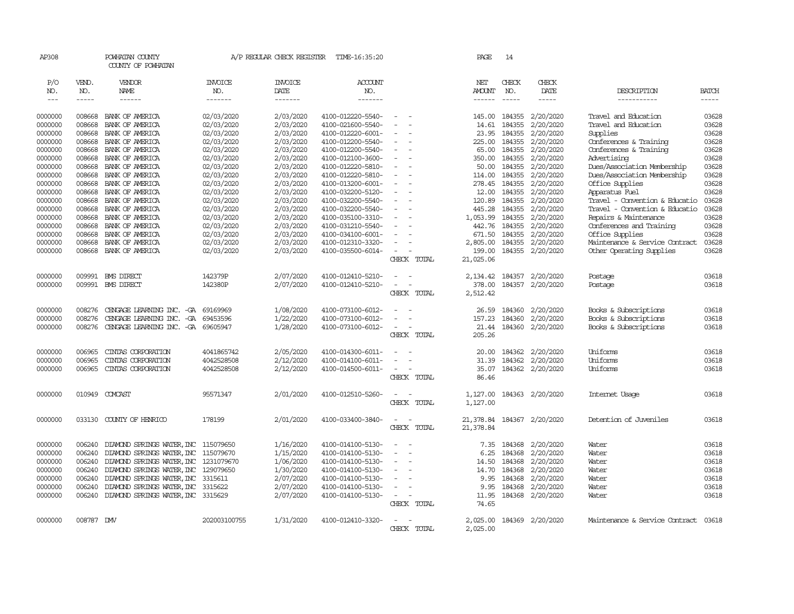| AP308                |              | POWHATAN COUNTY<br>COUNTY OF POWHATAN |                | A/P REGULAR CHECK REGISTER | TIME-16:35:20     |                                    | PAGE                    | 14                   |                  |                                |                          |
|----------------------|--------------|---------------------------------------|----------------|----------------------------|-------------------|------------------------------------|-------------------------|----------------------|------------------|--------------------------------|--------------------------|
| P/O                  | VEND.        | VENDOR                                | <b>INVOICE</b> | <b>INVOICE</b>             | <b>ACCOUNT</b>    |                                    | NET                     | CHECK                | CHECK            |                                |                          |
| NO.<br>$\frac{1}{2}$ | NO.<br>----- | NAME<br>------                        | NO.<br>------- | DATE<br>-------            | NO.<br>-------    |                                    | <b>AMOUNT</b><br>------ | NO.<br>$\frac{1}{2}$ | DATE<br>-----    | DESCRIPTION<br>-----------     | <b>BATCH</b><br>$\cdots$ |
|                      |              |                                       |                |                            |                   |                                    |                         |                      |                  |                                |                          |
| 0000000              | 008668       | BANK OF AMERICA                       | 02/03/2020     | 2/03/2020                  | 4100-012220-5540- | $\equiv$                           | 145.00                  | 184355               | 2/20/2020        | Travel and Education           | 03628                    |
| 0000000              | 008668       | BANK OF AMERICA                       | 02/03/2020     | 2/03/2020                  | 4100-021600-5540- |                                    | 14.61                   | 184355               | 2/20/2020        | Travel and Education           | 03628                    |
| 0000000              | 008668       | BANK OF AMERICA                       | 02/03/2020     | 2/03/2020                  | 4100-012220-6001- |                                    | 23.95                   | 184355               | 2/20/2020        | Supplies                       | 03628                    |
| 0000000              | 008668       | BANK OF AMERICA                       | 02/03/2020     | 2/03/2020                  | 4100-012200-5540- | $\sim$                             | 225.00                  | 184355               | 2/20/2020        | Conferences & Training         | 03628                    |
| 0000000              | 008668       | BANK OF AMERICA                       | 02/03/2020     | 2/03/2020                  | 4100-012200-5540- | $\equiv$                           | 65.00                   | 184355               | 2/20/2020        | Conferences & Training         | 03628                    |
| 0000000              | 008668       | BANK OF AMERICA                       | 02/03/2020     | 2/03/2020                  | 4100-012100-3600- | $\equiv$                           | 350.00                  | 184355               | 2/20/2020        | Advertising                    | 03628                    |
| 0000000              | 008668       | BANK OF AMERICA                       | 02/03/2020     | 2/03/2020                  | 4100-012220-5810- | $\equiv$                           | 50.00                   | 184355               | 2/20/2020        | Dues/Association Membership    | 03628                    |
| 0000000              | 008668       | BANK OF AMERICA                       | 02/03/2020     | 2/03/2020                  | 4100-012220-5810- | $\equiv$                           | 114.00                  | 184355               | 2/20/2020        | Dues/Association Membership    | 03628                    |
| 0000000              | 008668       | BANK OF AMERICA                       | 02/03/2020     | 2/03/2020                  | 4100-013200-6001- |                                    |                         | 278.45 184355        | 2/20/2020        | Office Supplies                | 03628                    |
| 0000000              | 008668       | BANK OF AMERICA                       | 02/03/2020     | 2/03/2020                  | 4100-032200-5120- | $\sim$                             | 12.00                   | 184355               | 2/20/2020        | Apparatus Fuel                 | 03628                    |
| 0000000              | 008668       | BANK OF AMERICA                       | 02/03/2020     | 2/03/2020                  | 4100-032200-5540- |                                    | 120.89                  | 184355               | 2/20/2020        | Travel - Convention & Educatio | 03628                    |
| 0000000              | 008668       | BANK OF AMERICA                       | 02/03/2020     | 2/03/2020                  | 4100-032200-5540- |                                    | 445.28                  | 184355               | 2/20/2020        | Travel - Convention & Educatio | 03628                    |
| 0000000              | 008668       | BANK OF AMERICA                       | 02/03/2020     | 2/03/2020                  | 4100-035100-3310- | $\sim$                             | 1,053.99                | 184355               | 2/20/2020        | Repairs & Maintenance          | 03628                    |
| 0000000              | 008668       | BANK OF AMERICA                       | 02/03/2020     | 2/03/2020                  | 4100-031210-5540- |                                    | 442.76                  | 184355               | 2/20/2020        | Conferences and Training       | 03628                    |
| 0000000              | 008668       | BANK OF AMERICA                       | 02/03/2020     | 2/03/2020                  | 4100-034100-6001- |                                    | 671.50                  | 184355               | 2/20/2020        | Office Supplies                | 03628                    |
| 0000000              | 008668       | BANK OF AMERICA                       | 02/03/2020     | 2/03/2020                  | 4100-012310-3320- | $\equiv$                           | 2,805.00                | 184355               | 2/20/2020        | Maintenance & Service Contract | 03628                    |
| 0000000              | 008668       | BANK OF AMERICA                       | 02/03/2020     | 2/03/2020                  | 4100-035500-6014- | $\overline{\phantom{a}}$           | 199.00                  | 184355               | 2/20/2020        | Other Operating Supplies       | 03628                    |
|                      |              |                                       |                |                            |                   | CHECK TOTAL                        | 21,025.06               |                      |                  |                                |                          |
| 0000000              |              | 009991 BMS DIRECT                     | 142379P        | 2/07/2020                  | 4100-012410-5210- | $\sim$                             | 2,134.42                | 184357               | 2/20/2020        | Postage                        | 03618                    |
| 0000000              |              | 009991 BMS DIRECT                     | 142380P        | 2/07/2020                  | 4100-012410-5210- | $\equiv$                           | 378.00                  | 184357               | 2/20/2020        | Postage                        | 03618                    |
|                      |              |                                       |                |                            |                   | CHECK TOTAL                        | 2,512.42                |                      |                  |                                |                          |
| 0000000              | 008276       | CENGAGE LEARNING INC. - GA 69169969   |                | 1/08/2020                  | 4100-073100-6012- |                                    | 26.59                   | 184360               | 2/20/2020        | Books & Subscriptions          | 03618                    |
| 0000000              | 008276       | CENGAGE LEARNING INC. -GA             | 69453596       | 1/22/2020                  | 4100-073100-6012- | $\equiv$                           | 157.23                  | 184360               | 2/20/2020        | Books & Subscriptions          | 03618                    |
| 0000000              | 008276       | CENGAGE LEARNING INC. - GA 69605947   |                | 1/28/2020                  | 4100-073100-6012- | $\sim$                             | 21.44                   | 184360               | 2/20/2020        | Books & Subscriptions          | 03618                    |
|                      |              |                                       |                |                            |                   | CHECK TOTAL                        | 205.26                  |                      |                  |                                |                          |
| 0000000              | 006965       | CINIAS CORPORATION                    | 4041865742     | 2/05/2020                  | 4100-014300-6011- | $\overline{\phantom{a}}$           | 20.00                   | 184362               | 2/20/2020        | Uniforms                       | 03618                    |
| 0000000              | 006965       | CINIAS CORPORATION                    | 4042528508     | 2/12/2020                  | 4100-014100-6011- |                                    | 31.39                   | 184362               | 2/20/2020        | Uniforms                       | 03618                    |
| 0000000              | 006965       | CINIAS CORPORATION                    | 4042528508     | 2/12/2020                  | 4100-014500-6011- | $\sim$                             | 35.07                   |                      | 184362 2/20/2020 | Uniforms                       | 03618                    |
|                      |              |                                       |                |                            |                   | CHECK TOTAL                        | 86.46                   |                      |                  |                                |                          |
| 0000000              | 010949       | COMCAST                               | 95571347       | 2/01/2020                  | 4100-012510-5260- | $\sim$<br>$\sim$                   | 1,127.00                |                      | 184363 2/20/2020 | Internet Usage                 | 03618                    |
|                      |              |                                       |                |                            |                   | CHECK TOTAL                        | 1,127.00                |                      |                  |                                |                          |
|                      |              |                                       |                |                            |                   |                                    |                         |                      |                  |                                |                          |
| 0000000              | 033130       | COUNTY OF HENRICO                     | 178199         | 2/01/2020                  | 4100-033400-3840- | $\overline{\phantom{a}}$<br>$\sim$ | 21,378.84               |                      | 184367 2/20/2020 | Detention of Juveniles         | 03618                    |
|                      |              |                                       |                |                            |                   | CHECK TOTAL                        | 21,378.84               |                      |                  |                                |                          |
| 0000000              | 006240       | DIAMOND SPRINGS WATER, INC 115079650  |                | 1/16/2020                  | 4100-014100-5130- | $\overline{\phantom{a}}$           | 7.35                    | 184368               | 2/20/2020        | Water                          | 03618                    |
| 0000000              | 006240       | DIAMOND SPRINGS WATER, INC 115079670  |                | 1/15/2020                  | 4100-014100-5130- | $\equiv$                           | 6.25                    | 184368               | 2/20/2020        | Water                          | 03618                    |
| 0000000              | 006240       | DIAMOND SPRINGS WATER, INC 1231079670 |                | 1/06/2020                  | 4100-014100-5130- | $\sim$                             | 14.50                   | 184368               | 2/20/2020        | Water                          | 03618                    |
| 0000000              | 006240       | DIAMOND SPRINGS WATER, INC 129079650  |                | 1/30/2020                  | 4100-014100-5130- |                                    | 14.70                   | 184368               | 2/20/2020        | Water                          | 03618                    |
| 0000000              | 006240       | DIAMOND SPRINGS WATER, INC 3315611    |                | 2/07/2020                  | 4100-014100-5130- | $\overline{\phantom{a}}$           | 9.95                    | 184368               | 2/20/2020        | Water                          | 03618                    |
| 0000000              | 006240       | DIAMOND SPRINGS WATER, INC            | 3315622        | 2/07/2020                  | 4100-014100-5130- | $\sim$                             | 9.95                    | 184368               | 2/20/2020        | Water                          | 03618                    |
| 0000000              | 006240       | DIAMOND SPRINGS WATER, INC 3315629    |                | 2/07/2020                  | 4100-014100-5130- | $\sim$<br>$\sim$                   | 11.95                   |                      | 184368 2/20/2020 | Water                          | 03618                    |
|                      |              |                                       |                |                            |                   | CHECK TOTAL                        | 74.65                   |                      |                  |                                |                          |
| 0000000              | 008787 DMV   |                                       | 202003100755   | 1/31/2020                  | 4100-012410-3320- | $\sim$                             | 2,025.00                |                      | 184369 2/20/2020 | Maintenance & Service Contract | 03618                    |
|                      |              |                                       |                |                            |                   | CHECK TOTAL                        | 2,025.00                |                      |                  |                                |                          |
|                      |              |                                       |                |                            |                   |                                    |                         |                      |                  |                                |                          |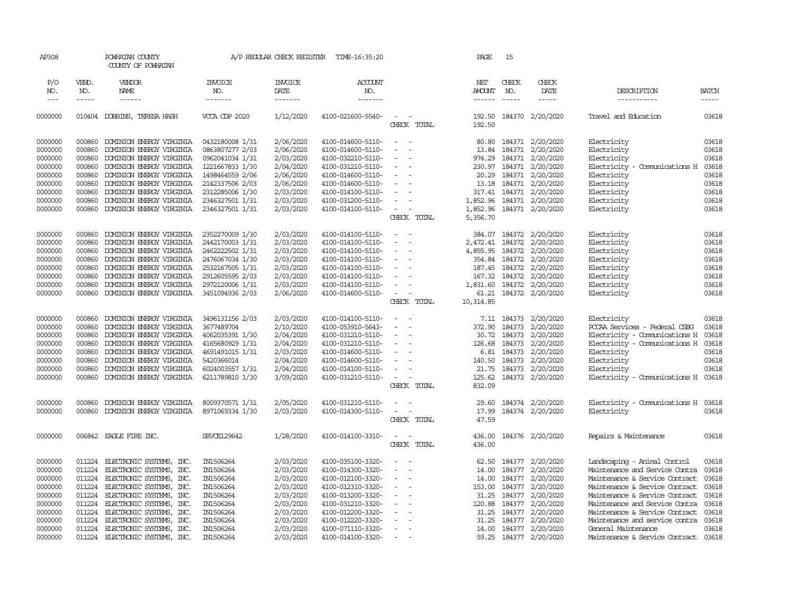| AP308              |                  | POWHATAN COUNTY<br>COUNTY OF POWHATAN                |                                    | A/P REGULAR CHECK REGISTER | TIME-16:35:20                          |                                    | PAGE                 | 15            |                                                  |                                      |                |
|--------------------|------------------|------------------------------------------------------|------------------------------------|----------------------------|----------------------------------------|------------------------------------|----------------------|---------------|--------------------------------------------------|--------------------------------------|----------------|
| P/O<br>NO.         | VEND.<br>NO.     | VENDOR<br>NAME                                       | <b>INVOICE</b><br>NO.              | <b>INVOICE</b><br>DATE     | <b>ACCOUNT</b><br>NO.                  |                                    | NET<br><b>AMOUNT</b> | CHECK<br>NO.  | CHECK<br>DATE                                    | DESCRIPTION                          | <b>BATCH</b>   |
| $---$              | -----            | $- - - - - -$                                        | -------                            | -------                    | --------                               |                                    | $- - - - - -$        |               | $- - - - -$                                      | -----------                          | $- - - - -$    |
| 0000000            |                  | 010404 DOBBINS, TERESA HASH                          | VCCA CDP 2020                      | 1/12/2020                  | 4100-021600-5540-                      | $\sim$<br>$\sim$<br>CHECK TOTAL    | 192.50<br>192.50     |               | 184370 2/20/2020                                 | Travel and Education                 | 03618          |
|                    |                  |                                                      |                                    |                            |                                        |                                    |                      |               |                                                  |                                      |                |
| 0000000            |                  | 000860 DOMINION ENERGY VIRGINIA                      | 0432180008 1/31                    | 2/06/2020                  | 4100-014600-5110-                      | $\sim$ $ \sim$                     |                      |               | 80.80 184371 2/20/2020                           | Electricity                          | 03618          |
| 0000000            | 000860           | DOMINION ENERGY VIRGINIA                             | 0863807277 2/03                    | 2/06/2020                  | 4100-014600-5110-                      | $\overline{\phantom{a}}$           | 13.84                | 184371        | 2/20/2020                                        | Electricity                          | 03618          |
| 0000000            | 000860           | DOMINION ENERGY VIRGINIA                             | 0962041034 1/31                    | 2/03/2020                  | 4100-032210-5110-                      | $\blacksquare$                     | 974.29               |               | 184371 2/20/2020                                 | Electricity                          | 03618          |
| 0000000            | 000860           | DOMINION ENERGY VIRGINIA                             | 1221667833 1/30                    | 2/04/2020                  | 4100-031210-5110-                      | $\sim$<br>$\sim$                   |                      |               | 230.97 184371 2/20/2020                          | Electricity - Comunications H        | 03618          |
| 0000000<br>0000000 | 000860<br>000860 | DOMINION ENERGY VIRGINIA<br>DOMINION ENERGY VIRGINIA | 1498464559 2/06<br>2142337506 2/03 | 2/06/2020<br>2/06/2020     | 4100-014600-5110-<br>4100-014600-5110- | $\sim$                             |                      |               | 20.29 184371 2/20/2020<br>13.18 184371 2/20/2020 | Electricity<br>Electricity           | 03618<br>03618 |
| 0000000            | 000860           | DOMINION ENERGY VIRGINIA                             | 2312285006 1/30                    | 2/03/2020                  | 4100-014100-5110-                      | $\sim$                             |                      |               | 317.41 184371 2/20/2020                          | Electricity                          | 03618          |
| 0000000            | 000860           | DOMINION ENERGY VIRGINIA                             | 2346327501 1/31                    | 2/03/2020                  | 4100-031200-5110-                      | $\overline{\phantom{a}}$           |                      |               | 1,852.96 184371 2/20/2020                        | Electricity                          | 03618          |
| 0000000            | 000860           | DOMINION ENERGY VIRGINIA                             | 2346327501 1/31                    | 2/03/2020                  | 4100-014100-5110-                      | $\sim$                             | 1,852.96             |               | 184371 2/20/2020                                 | Electricity                          | 03618          |
|                    |                  |                                                      |                                    |                            |                                        | CHECK TOTAL                        | 5,356.70             |               |                                                  |                                      |                |
| 0000000            | 000860           | DOMINION ENERGY VIRGINIA                             | 2352270009 1/30                    | 2/03/2020                  | 4100-014100-5110-                      | $\sim$<br>$\sim$ $\sim$            |                      |               | 384.07 184372 2/20/2020                          | Electricity                          | 03618          |
| 0000000            | 000860           | DOMINION ENERGY VIRGINIA                             | 2442170003 1/31                    | 2/03/2020                  | 4100-014100-5110-                      | $\sim$                             | 2,472.41 184372      |               | 2/20/2020                                        | Electricity                          | 03618          |
| 0000000            | 000860           | DOMINION ENERGY VIRGINIA                             | 2462222502 1/31                    | 2/03/2020                  | 4100-014100-5110-                      | $\sim$                             | 4,855.95 184372      |               | 2/20/2020                                        | Electricity                          | 03618          |
| 0000000            | 000860           | DOMINION ENERGY VIRGINIA                             | 2476067034 1/30                    | 2/03/2020                  | 4100-014100-5110-                      | $\sim$                             |                      |               | 354.84 184372 2/20/2020                          | Electricity                          | 03618          |
| 0000000            | 000860           | DOMINION ENERGY VIRGINIA                             | 2532167505 1/31                    | 2/03/2020                  | 4100-014100-5110-                      | $\overline{\phantom{a}}$           | 187.45               |               | 184372 2/20/2020                                 | Electricity                          | 03618          |
| 0000000            | 000860           | DOMINION ENERGY VIRGINIA                             | 2912605595 2/03                    | 2/03/2020                  | 4100-014100-5110-                      | $\overline{\phantom{a}}$           |                      |               | 167.32 184372 2/20/2020                          | Electricity                          | 03618          |
| 0000000            | 000860           | DOMINION ENERGY VIRGINIA                             | 2972120006 1/31                    | 2/03/2020                  | 4100-014100-5110-                      | $\sim$                             |                      |               | 1,831.60 184372 2/20/2020                        | Electricity                          | 03618          |
| 0000000            | 000860           | DOMINION ENERGY VIRGINIA                             | 3451094936 2/03                    | 2/06/2020                  | 4100-014600-5110-                      | $\sim$<br>$\sim$                   |                      |               | 61.21 184372 2/20/2020                           | Electricity                          | 03618          |
|                    |                  |                                                      |                                    |                            |                                        | CHECK TOTAL                        | 10,314.85            |               |                                                  |                                      |                |
| 0000000            | 000860           | DOMINION ENERGY VIRGINIA                             | 3496131156 2/03                    | 2/03/2020                  | 4100-014100-5110-                      | $\sim$                             |                      | 7.11 184373   | 2/20/2020                                        | Electricity                          | 03618          |
| 0000000            | 000860           | DOMINION ENERGY VIRGINIA                             | 3677489704                         | 2/10/2020                  | 4100-053910-5643-                      | $\equiv$                           | 372.90               | 184373        | 2/20/2020                                        | PCCAA Services - Federal CSBG        | 03618          |
| 0000000            | 000860           | DOMINION ENERGY VIRGINIA                             | 4062035391 1/30                    | 2/04/2020                  | 4100-031210-5110-                      | $\sim$                             |                      | 30.72 184373  | 2/20/2020                                        | Electricity - Comunications H        | 03618          |
| 0000000            | 000860           | DOMINION ENERGY VIRGINIA                             | 4165680929 1/31                    | 2/04/2020                  | 4100-031210-5110-                      | $\sim$                             |                      | 126.68 184373 | 2/20/2020                                        | Electricity - Comunications H        | 03618          |
| 0000000            | 000860           | DOMINION ENERGY VIRGINIA                             | 4691491015 1/31                    | 2/03/2020                  | 4100-014600-5110-                      | $\sim$                             | 6.81                 | 184373        | 2/20/2020                                        | Electricity                          | 03618          |
| 0000000            | 000860           | DOMINION ENERGY VIRGINIA                             | 5420366014                         | 2/04/2020                  | 4100-014600-5110-                      | $\overline{\phantom{a}}$           |                      | 140.50 184373 | 2/20/2020                                        | Electricity                          | 03618          |
| 0000000            | 000860           | DOMINION ENERGY VIRGINIA                             | 6024003557 1/31                    | 2/04/2020                  | 4100-014100-5110-                      | $\sim$<br>$\overline{\phantom{a}}$ |                      |               | 21.75 184373 2/20/2020                           | Electricity                          | 03618          |
| 0000000            | 000860           | DOMINION ENERGY VIRGINIA                             | 6211789810 1/30                    | 3/09/2020                  | 4100-031210-5110-                      | $\sim$ $ -$                        |                      | 125.62 184373 | 2/20/2020                                        | Electricity - Comunications H 03618  |                |
|                    |                  |                                                      |                                    |                            |                                        | CHECK TOTAL                        | 832.09               |               |                                                  |                                      |                |
| 0000000            | 000860           | DOMINION ENERGY VIRGINIA                             | 8009370571 1/31                    | 2/05/2020                  | 4100-031210-5110-                      | $\sim$ $ \sim$                     |                      |               | 29.60 184374 2/20/2020                           | Electricity - Comunications H 03618  |                |
| 0000000            | 000860           | DOMINION ENERGY VIRGINIA                             | 8971069334 1/30                    | 2/03/2020                  | 4100-014300-5110-                      | $\sim$ $ -$                        | 17.99                |               | 184374 2/20/2020                                 | Electricity                          | 03618          |
|                    |                  |                                                      |                                    |                            |                                        | CHECK TOTAL                        | 47.59                |               |                                                  |                                      |                |
| 0000000            |                  | 006842 EAGLE FIRE INC.                               | SRVCE129642                        | 1/28/2020                  | 4100-014100-3310-                      | $\sim$<br>$\sim$                   | 436.00               |               | 184376 2/20/2020                                 | Repairs & Maintenance                | 03618          |
|                    |                  |                                                      |                                    |                            |                                        | CHECK TOTAL                        | 436.00               |               |                                                  |                                      |                |
| 0000000            | 011224           | ELECTRONIC SYSTEMS, INC.                             | IN1506264                          | 2/03/2020                  | 4100-035100-3320-                      | $\overline{\phantom{a}}$           | 62.50                |               | 184377 2/20/2020                                 | Landscaping - Animal Control         | 03618          |
| 0000000            | 011224           | ELECTRONIC SYSTEMS, INC.                             | IN1506264                          | 2/03/2020                  | 4100-014300-3320-                      | $\equiv$                           | 14.00                |               | 184377 2/20/2020                                 | Maintenance and Service Contra       | 03618          |
| 0000000            | 011224           | ELECTRONIC SYSTEMS, INC.                             | IN1506264                          | 2/03/2020                  | 4100-012100-3320-                      | $\overline{\phantom{a}}$           |                      |               | 14.00 184377 2/20/2020                           | Maintenance & Service Contract       | 03618          |
| 0000000            | 011224           | ELECTRONIC SYSTEMS, INC.                             | IN1506264                          | 2/03/2020                  | 4100-012310-3320-                      | $\sim$                             |                      |               | 153.00 184377 2/20/2020                          | Maintenance & Service Contract       | 03618          |
| 0000000            | 011224           | ELECTRONIC SYSTEMS, INC.                             | IN1506264                          | 2/03/2020                  | 4100-013200-3320-                      | $\overline{\phantom{a}}$           | 31.25                | 184377        | 2/20/2020                                        | Maintenance & Service Contract       | 03618          |
| 0000000            | 011224           | ELECTRONIC SYSTEMS, INC.                             | IN1506264                          | 2/03/2020                  | 4100-031210-3320-                      | $\overline{\phantom{a}}$           | 120.88               |               | 184377 2/20/2020                                 | Maintenance and Service Contra       | 03618          |
| 0000000            | 011224           | ELECTRONIC SYSTEMS, INC.                             | IN1506264                          | 2/03/2020                  | 4100-012200-3320-                      | $\sim$                             | 31.25                |               | 184377 2/20/2020                                 | Maintenance & Service Contract       | 03618          |
| 0000000            | 011224           | ELECTRONIC SYSTEMS, INC.                             | IN1506264                          | 2/03/2020                  | 4100-012220-3320-                      |                                    | 31.25                | 184377        | 2/20/2020                                        | Maintenance and service contra 03618 |                |
| 0000000            | 011224           | ELECTRONIC SYSTEMS, INC.                             | IN1506264                          | 2/03/2020                  | 4100-071110-3320-                      | $\sim$<br>$\sim$                   |                      |               | 14.00 184377 2/20/2020                           | General Maintenance                  | 03618          |
| 0000000            |                  | 011224 ELECTRONIC SYSTEMS, INC.                      | IN1506264                          | 2/03/2020                  | 4100-014100-3320-                      |                                    |                      |               | 59.25 184377 2/20/2020                           | Maintenance & Service Contract 03618 |                |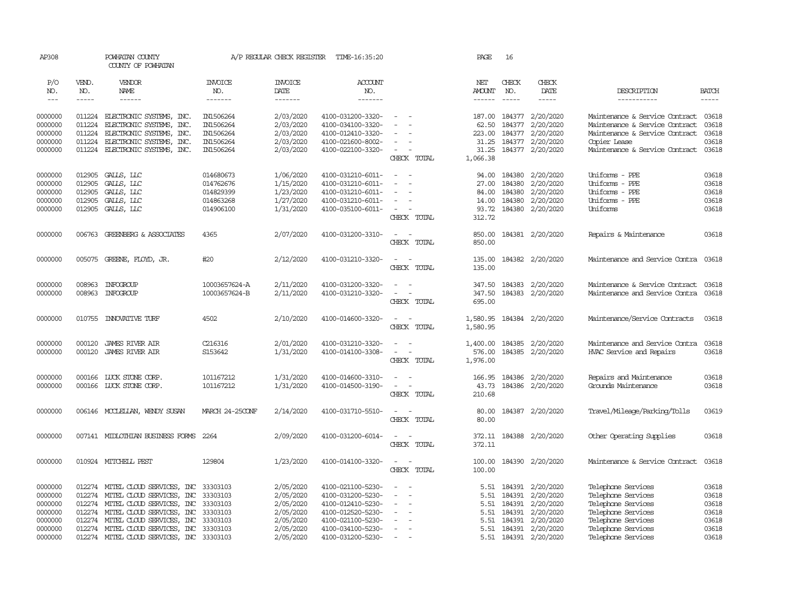| AP308              |                      | POWHATAN COUNTY<br>COUNTY OF POWHATAN                                |                                | A/P REGULAR CHECK REGISTER | TIME-16:35:20                          |                                                                                                                                           | PAGE                           | 16                                                                                                                                                                                                                                                                                                                                                                                           |                                      |                                                                  |                |
|--------------------|----------------------|----------------------------------------------------------------------|--------------------------------|----------------------------|----------------------------------------|-------------------------------------------------------------------------------------------------------------------------------------------|--------------------------------|----------------------------------------------------------------------------------------------------------------------------------------------------------------------------------------------------------------------------------------------------------------------------------------------------------------------------------------------------------------------------------------------|--------------------------------------|------------------------------------------------------------------|----------------|
| P/O<br>NO.         | VEND.<br>NO.         | VENDOR<br>NAME                                                       | <b>INVOICE</b><br>NO.          | <b>INVOICE</b><br>DATE     | ACCOUNT<br>NO.                         |                                                                                                                                           | NET<br><b>AMOUNT</b>           | CHECK<br>NO.                                                                                                                                                                                                                                                                                                                                                                                 | CHECK<br>DATE                        | DESCRIPTION                                                      | <b>BATCH</b>   |
| $\frac{1}{2}$      | $\cdots\cdots\cdots$ |                                                                      | -------                        | --------                   | -------                                |                                                                                                                                           | $- - - - - -$                  | $\frac{1}{2} \frac{1}{2} \frac{1}{2} \frac{1}{2} \frac{1}{2} \frac{1}{2} \frac{1}{2} \frac{1}{2} \frac{1}{2} \frac{1}{2} \frac{1}{2} \frac{1}{2} \frac{1}{2} \frac{1}{2} \frac{1}{2} \frac{1}{2} \frac{1}{2} \frac{1}{2} \frac{1}{2} \frac{1}{2} \frac{1}{2} \frac{1}{2} \frac{1}{2} \frac{1}{2} \frac{1}{2} \frac{1}{2} \frac{1}{2} \frac{1}{2} \frac{1}{2} \frac{1}{2} \frac{1}{2} \frac{$ | -----                                | -----------                                                      | $- - - - -$    |
| 0000000<br>0000000 | 011224               | 011224 ELECTRONIC SYSTEMS, INC.<br>ELECTRONIC SYSTEMS, INC.          | IN1506264<br>IN1506264         | 2/03/2020<br>2/03/2020     | 4100-031200-3320-<br>4100-034100-3320- | $\sim$                                                                                                                                    | 187.00<br>62.50                | 184377<br>184377                                                                                                                                                                                                                                                                                                                                                                             | 2/20/2020<br>2/20/2020               | Maintenance & Service Contract<br>Maintenance & Service Contract | 03618<br>03618 |
| 0000000            | 011224               | ELECTRONIC SYSTEMS, INC.                                             | IN1506264                      | 2/03/2020                  | 4100-012410-3320-                      |                                                                                                                                           | 223.00                         | 184377                                                                                                                                                                                                                                                                                                                                                                                       | 2/20/2020                            | Maintenance & Service Contract                                   | 03618          |
| 0000000            | 011224               | ELECTRONIC SYSTEMS, INC.                                             | IN1506264                      | 2/03/2020                  | 4100-021600-8002-                      | $\equiv$                                                                                                                                  | 31.25                          | 184377                                                                                                                                                                                                                                                                                                                                                                                       | 2/20/2020                            | Copier Lease                                                     | 03618          |
| 0000000            | 011224               | ELECTRONIC SYSTEMS, INC.                                             | IN1506264                      | 2/03/2020                  | 4100-022100-3320-                      | $\sim$<br>CHECK TOTAL                                                                                                                     | 31.25<br>1,066.38              | 184377                                                                                                                                                                                                                                                                                                                                                                                       | 2/20/2020                            | Maintenance & Service Contract                                   | 03618          |
| 0000000<br>0000000 | 012905<br>012905     | GALLS, LLC<br>GALLS, LLC                                             | 014680673<br>014762676         | 1/06/2020<br>1/15/2020     | 4100-031210-6011-<br>4100-031210-6011- | $\overline{\phantom{a}}$<br>$\equiv$                                                                                                      | 94.00<br>27.00                 | 184380<br>184380                                                                                                                                                                                                                                                                                                                                                                             | 2/20/2020<br>2/20/2020               | Uniforms - PPE<br>Uniforms - PPE                                 | 03618<br>03618 |
| 0000000            | 012905               | GALLS, LLC                                                           | 014829399                      | 1/23/2020                  | 4100-031210-6011-                      |                                                                                                                                           | 84.00                          | 184380                                                                                                                                                                                                                                                                                                                                                                                       | 2/20/2020                            | Uniforms - PPE                                                   | 03618          |
| 0000000            | 012905               | GALLS, LLC                                                           | 014863268                      | 1/27/2020                  | 4100-031210-6011-                      | $\overline{\phantom{a}}$                                                                                                                  | 14.00                          | 184380                                                                                                                                                                                                                                                                                                                                                                                       | 2/20/2020                            | Uniforms - PPE                                                   | 03618          |
| 0000000            | 012905               | GALLS, LLC                                                           | 014906100                      | 1/31/2020                  | 4100-035100-6011-                      | $\overline{\phantom{a}}$<br>CHECK TOTAL                                                                                                   | 93.72<br>312.72                | 184380                                                                                                                                                                                                                                                                                                                                                                                       | 2/20/2020                            | Uniforms                                                         | 03618          |
| 0000000            |                      | 006763 GREENBERG & ASSOCIATES                                        | 4365                           | 2/07/2020                  | 4100-031200-3310-                      | $\sim$<br>$\sim$<br>CHECK TOTAL                                                                                                           | 850.00<br>850.00               |                                                                                                                                                                                                                                                                                                                                                                                              | 184381 2/20/2020                     | Repairs & Maintenance                                            | 03618          |
| 0000000            |                      | 005075 GREENE, FLOYD, JR.                                            | #20                            | 2/12/2020                  | 4100-031210-3320-                      | $\sim$<br>$\sim$<br>CHECK TOTAL                                                                                                           | 135.00<br>135.00               |                                                                                                                                                                                                                                                                                                                                                                                              | 184382 2/20/2020                     | Maintenance and Service Contra                                   | 03618          |
| 0000000<br>0000000 | 008963               | INFOGROUP<br>008963 INFOGROUP                                        | 10003657624-A<br>10003657624-B | 2/11/2020<br>2/11/2020     | 4100-031200-3320-<br>4100-031210-3320- | $\overline{\phantom{a}}$<br>$\sim$<br>$\sim$<br>$\overline{\phantom{a}}$<br>CHECK TOTAL                                                   | 347.50<br>347.50<br>695.00     | 184383                                                                                                                                                                                                                                                                                                                                                                                       | 184383 2/20/2020<br>2/20/2020        | Maintenance & Service Contract<br>Maintenance and Service Contra | 03618<br>03618 |
| 0000000            | 010755               | <b>INXXATIVE TURF</b>                                                | 4502                           | 2/10/2020                  | 4100-014600-3320-                      | $\sim$<br>$\sim$<br>CHECK TOTAL                                                                                                           | 1,580.95<br>1,580.95           |                                                                                                                                                                                                                                                                                                                                                                                              | 184384 2/20/2020                     | Maintenance/Service Contracts                                    | 03618          |
| 0000000<br>0000000 | 000120<br>000120     | <b>JAMES RIVER AIR</b><br>JAMES RIVER AIR                            | C216316<br>S153642             | 2/01/2020<br>1/31/2020     | 4100-031210-3320-<br>4100-014100-3308- | $\equiv$<br>$\sim$<br>$\sim$<br>$\sim$<br>CHECK TOTAL                                                                                     | 1,400.00<br>576.00<br>1,976.00 | 184385<br>184385                                                                                                                                                                                                                                                                                                                                                                             | 2/20/2020<br>2/20/2020               | Maintenance and Service Contra<br>HVAC Service and Repairs       | 03618<br>03618 |
| 0000000<br>0000000 |                      | 000166 LUCK STONE CORP.<br>000166 LUCK STONE CORP.                   | 101167212<br>101167212         | 1/31/2020<br>1/31/2020     | 4100-014600-3310-<br>4100-014500-3190- | $\frac{1}{2} \left( \frac{1}{2} \right) \left( \frac{1}{2} \right) \left( \frac{1}{2} \right)$<br>$\overline{\phantom{a}}$<br>CHECK TOTAL | 166.95<br>43.73<br>210.68      |                                                                                                                                                                                                                                                                                                                                                                                              | 184386 2/20/2020<br>184386 2/20/2020 | Repairs and Maintenance<br>Grounds Maintenance                   | 03618<br>03618 |
| 0000000            |                      | 006146 MCCLELLAN, WENDY SUSAN                                        | MARCH 24-25CONF                | 2/14/2020                  | 4100-031710-5510-                      | $\sim$<br>$\sim$<br>CHECK TOTAL                                                                                                           | 80.00<br>80.00                 |                                                                                                                                                                                                                                                                                                                                                                                              | 184387 2/20/2020                     | Travel/Mileage/Parking/Tolls                                     | 03619          |
| 0000000            |                      | 007141 MIDLOTHIAN BUSINESS FORMS                                     | 2264                           | 2/09/2020                  | 4100-031200-6014-                      | $\sim$<br>$\sim$<br>CHECK TOTAL                                                                                                           | 372.11<br>372.11               |                                                                                                                                                                                                                                                                                                                                                                                              | 184388 2/20/2020                     | Other Operating Supplies                                         | 03618          |
| 0000000            |                      | 010924 MITCHELL PEST                                                 | 129804                         | 1/23/2020                  | 4100-014100-3320-                      | $\sim$<br>$\sim$<br>CHECK TOTAL                                                                                                           | 100.00<br>100.00               |                                                                                                                                                                                                                                                                                                                                                                                              | 184390 2/20/2020                     | Maintenance & Service Contract                                   | 03618          |
| 0000000            |                      | 012274 MITEL CLOUD SERVICES, INC                                     | 33303103                       | 2/05/2020                  | 4100-021100-5230-                      | $\sim$                                                                                                                                    | 5.51                           | 184391                                                                                                                                                                                                                                                                                                                                                                                       | 2/20/2020                            | Telephone Services                                               | 03618          |
| 0000000            |                      | 012274 MITEL CLOUD SERVICES, INC                                     | 33303103                       | 2/05/2020                  | 4100-031200-5230-                      | $\overline{\phantom{a}}$<br>$\sim$                                                                                                        | 5.51                           | 184391                                                                                                                                                                                                                                                                                                                                                                                       | 2/20/2020                            | Telephone Services                                               | 03618          |
| 0000000            |                      | 012274 MITEL CLOUD SERVICES, INC 33303103                            |                                | 2/05/2020                  | 4100-012410-5230-                      | $\overline{\phantom{a}}$                                                                                                                  | 5.51                           | 184391                                                                                                                                                                                                                                                                                                                                                                                       | 2/20/2020                            | Telephone Services                                               | 03618          |
| 0000000            |                      | 012274 MITEL CLOUD SERVICES, INC                                     | 33303103                       | 2/05/2020                  | 4100-012520-5230-                      |                                                                                                                                           |                                | 5.51 184391                                                                                                                                                                                                                                                                                                                                                                                  | 2/20/2020                            | Telephone Services                                               | 03618          |
| 0000000<br>0000000 |                      | 012274 MITEL CLOUD SERVICES, INC<br>012274 MITEL CLOUD SERVICES, INC | 33303103<br>33303103           | 2/05/2020<br>2/05/2020     | 4100-021100-5230-<br>4100-034100-5230- | $\equiv$<br>$\overline{\phantom{a}}$                                                                                                      |                                | 5.51 184391<br>5.51 184391                                                                                                                                                                                                                                                                                                                                                                   | 2/20/2020<br>2/20/2020               | Telephone Services<br>Telephone Services                         | 03618<br>03618 |
| 0000000            |                      | 012274 MITEL CLOUD SERVICES, INC 33303103                            |                                | 2/05/2020                  | 4100-031200-5230-                      | $\sim$<br>$\sim$                                                                                                                          |                                |                                                                                                                                                                                                                                                                                                                                                                                              | 5.51 184391 2/20/2020                | Telephone Services                                               | 03618          |
|                    |                      |                                                                      |                                |                            |                                        |                                                                                                                                           |                                |                                                                                                                                                                                                                                                                                                                                                                                              |                                      |                                                                  |                |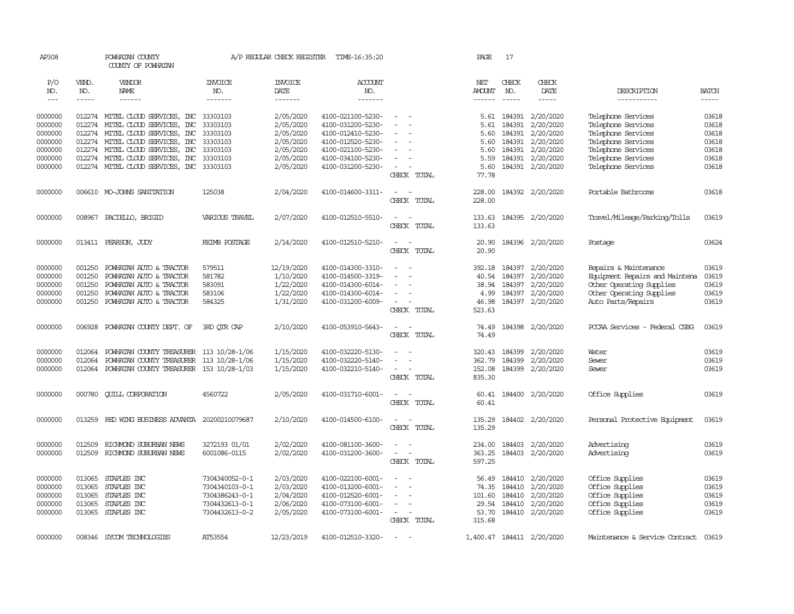| AP308   |               | POWHATAN COUNTY<br>COUNTY OF POWHATAN                                                                                                                                                                                                                                                                                                                                                                                                                                                  |                | A/P REGULAR CHECK REGISTER | TIME-16:35:20     |                                                      | PAGE          | 17            |                           |                                |              |
|---------|---------------|----------------------------------------------------------------------------------------------------------------------------------------------------------------------------------------------------------------------------------------------------------------------------------------------------------------------------------------------------------------------------------------------------------------------------------------------------------------------------------------|----------------|----------------------------|-------------------|------------------------------------------------------|---------------|---------------|---------------------------|--------------------------------|--------------|
| P/O     | VEND.         | VENDOR                                                                                                                                                                                                                                                                                                                                                                                                                                                                                 | <b>INVOICE</b> | <b>INVOICE</b>             | ACCOUNT           |                                                      | NET           | CHECK         | CHECK                     |                                |              |
| NO.     | NO.           | NAME                                                                                                                                                                                                                                                                                                                                                                                                                                                                                   | NO.            | DATE                       | NO.               |                                                      | <b>AMOUNT</b> | NO.           | DATE                      | DESCRIPTION                    | <b>BATCH</b> |
| $---$   | $\frac{1}{2}$ | $\begin{array}{cccccccccc} \multicolumn{2}{c}{} & \multicolumn{2}{c}{} & \multicolumn{2}{c}{} & \multicolumn{2}{c}{} & \multicolumn{2}{c}{} & \multicolumn{2}{c}{} & \multicolumn{2}{c}{} & \multicolumn{2}{c}{} & \multicolumn{2}{c}{} & \multicolumn{2}{c}{} & \multicolumn{2}{c}{} & \multicolumn{2}{c}{} & \multicolumn{2}{c}{} & \multicolumn{2}{c}{} & \multicolumn{2}{c}{} & \multicolumn{2}{c}{} & \multicolumn{2}{c}{} & \multicolumn{2}{c}{} & \multicolumn{2}{c}{} & \mult$ | -------        | -------                    | -------           |                                                      | $- - - - - -$ | $\frac{1}{2}$ | $- - - - -$               | -----------                    | $\cdots$     |
| 0000000 |               | 012274 MITEL CLOUD SERVICES, INC 33303103                                                                                                                                                                                                                                                                                                                                                                                                                                              |                | 2/05/2020                  | 4100-021100-5230- | $\sim$                                               |               | 5.61 184391   | 2/20/2020                 | Telephone Services             | 03618        |
| 0000000 | 012274        | MITEL CLOUD SERVICES, INC                                                                                                                                                                                                                                                                                                                                                                                                                                                              | 33303103       | 2/05/2020                  | 4100-031200-5230- | $\sim$                                               | 5.61          | 184391        | 2/20/2020                 | Telephone Services             | 03618        |
| 0000000 |               | 012274 MITEL CLOUD SERVICES, INC 33303103                                                                                                                                                                                                                                                                                                                                                                                                                                              |                | 2/05/2020                  | 4100-012410-5230- |                                                      | 5.60          | 184391        | 2/20/2020                 | Telephone Services             | 03618        |
| 0000000 |               | 012274 MITEL CLOUD SERVICES, INC 33303103                                                                                                                                                                                                                                                                                                                                                                                                                                              |                | 2/05/2020                  | 4100-012520-5230- | $\equiv$                                             | 5.60          | 184391        | 2/20/2020                 | Telephone Services             | 03618        |
| 0000000 |               | 012274 MITEL CLOUD SERVICES, INC 33303103                                                                                                                                                                                                                                                                                                                                                                                                                                              |                | 2/05/2020                  | 4100-021100-5230- | $\sim$                                               | 5.60          | 184391        | 2/20/2020                 | Telephone Services             | 03618        |
| 0000000 |               | 012274 MITEL CLOUD SERVICES, INC 33303103                                                                                                                                                                                                                                                                                                                                                                                                                                              |                | 2/05/2020                  | 4100-034100-5230- | $\overline{\phantom{a}}$                             | 5.59          | 184391        | 2/20/2020                 | Telephone Services             | 03618        |
| 0000000 |               | 012274 MITEL CLOUD SERVICES, INC 33303103                                                                                                                                                                                                                                                                                                                                                                                                                                              |                | 2/05/2020                  | 4100-031200-5230- | $\sim$                                               | 5.60          |               | 184391 2/20/2020          | Telephone Services             | 03618        |
|         |               |                                                                                                                                                                                                                                                                                                                                                                                                                                                                                        |                |                            |                   | CHECK TOTAL                                          | 77.78         |               |                           |                                |              |
| 0000000 |               | 006610 MO-JOHNS SANITATION                                                                                                                                                                                                                                                                                                                                                                                                                                                             | 125038         | 2/04/2020                  | 4100-014600-3311- | $\sim$<br>$\sim$                                     | 228.00        |               | 184392 2/20/2020          | Portable Bathrooms             | 03618        |
|         |               |                                                                                                                                                                                                                                                                                                                                                                                                                                                                                        |                |                            |                   | CHECK TOTAL                                          | 228.00        |               |                           |                                |              |
| 0000000 | 008967        | PACIELLO, BRIGID                                                                                                                                                                                                                                                                                                                                                                                                                                                                       | VARIOUS TRAVEL | 2/07/2020                  | 4100-012510-5510- | $\sim$<br>$\sim$                                     | 133.63        |               | 184395 2/20/2020          | Travel/Mileage/Parking/Tolls   | 03619        |
|         |               |                                                                                                                                                                                                                                                                                                                                                                                                                                                                                        |                |                            |                   | CHECK TOTAL                                          | 133.63        |               |                           |                                |              |
| 0000000 |               | 013411 PEARSON, JUDY                                                                                                                                                                                                                                                                                                                                                                                                                                                                   | REIMB POSTAGE  | 2/14/2020                  | 4100-012510-5210- | $\sim$<br>$\overline{\phantom{a}}$                   | 20.90         |               | 184396 2/20/2020          | Postage                        | 03624        |
|         |               |                                                                                                                                                                                                                                                                                                                                                                                                                                                                                        |                |                            |                   | CHECK TOTAL                                          | 20.90         |               |                           |                                |              |
| 0000000 | 001250        | POWHATAN AUTO & TRACTOR                                                                                                                                                                                                                                                                                                                                                                                                                                                                | 579511         | 12/19/2020                 | 4100-014300-3310- | $\sim$                                               | 392.18        | 184397        | 2/20/2020                 | Repairs & Maintenance          | 03619        |
| 0000000 | 001250        | POWHATAN AUTO & TRACTOR                                                                                                                                                                                                                                                                                                                                                                                                                                                                | 581782         | 1/10/2020                  | 4100-014500-3319- |                                                      | 40.54         | 184397        | 2/20/2020                 | Equipment Repairs and Maintena | 03619        |
| 0000000 | 001250        | POWHATAN AUTO & TRACTOR                                                                                                                                                                                                                                                                                                                                                                                                                                                                | 583091         | 1/22/2020                  | 4100-014300-6014- | $\blacksquare$                                       | 38.94         | 184397        | 2/20/2020                 | Other Operating Supplies       | 03619        |
| 0000000 | 001250        | POWHATAN AUTO & TRACTOR                                                                                                                                                                                                                                                                                                                                                                                                                                                                | 583106         | 1/22/2020                  | 4100-014300-6014- |                                                      | 4.99          |               | 184397 2/20/2020          | Other Operating Supplies       | 03619        |
| 0000000 | 001250        | POWHATAN AUTO & TRACTOR                                                                                                                                                                                                                                                                                                                                                                                                                                                                | 584325         | 1/31/2020                  | 4100-031200-6009- | $\sim$                                               | 46.98         |               | 184397 2/20/2020          | Auto Parts/Repairs             | 03619        |
|         |               |                                                                                                                                                                                                                                                                                                                                                                                                                                                                                        |                |                            |                   | CHECK TOTAL                                          | 523.63        |               |                           |                                |              |
| 0000000 | 006928        | POWHATAN COUNTY DEPT. OF                                                                                                                                                                                                                                                                                                                                                                                                                                                               | 3RD OIR CAP    | 2/10/2020                  | 4100-053910-5643- | $\overline{\phantom{a}}$                             | 74.49         |               | 184398 2/20/2020          | PCCAA Services - Federal CSBG  | 03619        |
|         |               |                                                                                                                                                                                                                                                                                                                                                                                                                                                                                        |                |                            |                   | CHECK TOTAL                                          | 74.49         |               |                           |                                |              |
| 0000000 | 012064        | POWHATAN COUNTY TREASURER 113 10/28-1/06                                                                                                                                                                                                                                                                                                                                                                                                                                               |                | 1/15/2020                  | 4100-032220-5130- | $\equiv$                                             | 320.43        | 184399        | 2/20/2020                 | Water                          | 03619        |
| 0000000 | 012064        | POWHATAN COUNTY TREASURER 113 10/28-1/06                                                                                                                                                                                                                                                                                                                                                                                                                                               |                | 1/15/2020                  | 4100-032220-5140- | $\equiv$                                             | 362.79        | 184399        | 2/20/2020                 | Sewer                          | 03619        |
| 0000000 | 012064        | POWHATAN COUNTY TREASURER 153 10/28-1/03                                                                                                                                                                                                                                                                                                                                                                                                                                               |                | 1/15/2020                  | 4100-032210-5140- | $\sim$                                               | 152.08        |               | 184399 2/20/2020          | Sewer                          | 03619        |
|         |               |                                                                                                                                                                                                                                                                                                                                                                                                                                                                                        |                |                            |                   | CHECK TOTAL                                          | 835.30        |               |                           |                                |              |
| 0000000 | 000780        | <b>CUILL CORPORATION</b>                                                                                                                                                                                                                                                                                                                                                                                                                                                               | 4560722        | 2/05/2020                  | 4100-031710-6001- | $\overline{\phantom{a}}$<br>$\sim$                   | 60.41         |               | 184400 2/20/2020          | Office Supplies                | 03619        |
|         |               |                                                                                                                                                                                                                                                                                                                                                                                                                                                                                        |                |                            |                   | CHECK TOTAL                                          | 60.41         |               |                           |                                |              |
| 0000000 | 013259        | RED WING BUSINESS ADVANIA 20200210079687                                                                                                                                                                                                                                                                                                                                                                                                                                               |                | 2/10/2020                  | 4100-014500-6100- | $\sim$<br>$\sim$                                     | 135.29        |               | 184402 2/20/2020          | Personal Protective Equipment  | 03619        |
|         |               |                                                                                                                                                                                                                                                                                                                                                                                                                                                                                        |                |                            |                   | CHECK TOTAL                                          | 135.29        |               |                           |                                |              |
| 0000000 | 012509        | RICHMOND SUBURBAN NEWS                                                                                                                                                                                                                                                                                                                                                                                                                                                                 | 3272193 01/01  | 2/02/2020                  | 4100-081100-3600- | $\overline{\phantom{a}}$                             | 234.00        | 184403        | 2/20/2020                 | Advertising                    | 03619        |
| 0000000 | 012509        | RICHMOND SUBURBAN NEWS                                                                                                                                                                                                                                                                                                                                                                                                                                                                 | 6001086-0115   | 2/02/2020                  | 4100-031200-3600- | $\sim$<br>$\sim$                                     | 363.25        |               | 184403 2/20/2020          | Advertising                    | 03619        |
|         |               |                                                                                                                                                                                                                                                                                                                                                                                                                                                                                        |                |                            |                   | CHECK TOTAL                                          | 597.25        |               |                           |                                |              |
| 0000000 | 013065        | STAPLES INC                                                                                                                                                                                                                                                                                                                                                                                                                                                                            | 7304340052-0-1 | 2/03/2020                  | 4100-022100-6001- | $\equiv$                                             | 56.49         | 184410        | 2/20/2020                 | Office Supplies                | 03619        |
| 0000000 | 013065        | STAPLES INC                                                                                                                                                                                                                                                                                                                                                                                                                                                                            | 7304340103-0-1 | 2/03/2020                  | 4100-013200-6001- |                                                      | 74.35         | 184410        | 2/20/2020                 | Office Supplies                | 03619        |
| 0000000 | 013065        | STAPLES INC                                                                                                                                                                                                                                                                                                                                                                                                                                                                            | 7304386243-0-1 | 2/04/2020                  | 4100-012520-6001- | $\sim$                                               | 101.60        | 184410        | 2/20/2020                 | Office Supplies                | 03619        |
| 0000000 | 013065        | STAPLES INC                                                                                                                                                                                                                                                                                                                                                                                                                                                                            | 7304432613-0-1 | 2/06/2020                  | 4100-073100-6001- |                                                      | 29.54         | 184410        | 2/20/2020                 | Office Supplies                | 03619        |
| 0000000 | 013065        | STAPLES INC                                                                                                                                                                                                                                                                                                                                                                                                                                                                            | 7304432613-0-2 | 2/05/2020                  | 4100-073100-6001- | $\sim$                                               | 53.70         |               | 184410 2/20/2020          | Office Supplies                | 03619        |
|         |               |                                                                                                                                                                                                                                                                                                                                                                                                                                                                                        |                |                            |                   | CHECK TOTAL                                          | 315.68        |               |                           |                                |              |
| 0000000 |               | 008346 SYCOM TECHNOLOGIES                                                                                                                                                                                                                                                                                                                                                                                                                                                              | AT53554        | 12/23/2019                 | 4100-012510-3320- | $\overline{\phantom{a}}$<br>$\overline{\phantom{a}}$ |               |               | 1,400.47 184411 2/20/2020 | Maintenance & Service Contract | 03619        |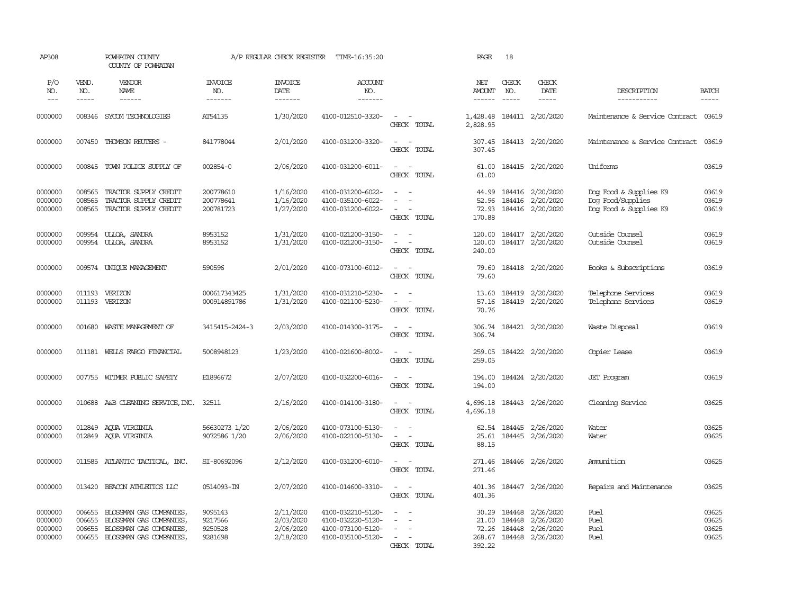| AP308                                    |                                      | POWHATAN COUNTY<br>COUNTY OF POWHATAN                                                                    |                                          | A/P REGULAR CHECK REGISTER                       | TIME-16:35:20                                                                    |                                                                       | PAGE                                        | 18                            |                                                          |                                                                       |                                  |
|------------------------------------------|--------------------------------------|----------------------------------------------------------------------------------------------------------|------------------------------------------|--------------------------------------------------|----------------------------------------------------------------------------------|-----------------------------------------------------------------------|---------------------------------------------|-------------------------------|----------------------------------------------------------|-----------------------------------------------------------------------|----------------------------------|
| P/O<br>NO.<br>$---$                      | VEND.<br>NO.<br>$- - - - -$          | VENDOR<br>NAME<br>$- - - - - -$                                                                          | <b>INVOICE</b><br>NO.<br>-------         | <b>INVOICE</b><br>DATE<br>--------               | <b>ACCOUNT</b><br>NO.<br>--------                                                |                                                                       | NET<br><b>AMOUNT</b><br>------              | CHECK<br>NO.<br>$\frac{1}{2}$ | CHECK<br>DATE<br>$- - - - -$                             | DESCRIPTION<br>-----------                                            | <b>BATCH</b><br>$- - - - -$      |
| 0000000                                  | 008346                               | SYCOM TECHNOLOGIES                                                                                       | AT54135                                  | 1/30/2020                                        | 4100-012510-3320-                                                                | $\sim$ $ \sim$<br>CHECK TOTAL                                         | 2,828.95                                    |                               | 1,428.48 184411 2/20/2020                                | Maintenance & Service Contract 03619                                  |                                  |
| 0000000                                  | 007450                               | THOMSON REUTERS -                                                                                        | 841778044                                | 2/01/2020                                        | 4100-031200-3320-                                                                | $\sim$<br>$\overline{\phantom{a}}$<br>CHECK TOTAL                     | 307.45<br>307.45                            |                               | 184413 2/20/2020                                         | Maintenance & Service Contract 03619                                  |                                  |
| 0000000                                  | 000845                               | TOWN POLICE SUPPLY OF                                                                                    | 002854-0                                 | 2/06/2020                                        | 4100-031200-6011-                                                                | $\sim$ $ \sim$<br>CHECK TOTAL                                         | 61.00<br>61.00                              |                               | 184415 2/20/2020                                         | Uniforms                                                              | 03619                            |
| 0000000<br>0000000<br>0000000            | 008565<br>008565<br>008565           | TRACTOR SUPPLY CREDIT<br>TRACTOR SUPPLY CREDIT<br>TRACTOR SUPPLY CREDIT                                  | 200778610<br>200778641<br>200781723      | 1/16/2020<br>1/16/2020<br>1/27/2020              | 4100-031200-6022-<br>4100-035100-6022-<br>4100-031200-6022-                      | $\sim$<br>$\sim$<br>$\equiv$<br>$\sim$<br>CHECK TOTAL                 | 44.99<br>52.96<br>72.93<br>170.88           |                               | 184416 2/20/2020<br>184416 2/20/2020<br>184416 2/20/2020 | Dog Food & Supplies K9<br>Dog Food/Supplies<br>Dog Food & Supplies K9 | 03619<br>03619<br>03619          |
| 0000000<br>0000000                       | 009954<br>009954                     | ULLOA, SANDRA<br>ULLOA, SANDRA                                                                           | 8953152<br>8953152                       | 1/31/2020<br>1/31/2020                           | 4100-021200-3150-<br>4100-021200-3150-                                           | $\sim$<br>$\sim$<br>$\sim$<br>$\sim$<br>CHECK TOTAL                   | 120.00<br>120.00<br>240.00                  |                               | 184417 2/20/2020<br>184417 2/20/2020                     | Outside Counsel<br>Outside Counsel                                    | 03619<br>03619                   |
| 0000000                                  |                                      | 009574 UNIQUE MANAGEMENT                                                                                 | 590596                                   | 2/01/2020                                        | 4100-073100-6012-                                                                | $\sim$<br>$\sim$<br>CHECK TOTAL                                       | 79.60<br>79.60                              |                               | 184418 2/20/2020                                         | Books & Subscriptions                                                 | 03619                            |
| 0000000<br>0000000                       | 011193                               | VERIZON<br>011193 VERIZON                                                                                | 000617343425<br>000914891786             | 1/31/2020<br>1/31/2020                           | 4100-031210-5230-<br>4100-021100-5230-                                           | $\sim$<br>$\sim$<br>$\sim$ $ \sim$<br>CHECK TOTAL                     | 13.60<br>57.16<br>70.76                     | 184419                        | 2/20/2020<br>184419 2/20/2020                            | Telephone Services<br>Telephone Services                              | 03619<br>03619                   |
| 0000000                                  | 001680                               | WASTE MANAGEMENT OF                                                                                      | 3415415-2424-3                           | 2/03/2020                                        | 4100-014300-3175-                                                                | $\sim$<br>$\sim$ $-$<br>CHECK TOTAL                                   | 306.74                                      |                               | 306.74 184421 2/20/2020                                  | Waste Disposal                                                        | 03619                            |
| 0000000                                  |                                      | 011181 WELLS FARGO FINANCIAL                                                                             | 5008948123                               | 1/23/2020                                        | 4100-021600-8002-                                                                | $\sim$<br>$\sim$<br>CHECK TOTAL                                       | 259.05<br>259.05                            |                               | 184422 2/20/2020                                         | Copier Lease                                                          | 03619                            |
| 0000000                                  |                                      | 007755 WITMER PUBLIC SAFETY                                                                              | E1896672                                 | 2/07/2020                                        | 4100-032200-6016-                                                                | $\sim$<br>$\sim$<br>CHECK TOTAL                                       | 194.00<br>194.00                            |                               | 184424 2/20/2020                                         | <b>JET</b> Program                                                    | 03619                            |
| 0000000                                  | 010688                               | A&B CLEANING SERVICE, INC.                                                                               | 32511                                    | 2/16/2020                                        | 4100-014100-3180-                                                                | $\sim$<br>$\sim$<br>CHECK TOTAL                                       | 4,696.18<br>4,696.18                        |                               | 184443 2/26/2020                                         | Cleaning Service                                                      | 03625                            |
| 0000000<br>0000000                       | 012849<br>012849                     | AQUA VIRGINIA<br>AQUA VIRGINIA                                                                           | 56630273 1/20<br>9072586 1/20            | 2/06/2020<br>2/06/2020                           | 4100-073100-5130-<br>4100-022100-5130-                                           | $\sim$<br>$\overline{\phantom{a}}$<br>$\sim$<br>$\sim$<br>CHECK TOTAL | 62.54<br>25.61<br>88.15                     |                               | 184445 2/26/2020<br>184445 2/26/2020                     | Water<br>Water                                                        | 03625<br>03625                   |
| 0000000                                  |                                      | 011585 ATLANTIC TACTICAL, INC.                                                                           | SI-80692096                              | 2/12/2020                                        | 4100-031200-6010-                                                                | $\sim$<br>CHECK TOTAL                                                 | 271.46<br>271.46                            |                               | 184446 2/26/2020                                         | Ammintion                                                             | 03625                            |
| 0000000                                  | 013420                               | BEACON ATHLETICS LLC                                                                                     | 0514093-IN                               | 2/07/2020                                        | 4100-014600-3310-                                                                | $\sim$ $ \sim$<br>CHECK TOTAL                                         | 401.36                                      |                               | 401.36 184447 2/26/2020                                  | Repairs and Maintenance                                               | 03625                            |
| 0000000<br>0000000<br>0000000<br>0000000 | 006655<br>006655<br>006655<br>006655 | BLOSSMAN GAS COMPANIES,<br>BLOSSMAN GAS COMPANIES,<br>BLOSSMAN GAS COMPANIES,<br>BLOSSMAN GAS COMPANIES, | 9095143<br>9217566<br>9250528<br>9281698 | 2/11/2020<br>2/03/2020<br>2/06/2020<br>2/18/2020 | 4100-032210-5120-<br>4100-032220-5120-<br>4100-073100-5120-<br>4100-035100-5120- | $\sim$<br>$\sim$<br>$\sim$<br>$\sim$<br>$\sim$<br>CHECK TOTAL         | 30.29<br>21.00<br>72.26<br>268.67<br>392.22 | 184448<br>184448<br>184448    | 2/26/2020<br>2/26/2020<br>2/26/2020<br>184448 2/26/2020  | Fuel<br>Fuel<br>Fuel<br>Fuel                                          | 03625<br>03625<br>03625<br>03625 |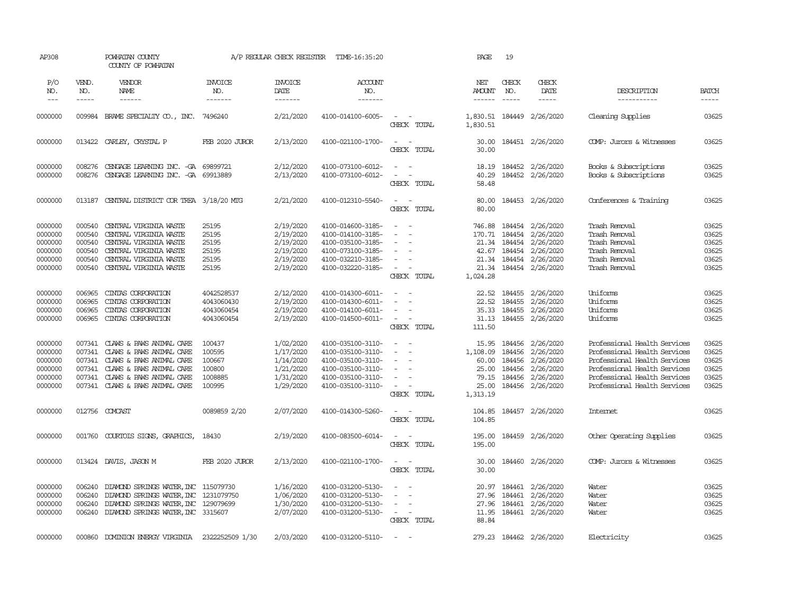| AP308                                                          |                                                          | POWHATAN COUNTY<br>COUNTY OF POWHATAN                                                                                                                                       |                                                           | A/P REGULAR CHECK REGISTER                                                 | TIME-16:35:20                                                                                                              |                                                                                                                                   | PAGE                                                              | 19                                             |                                                                                                              |                                                                                                                                                                                              |                                                    |
|----------------------------------------------------------------|----------------------------------------------------------|-----------------------------------------------------------------------------------------------------------------------------------------------------------------------------|-----------------------------------------------------------|----------------------------------------------------------------------------|----------------------------------------------------------------------------------------------------------------------------|-----------------------------------------------------------------------------------------------------------------------------------|-------------------------------------------------------------------|------------------------------------------------|--------------------------------------------------------------------------------------------------------------|----------------------------------------------------------------------------------------------------------------------------------------------------------------------------------------------|----------------------------------------------------|
| P/O<br>NO.<br>$---$                                            | VEND.<br>NO.<br>-----                                    | VENDOR<br>NAME<br>------                                                                                                                                                    | <b>INVOICE</b><br>NO.<br>-------                          | <b>INVOICE</b><br>DATE<br>--------                                         | ACCOUNT<br>NO.<br>--------                                                                                                 |                                                                                                                                   | NET<br><b>AMOUNT</b>                                              | CHECK<br>NO.<br>$\frac{1}{2}$                  | CHECK<br>DATE<br>$\frac{1}{2}$                                                                               | DESCRIPTION<br>-----------                                                                                                                                                                   | <b>BATCH</b><br>-----                              |
|                                                                |                                                          |                                                                                                                                                                             |                                                           |                                                                            |                                                                                                                            |                                                                                                                                   |                                                                   |                                                |                                                                                                              |                                                                                                                                                                                              |                                                    |
| 0000000                                                        | 009984                                                   | BRAME SPECIALITY CO., INC. 7496240                                                                                                                                          |                                                           | 2/21/2020                                                                  | 4100-014100-6005-                                                                                                          | $\sim$<br>$\sim$ $-$<br>CHECK TOTAL                                                                                               | 1,830.51                                                          |                                                | 1,830.51 184449 2/26/2020                                                                                    | Cleaning Supplies                                                                                                                                                                            | 03625                                              |
| 0000000                                                        |                                                          | 013422 CARLEY, CRYSTAL P                                                                                                                                                    | FEB 2020 JUROR                                            | 2/13/2020                                                                  | 4100-021100-1700-                                                                                                          | $\sim$<br>$\sim$ $-$<br>CHECK TOTAL                                                                                               | 30.00<br>30.00                                                    |                                                | 184451 2/26/2020                                                                                             | COMP: Jurors & Witnesses                                                                                                                                                                     | 03625                                              |
| 0000000<br>0000000                                             | 008276                                                   | CENGAGE LEARNING INC. - GA 69899721<br>008276 CENGAGE LEARNING INC. -GA 69913889                                                                                            |                                                           | 2/12/2020<br>2/13/2020                                                     | 4100-073100-6012-<br>4100-073100-6012-                                                                                     | $\sim$<br>$\sim$<br>$\sim$<br>$\sim$<br>CHECK TOTAL                                                                               | 18.19<br>40.29<br>58.48                                           |                                                | 184452 2/26/2020<br>184452 2/26/2020                                                                         | Books & Subscriptions<br>Books & Subscriptions                                                                                                                                               | 03625<br>03625                                     |
| 0000000                                                        | 013187                                                   | CENTRAL DISTRICT COR TREA 3/18/20 MTG                                                                                                                                       |                                                           | 2/21/2020                                                                  | 4100-012310-5540-                                                                                                          | $\sim$ $ -$<br>CHECK TOTAL                                                                                                        | 80.00<br>80.00                                                    |                                                | 184453 2/26/2020                                                                                             | Conferences & Training                                                                                                                                                                       | 03625                                              |
| 0000000<br>0000000<br>0000000<br>0000000<br>0000000<br>0000000 | 000540<br>000540<br>000540<br>000540<br>000540<br>000540 | CENTRAL VIRGINIA WASTE<br>CENTRAL VIRGINIA WASTE<br>CENTRAL VIRGINIA WASTE<br>CENTRAL VIRGINIA WASTE<br>CENTRAL VIRGINIA WASTE<br>CENTRAL VIRGINIA WASTE                    | 25195<br>25195<br>25195<br>25195<br>25195<br>25195        | 2/19/2020<br>2/19/2020<br>2/19/2020<br>2/19/2020<br>2/19/2020<br>2/19/2020 | 4100-014600-3185-<br>4100-014100-3185-<br>4100-035100-3185-<br>4100-073100-3185-<br>4100-032210-3185-<br>4100-032220-3185- | $\overline{\phantom{a}}$<br>$\sim$<br>$\sim$<br>$\sim$<br>$\sim$<br>$\sim$<br>$\overline{\phantom{a}}$<br>CHECK TOTAL             | 746.88<br>42.67<br>21.34<br>1,024.28                              | 170.71 184454<br>21.34 184454                  | 184454 2/26/2020<br>2/26/2020<br>2/26/2020<br>184454 2/26/2020<br>21.34 184454 2/26/2020<br>184454 2/26/2020 | Trash Removal<br>Trash Removal<br>Trash Removal<br>Trash Removal<br>Trash Removal<br>Trash Removal                                                                                           | 03625<br>03625<br>03625<br>03625<br>03625<br>03625 |
| 0000000<br>0000000<br>0000000<br>0000000                       | 006965<br>006965<br>006965<br>006965                     | CINTAS CORPORATION<br>CINIAS CORPORATION<br>CINIAS CORPORATION<br>CINTAS CORPORATION                                                                                        | 4042528537<br>4043060430<br>4043060454<br>4043060454      | 2/12/2020<br>2/19/2020<br>2/19/2020<br>2/19/2020                           | 4100-014300-6011-<br>4100-014300-6011-<br>4100-014100-6011-<br>4100-014500-6011-                                           | $\overline{\phantom{a}}$<br>$\sim$<br>$\sim$<br>$\sim$<br>$\overline{\phantom{a}}$<br>$\sim$<br>CHECK TOTAL                       | 22.52<br>22.52<br>35.33<br>111.50                                 | 184455<br>184455                               | 2/26/2020<br>2/26/2020<br>184455 2/26/2020<br>31.13 184455 2/26/2020                                         | Uniforms<br>Uniforms<br>Uniforms<br>Uniforms                                                                                                                                                 | 03625<br>03625<br>03625<br>03625                   |
| 0000000<br>0000000<br>0000000<br>0000000<br>0000000<br>0000000 | 007341<br>007341<br>007341<br>007341<br>007341           | CLAWS & PAWS ANIMAL CARE<br>CLAWS & PAWS ANIMAL CARE<br>CLAWS & PAWS ANIMAL CARE<br>CLAWS & PAWS ANIMAL CARE<br>CLAWS & PAWS ANIMAL CARE<br>007341 CLAWS & PAWS ANIMAL CARE | 100437<br>100595<br>100667<br>100800<br>1008885<br>100995 | 1/02/2020<br>1/17/2020<br>1/14/2020<br>1/21/2020<br>1/31/2020<br>1/29/2020 | 4100-035100-3110-<br>4100-035100-3110-<br>4100-035100-3110-<br>4100-035100-3110-<br>4100-035100-3110-<br>4100-035100-3110- | $\sim$<br>$\sim$<br>$\sim$<br>$\sim$<br>$\sim$<br>$\sim$<br>CHECK TOTAL                                                           | 15.95<br>1,108.09<br>60.00<br>25.00<br>79.15<br>25.00<br>1,313.19 | 184456<br>184456<br>184456<br>184456<br>184456 | 2/26/2020<br>2/26/2020<br>2/26/2020<br>2/26/2020<br>2/26/2020<br>184456 2/26/2020                            | Professional Health Services<br>Professional Health Services<br>Professional Health Services<br>Professional Health Services<br>Professional Health Services<br>Professional Health Services | 03625<br>03625<br>03625<br>03625<br>03625<br>03625 |
| 0000000                                                        |                                                          | 012756 COMCAST                                                                                                                                                              | 0089859 2/20                                              | 2/07/2020                                                                  | 4100-014300-5260-                                                                                                          | $\sim$ $\sim$<br>CHECK TOTAL                                                                                                      | 104.85<br>104.85                                                  |                                                | 184457 2/26/2020                                                                                             | <b>Internet</b>                                                                                                                                                                              | 03625                                              |
| 0000000                                                        |                                                          | 001760 COURTOIS SIGNS, GRAPHICS,                                                                                                                                            | 18430                                                     | 2/19/2020                                                                  | 4100-083500-6014-                                                                                                          | $\sim$<br>$\sim$<br>CHECK TOTAL                                                                                                   | 195.00<br>195.00                                                  |                                                | 184459 2/26/2020                                                                                             | Other Operating Supplies                                                                                                                                                                     | 03625                                              |
| 0000000                                                        |                                                          | 013424 DAVIS, JASON M                                                                                                                                                       | FEB 2020 JUROR                                            | 2/13/2020                                                                  | 4100-021100-1700-                                                                                                          | $\sim$<br>$\sim$<br>CHECK TOTAL                                                                                                   | 30.00<br>30.00                                                    |                                                | 184460 2/26/2020                                                                                             | COMP: Jurors & Witnesses                                                                                                                                                                     | 03625                                              |
| 0000000<br>0000000<br>0000000<br>0000000                       | 006240<br>006240<br>006240                               | DIAMOND SPRINGS WATER, INC 115079730<br>DIAMOND SPRINGS WATER, INC 1231079750<br>DIAMOND SPRINGS WATER, INC 129079699<br>006240 DIAMOND SPRINGS WATER, INC 3315607          |                                                           | 1/16/2020<br>1/06/2020<br>1/30/2020<br>2/07/2020                           | 4100-031200-5130-<br>4100-031200-5130-<br>4100-031200-5130-<br>4100-031200-5130-                                           | $\overline{\phantom{a}}$<br>$\sim$<br>$\sim$<br>$\sim$<br>$\sim$<br>$\mathcal{L} = \mathcal{L} \times \mathcal{L}$<br>CHECK TOTAL | 20.97<br>27.96<br>27.96<br>11.95<br>88.84                         | 184461                                         | 184461 2/26/2020<br>2/26/2020<br>184461 2/26/2020<br>184461 2/26/2020                                        | Water<br>Water<br>Water<br>Water                                                                                                                                                             | 03625<br>03625<br>03625<br>03625                   |
| 0000000                                                        |                                                          | 000860 DOMINION ENERGY VIRGINIA                                                                                                                                             | 2322252509 1/30                                           | 2/03/2020                                                                  | 4100-031200-5110-                                                                                                          | $\sim$ $-$                                                                                                                        |                                                                   |                                                | 279.23 184462 2/26/2020                                                                                      | Electricity                                                                                                                                                                                  | 03625                                              |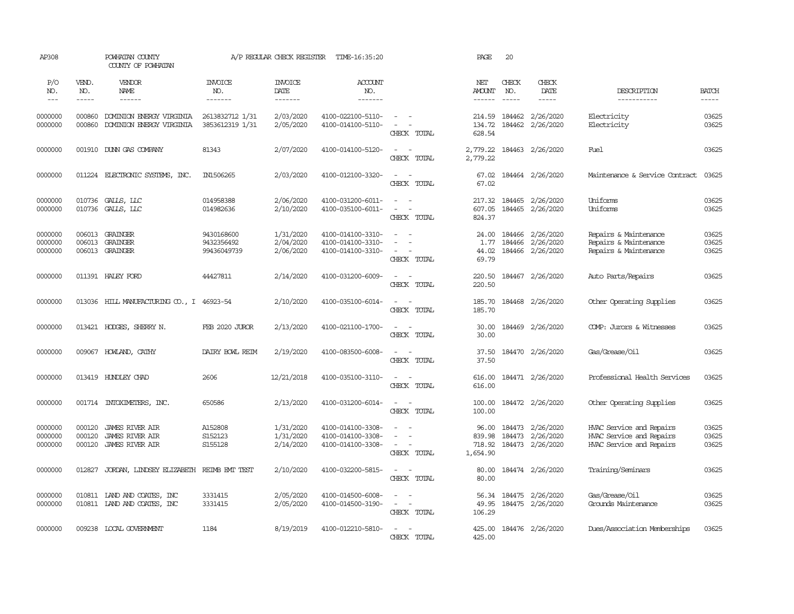| AP308                         |                             | POWHATAN COUNTY<br>COUNTY OF POWHATAN                                      |                                         | A/P REGULAR CHECK REGISTER          | TIME-16:35:20                                               |                                                                                                 | PAGE                            | 20                            |                                            |                                                                                  |                         |
|-------------------------------|-----------------------------|----------------------------------------------------------------------------|-----------------------------------------|-------------------------------------|-------------------------------------------------------------|-------------------------------------------------------------------------------------------------|---------------------------------|-------------------------------|--------------------------------------------|----------------------------------------------------------------------------------|-------------------------|
| P/O<br>NO.<br>$---$           | VEND.<br>NO.<br>$- - - - -$ | VENDOR<br><b>NAME</b><br>$- - - - - -$                                     | <b>INVOICE</b><br>NO.<br>-------        | <b>INVOICE</b><br>DATE<br>-------   | ACCOUNT<br>NO.<br>-------                                   |                                                                                                 | NET<br>AMOUNT<br>$- - - - - -$  | CHECK<br>NO.<br>$\frac{1}{2}$ | CHECK<br>DATE<br>$- - - - -$               | DESCRIPTION<br>-----------                                                       | <b>BATCH</b><br>-----   |
| 0000000<br>0000000            | 000860<br>000860            | DOMINION ENERGY VIRGINIA<br>DOMINION ENERGY VIRGINIA                       | 2613832712 1/31<br>3853612319 1/31      | 2/03/2020<br>2/05/2020              | 4100-022100-5110-<br>4100-014100-5110-                      | $\omega_{\rm{max}}$ and $\omega_{\rm{max}}$<br>$\sim$<br>$\sim$<br>CHECK TOTAL                  | 214.59<br>134.72<br>628.54      | 184462<br>184462              | 2/26/2020<br>2/26/2020                     | Electricity<br>Electricity                                                       | 03625<br>03625          |
| 0000000                       |                             | 001910 DUNN GAS COMPANY                                                    | 81343                                   | 2/07/2020                           | 4100-014100-5120-                                           | $\overline{\phantom{a}}$<br>$\sim$<br>CHECK TOTAL                                               | 2,779.22<br>2,779.22            | 184463                        | 2/26/2020                                  | Fuel                                                                             | 03625                   |
| 0000000                       | 011224                      | ELECTRONIC SYSTEMS, INC.                                                   | IN1506265                               | 2/03/2020                           | 4100-012100-3320-                                           | $\sim$<br>$\sim$<br>CHECK TOTAL                                                                 | 67.02<br>67.02                  |                               | 184464 2/26/2020                           | Maintenance & Service Contract                                                   | 03625                   |
| 0000000<br>0000000            | 010736<br>010736            | GALLS, LLC<br>GALLS, LLC                                                   | 014958388<br>014982636                  | 2/06/2020<br>2/10/2020              | 4100-031200-6011-<br>4100-035100-6011-                      | $\overline{\phantom{a}}$<br>$\sim$<br>$\blacksquare$<br>$\overline{\phantom{a}}$<br>CHECK TOTAL | 217.32<br>607.05<br>824.37      | 184465                        | 2/26/2020<br>184465 2/26/2020              | Uniforms<br>Uniforms                                                             | 03625<br>03625          |
| 0000000<br>0000000<br>0000000 | 006013<br>006013<br>006013  | GRAINGER<br><b>GRAINGER</b><br>GRAINGER                                    | 9430168600<br>9432356492<br>99436049739 | 1/31/2020<br>2/04/2020<br>2/06/2020 | 4100-014100-3310-<br>4100-014100-3310-<br>4100-014100-3310- | $\overline{\phantom{a}}$<br>$\overline{\phantom{a}}$<br>$\overline{\phantom{a}}$<br>CHECK TOTAL | 24.00<br>1.77<br>44.02<br>69.79 | 184466<br>184466              | 2/26/2020<br>2/26/2020<br>184466 2/26/2020 | Repairs & Maintenance<br>Repairs & Maintenance<br>Repairs & Maintenance          | 03625<br>03625<br>03625 |
| 0000000                       |                             | 011391 HALEY FORD                                                          | 44427811                                | 2/14/2020                           | 4100-031200-6009-                                           | $\sim$ $\sim$<br>CHECK TOTAL                                                                    | 220.50<br>220.50                |                               | 184467 2/26/2020                           | Auto Parts/Repairs                                                               | 03625                   |
| 0000000                       |                             | 013036 HILL MANUFACTURING CO., I 46923-54                                  |                                         | 2/10/2020                           | 4100-035100-6014-                                           | $\sim$<br>CHECK TOTAL                                                                           | 185.70<br>185.70                |                               | 184468 2/26/2020                           | Other Operating Supplies                                                         | 03625                   |
| 0000000                       |                             | 013421 HODGES, SHERRY N.                                                   | FEB 2020 JUROR                          | 2/13/2020                           | 4100-021100-1700-                                           | $\sim$<br>$\sim$<br>CHECK TOTAL                                                                 | 30.00<br>30.00                  |                               | 184469 2/26/2020                           | COMP: Jurors & Witnesses                                                         | 03625                   |
| 0000000                       |                             | 009067 HOWLAND, CATHY                                                      | DAIRY BOWL REIM                         | 2/19/2020                           | 4100-083500-6008-                                           | $\overline{\phantom{a}}$<br>CHECK TOTAL                                                         | 37.50<br>37.50                  |                               | 184470 2/26/2020                           | Gas/Grease/Oil                                                                   | 03625                   |
| 0000000                       |                             | 013419 HUNDLEY CHAD                                                        | 2606                                    | 12/21/2018                          | 4100-035100-3110-                                           | $\overline{\phantom{a}}$<br>$\sim$<br>CHECK TOTAL                                               | 616.00<br>616.00                |                               | 184471 2/26/2020                           | Professional Health Services                                                     | 03625                   |
| 0000000                       |                             | 001714 INTOXIMETERS, INC.                                                  | 650586                                  | 2/13/2020                           | 4100-031200-6014-                                           | $\overline{\phantom{a}}$<br>$\sim$<br>CHECK TOTAL                                               | 100.00<br>100.00                |                               | 184472 2/26/2020                           | Other Operating Supplies                                                         | 03625                   |
| 0000000<br>0000000<br>0000000 | 000120<br>000120<br>000120  | <b>JAMES RIVER AIR</b><br><b>JAMES RIVER AIR</b><br><b>JAMES RIVER AIR</b> | A152808<br>S152123<br>S155128           | 1/31/2020<br>1/31/2020<br>2/14/2020 | 4100-014100-3308-<br>4100-014100-3308-<br>4100-014100-3308- | $\sim$<br>$\overline{\phantom{a}}$<br>$\equiv$<br>CHECK TOTAL                                   | 839.98<br>718.92<br>1,654.90    | 96.00 184473<br>184473        | 2/26/2020<br>2/26/2020<br>184473 2/26/2020 | HVAC Service and Repairs<br>HVAC Service and Repairs<br>HVAC Service and Repairs | 03625<br>03625<br>03625 |
| 0000000                       | 012827                      | JORDAN, LINDSEY ELIZABETH REIMB EMT TEST                                   |                                         | 2/10/2020                           | 4100-032200-5815-                                           | $\sim$<br>$\overline{\phantom{a}}$<br>CHECK TOTAL                                               | 80.00<br>80.00                  |                               | 184474 2/26/2020                           | Training/Seminars                                                                | 03625                   |
| 0000000<br>0000000            |                             | 010811 LAND AND COATES, INC<br>010811 LAND AND COATES, INC                 | 3331415<br>3331415                      | 2/05/2020<br>2/05/2020              | 4100-014500-6008-<br>4100-014500-3190-                      | $\sim$ $ \sim$<br>CHECK TOTAL                                                                   | 56.34<br>49.95<br>106.29        |                               | 184475 2/26/2020<br>184475 2/26/2020       | Gas/Grease/Oil<br>Grounds Maintenance                                            | 03625<br>03625          |
| 0000000                       |                             | 009238 LOCAL GOVERNMENT                                                    | 1184                                    | 8/19/2019                           | 4100-012210-5810-                                           | $\sim$<br>$\sim$<br>CHECK TOTAL                                                                 | 425.00<br>425.00                |                               | 184476 2/26/2020                           | Dues/Association Memberships                                                     | 03625                   |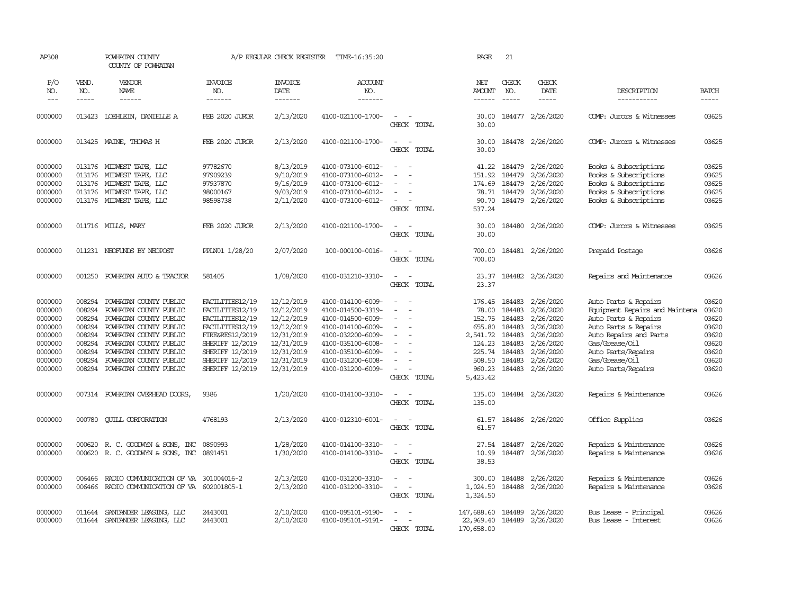| AP308                                                                                           |                                                                                        | POWHATAN COUNTY<br>COUNTY OF POWHATAN                                                                                                                                                                                                  |                                                                                                                                                                         | A/P REGULAR CHECK REGISTER                                                                                                 | TIME-16:35:20                                                                                                                                                                             |                                                                                               | PAGE                                                                                       | 21                                                                                 |                                                                                                                          |                                                                                                                                                                                                                  |                                                                               |
|-------------------------------------------------------------------------------------------------|----------------------------------------------------------------------------------------|----------------------------------------------------------------------------------------------------------------------------------------------------------------------------------------------------------------------------------------|-------------------------------------------------------------------------------------------------------------------------------------------------------------------------|----------------------------------------------------------------------------------------------------------------------------|-------------------------------------------------------------------------------------------------------------------------------------------------------------------------------------------|-----------------------------------------------------------------------------------------------|--------------------------------------------------------------------------------------------|------------------------------------------------------------------------------------|--------------------------------------------------------------------------------------------------------------------------|------------------------------------------------------------------------------------------------------------------------------------------------------------------------------------------------------------------|-------------------------------------------------------------------------------|
| P/O<br>NO.<br>$\frac{1}{2}$                                                                     | VEND.<br>NO.<br>$- - - - -$                                                            | VENDOR<br>NAME<br>------                                                                                                                                                                                                               | <b>INVOICE</b><br>NO.<br>-------                                                                                                                                        | INVOICE<br>DATE<br>-------                                                                                                 | ACCOUNT<br>NO.<br>-------                                                                                                                                                                 |                                                                                               | NET<br><b>AMOUNT</b><br>$- - - - - -$                                                      | CHECK<br>NO.                                                                       | CHECK<br>DATE<br>$- - - - -$                                                                                             | DESCRIPTION<br>-----------                                                                                                                                                                                       | <b>BATCH</b><br>$- - - - -$                                                   |
| 0000000                                                                                         |                                                                                        | 013423 LOEHLEIN, DANIELLE A                                                                                                                                                                                                            | FEB 2020 JUROR                                                                                                                                                          | 2/13/2020                                                                                                                  | 4100-021100-1700-                                                                                                                                                                         | $\sim$<br>CHECK TOTAL                                                                         | 30.00<br>30.00                                                                             |                                                                                    | 184477 2/26/2020                                                                                                         | COMP: Jurors & Witnesses                                                                                                                                                                                         | 03625                                                                         |
| 0000000                                                                                         |                                                                                        | 013425 MAINE, THOMAS H                                                                                                                                                                                                                 | FEB 2020 JUROR                                                                                                                                                          | 2/13/2020                                                                                                                  | 4100-021100-1700-                                                                                                                                                                         | $\overline{\phantom{a}}$<br>CHECK TOTAL                                                       | 30.00<br>30.00                                                                             |                                                                                    | 184478 2/26/2020                                                                                                         | COMP: Jurors & Witnesses                                                                                                                                                                                         | 03625                                                                         |
| 0000000<br>0000000<br>0000000<br>0000000<br>0000000                                             |                                                                                        | 013176 MIDWEST TAPE, LLC<br>013176 MIDWEST TAPE, LLC<br>013176 MIDWEST TAPE, LLC<br>013176 MIDWEST TAPE, LLC<br>013176 MIDWEST TAPE, LLC                                                                                               | 97782670<br>97909239<br>97937870<br>98000167<br>98598738                                                                                                                | 8/13/2019<br>9/10/2019<br>9/16/2019<br>9/03/2019<br>2/11/2020                                                              | 4100-073100-6012-<br>4100-073100-6012-<br>4100-073100-6012-<br>4100-073100-6012-<br>4100-073100-6012-                                                                                     | $\sim$<br>$\sim$<br>$\equiv$<br>$\sim$<br>$\sim$ $ \sim$<br>CHECK TOTAL                       | 151.92<br>90.70<br>537.24                                                                  | 41.22 184479<br>184479<br>174.69 184479<br>78.71 184479                            | 2/26/2020<br>2/26/2020<br>2/26/2020<br>2/26/2020<br>184479 2/26/2020                                                     | Books & Subscriptions<br>Books & Subscriptions<br>Books & Subscriptions<br>Books & Subscriptions<br>Books & Subscriptions                                                                                        | 03625<br>03625<br>03625<br>03625<br>03625                                     |
| 0000000                                                                                         |                                                                                        | 011716 MILLS, MARY                                                                                                                                                                                                                     | FEB 2020 JUROR                                                                                                                                                          | 2/13/2020                                                                                                                  | 4100-021100-1700-                                                                                                                                                                         | $\sim$<br>$\sim$<br>CHECK TOTAL                                                               | 30.00<br>30.00                                                                             |                                                                                    | 184480 2/26/2020                                                                                                         | COMP: Jurors & Witnesses                                                                                                                                                                                         | 03625                                                                         |
| 0000000                                                                                         |                                                                                        | 011231 NEOFUNDS BY NEOPOST                                                                                                                                                                                                             | PPLN01 1/28/20                                                                                                                                                          | 2/07/2020                                                                                                                  | 100-000100-0016-                                                                                                                                                                          | $\sim$<br>CHECK TOTAL                                                                         | 700.00<br>700.00                                                                           |                                                                                    | 184481 2/26/2020                                                                                                         | Prepaid Postage                                                                                                                                                                                                  | 03626                                                                         |
| 0000000                                                                                         | 001250                                                                                 | POWHATAN AUTO & TRACTOR                                                                                                                                                                                                                | 581405                                                                                                                                                                  | 1/08/2020                                                                                                                  | 4100-031210-3310-                                                                                                                                                                         | $\overline{\phantom{a}}$<br>$\sim$<br>CHECK TOTAL                                             | 23.37<br>23.37                                                                             |                                                                                    | 184482 2/26/2020                                                                                                         | Repairs and Maintenance                                                                                                                                                                                          | 03626                                                                         |
| 0000000<br>0000000<br>0000000<br>0000000<br>0000000<br>0000000<br>0000000<br>0000000<br>0000000 | 008294<br>008294<br>008294<br>008294<br>008294<br>008294<br>008294<br>008294<br>008294 | POWHATAN COUNTY PUBLIC<br>POWHATAN COUNTY PUBLIC<br>POWHATAN COUNTY PUBLIC<br>POWHATAN COUNTY PUBLIC<br>POWHATAN COUNTY PUBLIC<br>POWHATAN COUNTY PUBLIC<br>POWHATAN COUNTY PUBLIC<br>POWHATAN COUNTY PUBLIC<br>POWHATAN COUNTY PUBLIC | FACILITIES12/19<br>FACILITIES12/19<br>FACILITIES12/19<br>FACILITIES12/19<br>FIRE&RES12/2019<br>SHERIFF 12/2019<br>SHERIFF 12/2019<br>SHERIFF 12/2019<br>SHERIFF 12/2019 | 12/12/2019<br>12/12/2019<br>12/12/2019<br>12/12/2019<br>12/31/2019<br>12/31/2019<br>12/31/2019<br>12/31/2019<br>12/31/2019 | 4100-014100-6009-<br>4100-014500-3319-<br>4100-014500-6009-<br>4100-014100-6009-<br>4100-032200-6009-<br>4100-035100-6008-<br>4100-035100-6009-<br>4100-031200-6008-<br>4100-031200-6009- | $\equiv$<br>$\sim$<br>$\equiv$<br>$\sim$<br>$\sim$<br>$\blacksquare$<br>$\sim$<br>CHECK TOTAL | 176.45<br>152.75<br>655.80<br>2,541.72<br>124.23<br>225.74<br>508.50<br>960.23<br>5,423.42 | 184483<br>78.00 184483<br>184483<br>184483<br>184483<br>184483<br>184483<br>184483 | 2/26/2020<br>2/26/2020<br>2/26/2020<br>2/26/2020<br>2/26/2020<br>2/26/2020<br>2/26/2020<br>2/26/2020<br>184483 2/26/2020 | Auto Parts & Repairs<br>Equipment Repairs and Maintena<br>Auto Parts & Repairs<br>Auto Parts & Repairs<br>Auto Repairs and Parts<br>Gas/Grease/Oil<br>Auto Parts/Repairs<br>Gas/Grease/Oil<br>Auto Parts/Repairs | 03620<br>03620<br>03620<br>03620<br>03620<br>03620<br>03620<br>03620<br>03620 |
| 0000000                                                                                         |                                                                                        | 007314 POWHATAN OVERHEAD DOORS,                                                                                                                                                                                                        | 9386                                                                                                                                                                    | 1/20/2020                                                                                                                  | 4100-014100-3310-                                                                                                                                                                         | $\sim$<br>$\sim$<br>CHECK TOTAL                                                               | 135.00<br>135.00                                                                           |                                                                                    | 184484 2/26/2020                                                                                                         | Repairs & Maintenance                                                                                                                                                                                            | 03626                                                                         |
| 0000000                                                                                         | 000780                                                                                 | <b>CUILL CORPORATION</b>                                                                                                                                                                                                               | 4768193                                                                                                                                                                 | 2/13/2020                                                                                                                  | 4100-012310-6001-                                                                                                                                                                         | $\sim$ $ \sim$<br>CHECK TOTAL                                                                 | 61.57<br>61.57                                                                             |                                                                                    | 184486 2/26/2020                                                                                                         | Office Supplies                                                                                                                                                                                                  | 03626                                                                         |
| 0000000<br>0000000                                                                              |                                                                                        | 000620 R. C. GOODWIN & SONS, INC<br>000620 R. C. GOODWIN & SONS, INC                                                                                                                                                                   | 0890993<br>0891451                                                                                                                                                      | 1/28/2020<br>1/30/2020                                                                                                     | 4100-014100-3310-<br>4100-014100-3310-                                                                                                                                                    | $\equiv$<br>CHECK TOTAL                                                                       | 27.54<br>10.99<br>38.53                                                                    |                                                                                    | 184487 2/26/2020<br>184487 2/26/2020                                                                                     | Repairs & Maintenance<br>Repairs & Maintenance                                                                                                                                                                   | 03626<br>03626                                                                |
| 0000000<br>0000000                                                                              | 006466<br>006466                                                                       | RADIO COMMUNICATION OF VA 301004016-2<br>RADIO COMMUNICATION OF VA 602001805-1                                                                                                                                                         |                                                                                                                                                                         | 2/13/2020<br>2/13/2020                                                                                                     | 4100-031200-3310-<br>4100-031200-3310-                                                                                                                                                    | $\equiv$<br>$\sim$ $ -$<br>CHECK TOTAL                                                        | 300.00<br>1,024.50<br>1,324.50                                                             | 184488                                                                             | 2/26/2020<br>184488 2/26/2020                                                                                            | Repairs & Maintenance<br>Repairs & Maintenance                                                                                                                                                                   | 03626<br>03626                                                                |
| 0000000<br>0000000                                                                              | 011644                                                                                 | SANTANDER LEASING, LLC<br>011644 SANTANDER LEASING, LLC                                                                                                                                                                                | 2443001<br>2443001                                                                                                                                                      | 2/10/2020<br>2/10/2020                                                                                                     | 4100-095101-9190-<br>4100-095101-9191-                                                                                                                                                    | $\overline{\phantom{a}}$<br>$\equiv$<br>CHECK TOTAL                                           | 147,688.60<br>22,969.40<br>170,658.00                                                      |                                                                                    | 184489 2/26/2020<br>184489 2/26/2020                                                                                     | Bus Lease - Principal<br>Bus Lease - Interest                                                                                                                                                                    | 03626<br>03626                                                                |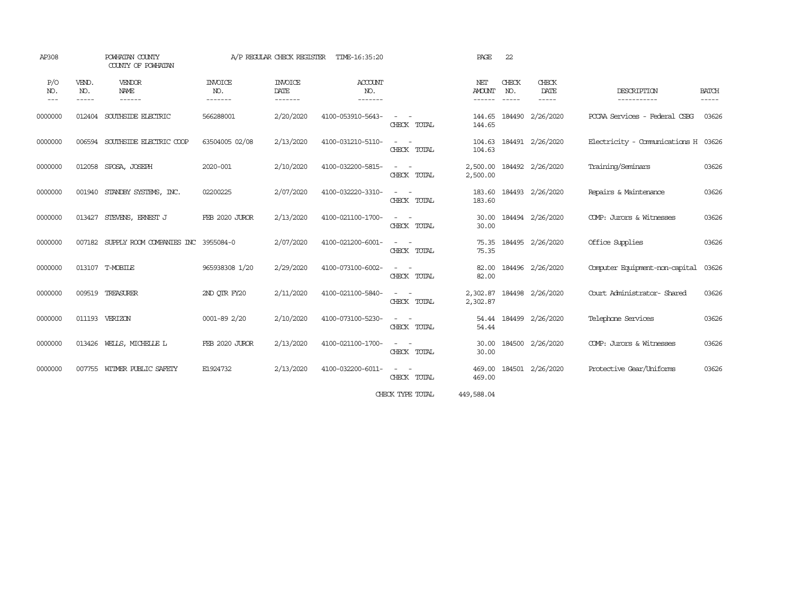| AP308                                                                                                                                                                                                                                                                                                                                                                                                      |                       | POWHATAN COUNTY<br>COUNTY OF POWHATAN      |                                  |                                   | A/P REGULAR CHECK REGISTER TIME-16:35:20 |                                                                                                                             | PAGE                           | 22                       |                           |                                     |                             |
|------------------------------------------------------------------------------------------------------------------------------------------------------------------------------------------------------------------------------------------------------------------------------------------------------------------------------------------------------------------------------------------------------------|-----------------------|--------------------------------------------|----------------------------------|-----------------------------------|------------------------------------------|-----------------------------------------------------------------------------------------------------------------------------|--------------------------------|--------------------------|---------------------------|-------------------------------------|-----------------------------|
| P/O<br>NO.<br>$\frac{1}{2} \frac{1}{2} \frac{1}{2} \frac{1}{2} \frac{1}{2} \frac{1}{2} \frac{1}{2} \frac{1}{2} \frac{1}{2} \frac{1}{2} \frac{1}{2} \frac{1}{2} \frac{1}{2} \frac{1}{2} \frac{1}{2} \frac{1}{2} \frac{1}{2} \frac{1}{2} \frac{1}{2} \frac{1}{2} \frac{1}{2} \frac{1}{2} \frac{1}{2} \frac{1}{2} \frac{1}{2} \frac{1}{2} \frac{1}{2} \frac{1}{2} \frac{1}{2} \frac{1}{2} \frac{1}{2} \frac{$ | VEND.<br>NO.<br>----- | VENDOR<br>NAME<br>------                   | <b>INVOICE</b><br>NO.<br>------- | <b>INVOICE</b><br>DATE<br>------- | ACCOUNT<br>NO.<br>-------                |                                                                                                                             | NET<br><b>AMOUNT</b><br>------ | CHECK<br>NO.<br>$\cdots$ | CHECK<br>DATE<br>-----    | DESCRIPTION<br>-----------          | <b>BATCH</b><br>$- - - - -$ |
| 0000000                                                                                                                                                                                                                                                                                                                                                                                                    |                       | 012404 SOUTHSIDE ELECTRIC                  | 566288001                        | 2/20/2020                         | 4100-053910-5643-                        | $\frac{1}{2} \left( \frac{1}{2} \right) \left( \frac{1}{2} \right) \left( \frac{1}{2} \right)$<br>CHECK TOTAL               | 144.65<br>144.65               |                          | 184490 2/26/2020          | POCAA Services - Federal CSBG       | 03626                       |
| 0000000                                                                                                                                                                                                                                                                                                                                                                                                    |                       | 006594 SOUTHSIDE ELECTRIC COOP             | 63504005 02/08                   | 2/13/2020                         | 4100-031210-5110-                        | $\sim$ $ -$<br>CHECK TOTAL                                                                                                  | 104.63                         |                          | 104.63 184491 2/26/2020   | Electricity - Comunications H 03626 |                             |
| 0000000                                                                                                                                                                                                                                                                                                                                                                                                    |                       | 012058 SPOSA, JOSEPH                       | 2020-001                         | 2/10/2020                         | 4100-032200-5815-                        | $\frac{1}{2} \left( \frac{1}{2} \right) \left( \frac{1}{2} \right) = \frac{1}{2} \left( \frac{1}{2} \right)$<br>CHECK TOTAL | 2,500.00<br>2,500.00           |                          | 184492 2/26/2020          | Training/Seminars                   | 03626                       |
| 0000000                                                                                                                                                                                                                                                                                                                                                                                                    |                       | 001940 STANDBY SYSTEMS, INC.               | 02200225                         | 2/07/2020                         | 4100-032220-3310-                        | $\frac{1}{2} \left( \frac{1}{2} \right) \left( \frac{1}{2} \right) = \frac{1}{2} \left( \frac{1}{2} \right)$<br>CHECK TOTAL | 183.60                         |                          | 183.60 184493 2/26/2020   | Repairs & Maintenance               | 03626                       |
| 0000000                                                                                                                                                                                                                                                                                                                                                                                                    | 013427                | STEVENS, ERNEST J                          | FEB 2020 JUROR                   | 2/13/2020                         | 4100-021100-1700-                        | $\frac{1}{2} \left( \frac{1}{2} \right) \left( \frac{1}{2} \right) \left( \frac{1}{2} \right)$<br>CHECK TOTAL               | 30.00<br>30.00                 |                          | 184494 2/26/2020          | COMP: Jurors & Witnesses            | 03626                       |
| 0000000                                                                                                                                                                                                                                                                                                                                                                                                    |                       | 007182 SUPPLY ROOM COMPANIES INC 3955084-0 |                                  | 2/07/2020                         | 4100-021200-6001-                        | $\sim$ 100 $\sim$<br>CHECK TOTAL                                                                                            | 75.35                          |                          | 75.35 184495 2/26/2020    | Office Supplies                     | 03626                       |
| 0000000                                                                                                                                                                                                                                                                                                                                                                                                    |                       | 013107 T-MOBILE                            | 965938308 1/20                   | 2/29/2020                         | 4100-073100-6002-                        | $\frac{1}{2} \left( \frac{1}{2} \right) \left( \frac{1}{2} \right) = \frac{1}{2} \left( \frac{1}{2} \right)$<br>CHECK TOTAL | 82.00<br>82.00                 |                          | 184496 2/26/2020          | Computer Equipment-non-capital      | 03626                       |
| 0000000                                                                                                                                                                                                                                                                                                                                                                                                    |                       | 009519 TREASURER                           | 2ND OTR FY20                     | 2/11/2020                         | 4100-021100-5840-                        | $\frac{1}{2} \left( \frac{1}{2} \right) \left( \frac{1}{2} \right) = \frac{1}{2} \left( \frac{1}{2} \right)$<br>CHECK TOTAL | 2,302.87                       |                          | 2,302.87 184498 2/26/2020 | Court Administrator-Shared          | 03626                       |
| 0000000                                                                                                                                                                                                                                                                                                                                                                                                    |                       | 011193 VERIZON                             | 0001-89 2/20                     | 2/10/2020                         | 4100-073100-5230-                        | $\sim$<br>CHECK TOTAL                                                                                                       | 54.44                          |                          | 54.44 184499 2/26/2020    | Telephone Services                  | 03626                       |
| 0000000                                                                                                                                                                                                                                                                                                                                                                                                    |                       | 013426 WELLS, MICHELLE L                   | FEB 2020 JUROR                   | 2/13/2020                         | 4100-021100-1700-                        | $\sim$ 100 $\sim$<br>CHECK TOTAL                                                                                            | 30.00<br>30.00                 |                          | 184500 2/26/2020          | COMP: Jurors & Witnesses            | 03626                       |
| 0000000                                                                                                                                                                                                                                                                                                                                                                                                    |                       | 007755 WITMER PUBLIC SAFETY                | E1924732                         | 2/13/2020                         | 4100-032200-6011-                        | $\frac{1}{2} \left( \frac{1}{2} \right) \left( \frac{1}{2} \right) = \frac{1}{2} \left( \frac{1}{2} \right)$<br>CHECK TOTAL | 469.00<br>469.00               |                          | 184501 2/26/2020          | Protective Gear/Uniforms            | 03626                       |
|                                                                                                                                                                                                                                                                                                                                                                                                            |                       |                                            |                                  |                                   |                                          | CHECK TYPE TOTAL                                                                                                            | 449,588.04                     |                          |                           |                                     |                             |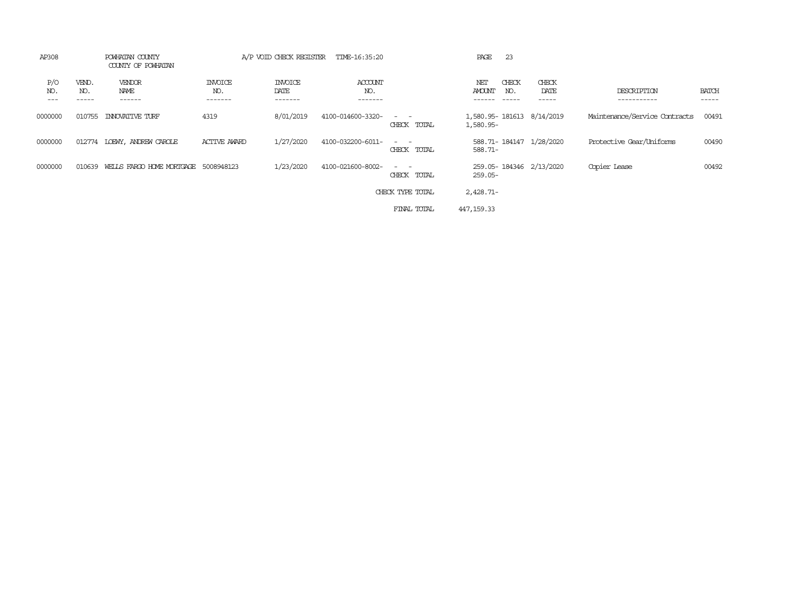| AP308               |              | POWHATAN COUNTY<br>COUNTY OF POWHATAN |                            | A/P VOID CHECK REGISTER           | TIME-16:35:20                    |                                                                                                                             | PAGE<br>-23                          |                           |                               |                       |
|---------------------|--------------|---------------------------------------|----------------------------|-----------------------------------|----------------------------------|-----------------------------------------------------------------------------------------------------------------------------|--------------------------------------|---------------------------|-------------------------------|-----------------------|
| P/O<br>NO.<br>$---$ | VEND.<br>NO. | VENDOR<br>NAME<br>------              | <b>INVOICE</b><br>NO.<br>. | <b>INVOICE</b><br>DATE<br>------- | <b>ACCOUNT</b><br>NO.<br>------- |                                                                                                                             | CHECK<br>NET<br><b>AMOUNT</b><br>NO. | CHECK<br>DATE<br>-----    | DESCRIPTION                   | <b>BATCH</b><br>----- |
| 0000000             | 010755       | INNOVATIVE TURF                       | 4319                       | 8/01/2019                         | 4100-014600-3320-                | $\sim$ $\sim$<br>CHECK TOTAL                                                                                                | 1,580.95-                            | 1,580.95-181613 8/14/2019 | Maintenance/Service Contracts | 00491                 |
| 0000000             | 012774       | LOEWY, ANDREW CAROLE                  | <b>ACTIVE AWARD</b>        | 1/27/2020                         | 4100-032200-6011-                | $\sim$ $\sim$<br>CHECK TOTAL                                                                                                | 588.71-                              | 588.71-184147 1/28/2020   | Protective Gear/Uniforms      | 00490                 |
| 0000000             | 010639       | WEILS FARGO HOME MORTGAGE 5008948123  |                            | 1/23/2020                         | 4100-021600-8002-                | $\frac{1}{2} \left( \frac{1}{2} \right) \left( \frac{1}{2} \right) = \frac{1}{2} \left( \frac{1}{2} \right)$<br>CHECK TOTAL | $259.05 -$                           | 259.05-184346 2/13/2020   | Copier Lease                  | 00492                 |
|                     |              |                                       |                            |                                   |                                  | CHECK TYPE TOTAL                                                                                                            | $2,428.71-$                          |                           |                               |                       |
|                     |              |                                       |                            |                                   |                                  | FINAL TOTAL                                                                                                                 | 447, 159.33                          |                           |                               |                       |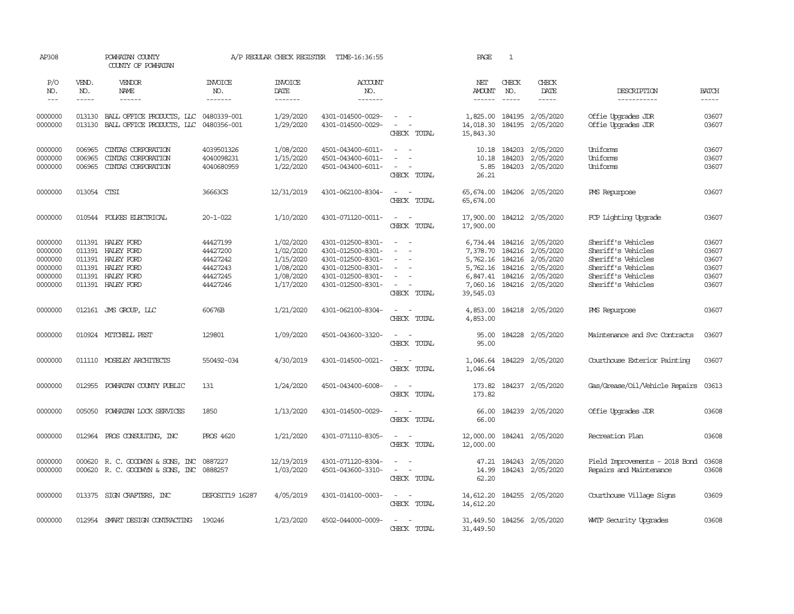| AP308                                                          |                             | POWHATAN COUNTY<br>COUNTY OF POWHATAN                                                                               |                                                                      | A/P REGULAR CHECK REGISTER                                                 | TIME-16:36:55                                                                                                              |                                                                                               | PAGE                                                                  | $\mathbf{1}$                  |                                                                                                          |                                                                                                                                  |                                                    |
|----------------------------------------------------------------|-----------------------------|---------------------------------------------------------------------------------------------------------------------|----------------------------------------------------------------------|----------------------------------------------------------------------------|----------------------------------------------------------------------------------------------------------------------------|-----------------------------------------------------------------------------------------------|-----------------------------------------------------------------------|-------------------------------|----------------------------------------------------------------------------------------------------------|----------------------------------------------------------------------------------------------------------------------------------|----------------------------------------------------|
| P/O<br>NO.<br>$\frac{1}{2}$                                    | VEND.<br>NO.<br>$- - - - -$ | VENDOR<br>NAME<br>------                                                                                            | <b>INVOICE</b><br>NO.<br>-------                                     | <b>INVOICE</b><br>DATE<br>--------                                         | <b>ACCOUNT</b><br>NO.<br>-------                                                                                           |                                                                                               | NET<br><b>AMOUNT</b><br>------                                        | CHECK<br>NO.<br>$\frac{1}{2}$ | CHECK<br>DATE<br>$- - - - -$                                                                             | DESCRIPTION<br>-----------                                                                                                       | <b>BATCH</b><br>-----                              |
| 0000000<br>0000000                                             | 013130                      | 013130 BALL OFFICE PRODUCTS, LLC<br>BALL OFFICE PRODUCTS, LLC                                                       | 0480339-001<br>0480356-001                                           | 1/29/2020<br>1/29/2020                                                     | 4301-014500-0029-<br>4301-014500-0029-                                                                                     | $\sim$ $  -$<br>$\sim$<br>$\sim$<br>CHECK TOTAL                                               | 1,825.00<br>14,018.30<br>15,843.30                                    | 184195<br>184195              | 2/05/2020<br>2/05/2020                                                                                   | Offie Upgrades JDR<br>Offie Upgrades JDR                                                                                         | 03607<br>03607                                     |
| 0000000<br>0000000<br>0000000                                  | 006965<br>006965<br>006965  | CINIAS CORPORATION<br>CINIAS CORPORATION<br>CINIAS CORPORATION                                                      | 4039501326<br>4040098231<br>4040680959                               | 1/08/2020<br>1/15/2020<br>1/22/2020                                        | 4501-043400-6011-<br>4501-043400-6011-<br>4501-043400-6011-                                                                | $\sim$<br>$\overline{\phantom{a}}$<br>CHECK TOTAL                                             | 10.18<br>10.18<br>5.85<br>26.21                                       | 184203<br>184203              | 2/05/2020<br>2/05/2020<br>184203 2/05/2020                                                               | <b>Uniforms</b><br>Uniforms<br>Uniforms                                                                                          | 03607<br>03607<br>03607                            |
| 0000000                                                        | 013054 CTSI                 |                                                                                                                     | 36663CS                                                              | 12/31/2019                                                                 | 4301-062100-8304-                                                                                                          | $\sim$<br>$\sim$ $-$<br>CHECK TOTAL                                                           | 65,674.00<br>65,674.00                                                |                               | 184206 2/05/2020                                                                                         | PMS Repurpose                                                                                                                    | 03607                                              |
| 0000000                                                        |                             | 010544 FOLKES ELECTRICAL                                                                                            | $20 - 1 - 022$                                                       | 1/10/2020                                                                  | 4301-071120-0011-                                                                                                          | $\sim$ $-$<br>$\sim$<br>CHECK TOTAL                                                           | 17,900.00<br>17,900.00                                                |                               | 184212 2/05/2020                                                                                         | FCP Lighting Upgrade                                                                                                             | 03607                                              |
| 0000000<br>0000000<br>0000000<br>0000000<br>0000000<br>0000000 | 011391                      | 011391 HALEY FORD<br>011391 HALEY FORD<br>HALEY FORD<br>011391 HALEY FORD<br>011391 HALEY FORD<br>011391 HALEY FORD | 44427199<br>44427200<br>44427242<br>44427243<br>44427245<br>44427246 | 1/02/2020<br>1/02/2020<br>1/15/2020<br>1/08/2020<br>1/08/2020<br>1/17/2020 | 4301-012500-8301-<br>4301-012500-8301-<br>4301-012500-8301-<br>4301-012500-8301-<br>4301-012500-8301-<br>4301-012500-8301- | $\sim$<br>$\sim$<br>$\sim$<br>$\sim$<br>$\equiv$<br>$\sim$<br>$\sim$<br>$\sim$<br>CHECK TOTAL | 7,378.70<br>5,762.16<br>5,762.16<br>6,847.41<br>7,060.16<br>39,545.03 | 184216<br>184216<br>184216    | 6,734.44 184216 2/05/2020<br>2/05/2020<br>2/05/2020<br>2/05/2020<br>184216 2/05/2020<br>184216 2/05/2020 | Sheriff's Vehicles<br>Sheriff's Vehicles<br>Sheriff's Vehicles<br>Sheriff's Vehicles<br>Sheriff's Vehicles<br>Sheriff's Vehicles | 03607<br>03607<br>03607<br>03607<br>03607<br>03607 |
| 0000000                                                        |                             | 012161 JMS GROUP, LLC                                                                                               | 60676B                                                               | 1/21/2020                                                                  | 4301-062100-8304-                                                                                                          | $\sim$<br>. —<br>CHECK TOTAL                                                                  | 4,853.00<br>4,853.00                                                  |                               | 184218 2/05/2020                                                                                         | PMS Repurpose                                                                                                                    | 03607                                              |
| 0000000                                                        |                             | 010924 MITCHELL PEST                                                                                                | 129801                                                               | 1/09/2020                                                                  | 4501-043600-3320-                                                                                                          | $\overline{\phantom{a}}$<br>CHECK TOTAL                                                       | 95.00<br>95.00                                                        |                               | 184228 2/05/2020                                                                                         | Maintenance and Svc Contracts                                                                                                    | 03607                                              |
| 0000000                                                        |                             | 011110 MOSELEY ARCHITECTS                                                                                           | 550492-034                                                           | 4/30/2019                                                                  | 4301-014500-0021-                                                                                                          | $\sim$<br>$\overline{\phantom{a}}$<br>CHECK TOTAL                                             | 1,046.64<br>1,046.64                                                  |                               | 184229 2/05/2020                                                                                         | Courthouse Exterior Painting                                                                                                     | 03607                                              |
| 0000000                                                        |                             | 012955 POWHATAN COUNTY PUBLIC                                                                                       | 131                                                                  | 1/24/2020                                                                  | 4501-043400-6008-                                                                                                          | $\sim$<br>$\sim$<br>CHECK TOTAL                                                               | 173.82<br>173.82                                                      |                               | 184237 2/05/2020                                                                                         | Gas/Grease/Oil/Vehicle Repairs                                                                                                   | 03613                                              |
| 0000000                                                        | 005050                      | POWHATAN LOCK SERVICES                                                                                              | 1850                                                                 | 1/13/2020                                                                  | 4301-014500-0029-                                                                                                          | $\sim$<br>$\sim$<br>CHECK TOTAL                                                               | 66.00<br>66.00                                                        |                               | 184239 2/05/2020                                                                                         | Offie Upgrades JDR                                                                                                               | 03608                                              |
| 0000000                                                        |                             | 012964 PROS CONSULTING, INC                                                                                         | <b>PROS 4620</b>                                                     | 1/21/2020                                                                  | 4301-071110-8305-                                                                                                          | $\omega_{\rm{max}}$ and $\omega_{\rm{max}}$<br>CHECK TOTAL                                    | 12,000.00<br>12,000.00                                                |                               | 184241 2/05/2020                                                                                         | Recreation Plan                                                                                                                  | 03608                                              |
| 0000000<br>0000000                                             |                             | 000620 R. C. GOODWIN & SONS, INC<br>000620 R. C. GOODWYN & SONS, INC                                                | 0887227<br>0888257                                                   | 12/19/2019<br>1/03/2020                                                    | 4301-071120-8304-<br>4501-043600-3310-                                                                                     | $\sim$<br>$\sim$<br>$\sim$<br>$\sim$<br>CHECK TOTAL                                           | 47.21<br>14.99<br>62.20                                               | 184243                        | 2/05/2020<br>184243 2/05/2020                                                                            | Field Improvements - 2018 Bond<br>Repairs and Maintenance                                                                        | 03608<br>03608                                     |
| 0000000                                                        |                             | 013375 SIGN CRAFTERS, INC                                                                                           | DEPOSIT19 16287                                                      | 4/05/2019                                                                  | 4301-014100-0003-                                                                                                          | $\sim$ $ -$<br>CHECK TOTAL                                                                    | 14,612.20<br>14,612.20                                                |                               | 184255 2/05/2020                                                                                         | Courthouse Village Signs                                                                                                         | 03609                                              |
| 0000000                                                        |                             | 012954 SMART DESIGN CONTRACTING                                                                                     | 190246                                                               | 1/23/2020                                                                  | 4502-044000-0009-                                                                                                          | CHECK TOTAL                                                                                   | 31,449.50<br>31,449.50                                                |                               | 184256 2/05/2020                                                                                         | WNTP Security Upgrades                                                                                                           | 03608                                              |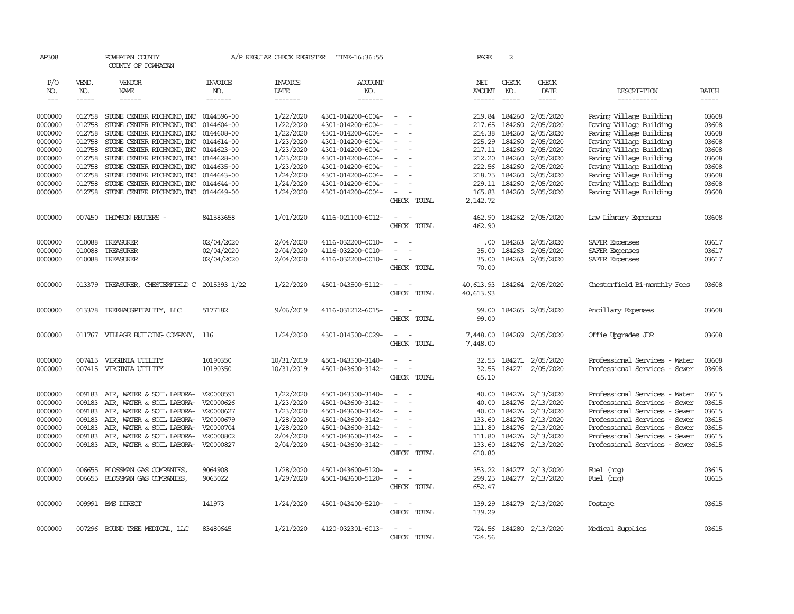| AP308   |             | POWHATAN COUNTY<br>COUNTY OF POWHATAN         |                | A/P REGULAR CHECK REGISTER | TIME-16:36:55     |                                    | PAGE          | 2             |                         |                               |              |
|---------|-------------|-----------------------------------------------|----------------|----------------------------|-------------------|------------------------------------|---------------|---------------|-------------------------|-------------------------------|--------------|
| P/O     | VEND.       | VENDOR                                        | <b>INVOICE</b> | <b>INVOICE</b>             | ACCOUNT           |                                    | NET           | CHECK         | CHECK                   |                               |              |
| NO.     | NO.         | NAME                                          | NO.            | <b>DATE</b>                | NO.               |                                    | AMOUNT        | NO.           | DATE                    | DESCRIPTION                   | <b>BATCH</b> |
| $---$   | $- - - - -$ | ------                                        | -------        | -------                    | -------           |                                    | $- - - - - -$ | $\frac{1}{2}$ | $\cdots \cdots \cdots$  | -----------                   | -----        |
| 0000000 | 012758      | STONE CENTER RICHMOND, INC 0144596-00         |                | 1/22/2020                  | 4301-014200-6004- | $\equiv$                           |               | 219.84 184260 | 2/05/2020               | Paving Village Building       | 03608        |
| 0000000 | 012758      | STONE CENTER RICHMOND, INC                    | 0144604-00     | 1/22/2020                  | 4301-014200-6004- |                                    | 217.65        | 184260        | 2/05/2020               | Paving Village Building       | 03608        |
| 0000000 | 012758      | STONE CENTER RICHMOND, INC 0144608-00         |                | 1/22/2020                  | 4301-014200-6004- |                                    |               | 214.38 184260 | 2/05/2020               | Paving Village Building       | 03608        |
| 0000000 | 012758      | STONE CENTER RICHMOND, INC 0144614-00         |                | 1/23/2020                  | 4301-014200-6004- |                                    |               | 225.29 184260 | 2/05/2020               | Paving Village Building       | 03608        |
| 0000000 | 012758      | STONE CENTER RICHMOND, INC 0144623-00         |                | 1/23/2020                  | 4301-014200-6004- |                                    |               | 217.11 184260 | 2/05/2020               | Paving Village Building       | 03608        |
| 0000000 | 012758      | STONE CENTER RICHMOND, INC 0144628-00         |                | 1/23/2020                  | 4301-014200-6004- |                                    | 212.20        | 184260        | 2/05/2020               | Paving Village Building       | 03608        |
| 0000000 | 012758      | STONE CENTER RICHMOND, INC 0144635-00         |                | 1/23/2020                  | 4301-014200-6004- |                                    |               | 222.56 184260 | 2/05/2020               | Paving Village Building       | 03608        |
| 0000000 | 012758      | STONE CENTER RICHMOND, INC 0144643-00         |                | 1/24/2020                  | 4301-014200-6004- |                                    | 218.75        | 184260        | 2/05/2020               | Paving Village Building       | 03608        |
| 0000000 | 012758      | STONE CENTER RICHMOND, INC                    | 0144644-00     | 1/24/2020                  | 4301-014200-6004- |                                    | 229.11        | 184260        | 2/05/2020               | Paving Village Building       | 03608        |
| 0000000 | 012758      | STONE CENTER RICHMOND, INC 0144649-00         |                | 1/24/2020                  | 4301-014200-6004- |                                    | 165.83        |               | 184260 2/05/2020        | Paving Village Building       | 03608        |
|         |             |                                               |                |                            |                   | CHECK TOTAL                        | 2,142.72      |               |                         |                               |              |
|         |             |                                               |                |                            |                   |                                    |               |               |                         |                               |              |
| 0000000 | 007450      | THOMSON REUTERS -                             | 841583658      | 1/01/2020                  | 4116-021100-6012- | $\overline{\phantom{a}}$<br>$\sim$ | 462.90        |               | 184262 2/05/2020        | Law Library Expenses          | 03608        |
|         |             |                                               |                |                            |                   | CHECK TOTAL                        | 462.90        |               |                         |                               |              |
| 0000000 | 010088      | TREASURER                                     | 02/04/2020     | 2/04/2020                  | 4116-032200-0010- |                                    | $.00 \times$  | 184263        | 2/05/2020               | SAFER Expenses                | 03617        |
| 0000000 | 010088      | TREASURER                                     | 02/04/2020     | 2/04/2020                  | 4116-032200-0010- |                                    | 35.00         | 184263        | 2/05/2020               | SAFER Expenses                | 03617        |
| 0000000 | 010088      | TREASURER                                     | 02/04/2020     | 2/04/2020                  | 4116-032200-0010- | $\sim$                             | 35.00         | 184263        | 2/05/2020               | SAFER Expenses                | 03617        |
|         |             |                                               |                |                            |                   | CHECK TOTAL                        | 70.00         |               |                         |                               |              |
| 0000000 |             | 013379 TREASURER, CHESTERFIELD C 2015393 1/22 |                | 1/22/2020                  | 4501-043500-5112- | $\sim$<br>$\sim$                   | 40,613.93     |               | 184264 2/05/2020        | Chesterfield Bi-monthly Fees  | 03608        |
|         |             |                                               |                |                            |                   | CHECK TOTAL                        | 40,613.93     |               |                         |                               |              |
|         |             |                                               |                |                            |                   |                                    |               |               |                         |                               |              |
| 0000000 | 013378      | TREEHAUSPITALITY, LLC                         | 5177182        | 9/06/2019                  | 4116-031212-6015- | $\sim$                             | 99.00         |               | 184265 2/05/2020        | Ancillary Expenses            | 03608        |
|         |             |                                               |                |                            |                   | CHECK TOTAL                        | 99.00         |               |                         |                               |              |
| 0000000 |             | 011767 VILLAGE BUILDING COMPANY, 116          |                | 1/24/2020                  | 4301-014500-0029- | $\sim$<br>$\sim$                   | 7,448.00      |               | 184269 2/05/2020        | Offie Upgrades JDR            | 03608        |
|         |             |                                               |                |                            |                   | CHECK TOTAL                        | 7,448.00      |               |                         |                               |              |
|         |             |                                               |                |                            |                   |                                    |               |               |                         |                               |              |
| 0000000 | 007415      | VIRGINIA UTILITY                              | 10190350       | 10/31/2019                 | 4501-043500-3140- |                                    |               |               | 32.55 184271 2/05/2020  | Professional Services - Water | 03608        |
| 0000000 |             | 007415 VIRGINIA UTILITY                       | 10190350       | 10/31/2019                 | 4501-043600-3142- | $\sim$<br>$\overline{\phantom{a}}$ | 32.55         |               | 184271 2/05/2020        | Professional Services - Sewer | 03608        |
|         |             |                                               |                |                            |                   | CHECK TOTAL                        | 65.10         |               |                         |                               |              |
| 0000000 | 009183      | AIR, WATER & SOIL LABORA-                     | V20000591      | 1/22/2020                  | 4501-043500-3140- |                                    | 40.00         | 184276        | 2/13/2020               | Professional Services - Water | 03615        |
| 0000000 | 009183      | AIR, WATER & SOIL LABORA- V20000626           |                | 1/23/2020                  | 4501-043600-3142- | $\blacksquare$                     | 40.00         | 184276        | 2/13/2020               | Professional Services - Sewer | 03615        |
| 0000000 | 009183      | AIR, WATER & SOIL LABORA- V20000627           |                | 1/23/2020                  | 4501-043600-3142- |                                    | 40.00         |               | 184276 2/13/2020        | Professional Services - Sewer | 03615        |
| 0000000 | 009183      | AIR, WATER & SOIL LABORA- V20000679           |                | 1/28/2020                  | 4501-043600-3142- |                                    | 133.60        | 184276        | 2/13/2020               | Professional Services - Sewer | 03615        |
| 0000000 | 009183      | AIR, WATER & SOIL LABORA- V20000704           |                | 1/28/2020                  | 4501-043600-3142- | $\sim$                             |               |               | 111.80 184276 2/13/2020 | Professional Services - Sewer | 03615        |
| 0000000 | 009183      | AIR, WATER & SOIL LABORA-                     | V20000802      | 2/04/2020                  | 4501-043600-3142- |                                    | 111.80        | 184276        | 2/13/2020               | Professional Services - Sewer | 03615        |
| 0000000 | 009183      | AIR, WATER & SOIL LABORA- V20000827           |                | 2/04/2020                  | 4501-043600-3142- |                                    | 133.60        |               | 184276 2/13/2020        | Professional Services - Sewer | 03615        |
|         |             |                                               |                |                            |                   | CHECK TOTAL                        | 610.80        |               |                         |                               |              |
| 0000000 | 006655      | BLOSSMAN GAS COMPANIES,                       | 9064908        | 1/28/2020                  | 4501-043600-5120- |                                    | 353.22        |               | 184277 2/13/2020        | Fuel (htg)                    | 03615        |
| 0000000 | 006655      | BLOSSMAN GAS COMPANIES,                       | 9065022        | 1/29/2020                  | 4501-043600-5120- | $\sim$<br>$\sim$                   | 299.25        |               | 184277 2/13/2020        | Fuel (htg)                    | 03615        |
|         |             |                                               |                |                            |                   | CHECK TOTAL                        | 652.47        |               |                         |                               |              |
|         |             |                                               |                |                            |                   |                                    |               |               |                         |                               |              |
| 0000000 |             | 009991 BMS DIRECT                             | 141973         | 1/24/2020                  | 4501-043400-5210- | $\sim$<br>$\sim$                   | 139.29        |               | 184279 2/13/2020        | Postage                       | 03615        |
|         |             |                                               |                |                            |                   | CHECK TOTAL                        | 139.29        |               |                         |                               |              |
| 0000000 |             | 007296 BOUND TREE MEDICAL, LLC                | 83480645       | 1/21/2020                  | 4120-032301-6013- | $\sim$<br>$\sim$                   |               |               | 724.56 184280 2/13/2020 | Medical Supplies              | 03615        |
|         |             |                                               |                |                            |                   | CHECK TOTAL                        | 724.56        |               |                         |                               |              |
|         |             |                                               |                |                            |                   |                                    |               |               |                         |                               |              |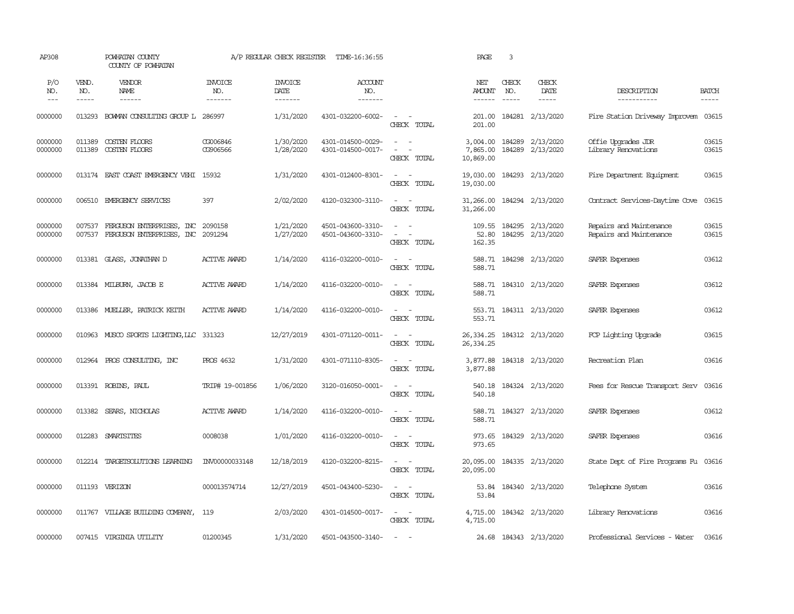| AP308              |                       | POWHATAN COUNTY<br>COUNTY OF POWHATAN                  |                                  | A/P REGULAR CHECK REGISTER        | TIME-16:36:55                          |                                                                                                                                               | PAGE                              | $\overline{3}$                |                               |                                                    |                       |
|--------------------|-----------------------|--------------------------------------------------------|----------------------------------|-----------------------------------|----------------------------------------|-----------------------------------------------------------------------------------------------------------------------------------------------|-----------------------------------|-------------------------------|-------------------------------|----------------------------------------------------|-----------------------|
| P/O<br>NO.<br>$--$ | VEND.<br>NO.<br>----- | <b>VENDOR</b><br>NAME<br>$- - - - - -$                 | <b>INVOICE</b><br>NO.<br>------- | <b>INVOICE</b><br>DATE<br>------- | ACCOUNT<br>NO.<br>-------              |                                                                                                                                               | NET<br>AMOUNT<br>------           | CHECK<br>NO.<br>$\frac{1}{2}$ | CHECK<br>DATE<br>-----        | DESCRIPTION<br>-----------                         | <b>BATCH</b><br>----- |
| 0000000            | 013293                | BOWAN CONSULTING GROUP L                               | 286997                           | 1/31/2020                         | 4301-032200-6002-                      | $\sim$ $ \sim$<br>CHECK TOTAL                                                                                                                 | 201.00<br>201.00                  | 184281                        | 2/13/2020                     | Fire Station Driveway Improvem                     | 03615                 |
| 0000000<br>0000000 | 011389<br>011389      | COSTEN FLOORS<br>COSTEN FLOORS                         | CG006846<br>CG906566             | 1/30/2020<br>1/28/2020            | 4301-014500-0029-<br>4301-014500-0017- | $\sim$ $ \sim$<br>$\overline{\phantom{a}}$<br>$\overline{\phantom{a}}$<br>CHECK TOTAL                                                         | 3,004.00<br>7,865.00<br>10,869.00 | 184289<br>184289              | 2/13/2020<br>2/13/2020        | Offie Upgrades JDR<br>Library Renovations          | 03615<br>03615        |
| 0000000            |                       | 013174 EAST COAST EMERGENCY VEHI                       | 15932                            | 1/31/2020                         | 4301-012400-8301-                      | $\sim$<br>$\sim$<br>CHECK TOTAL                                                                                                               | 19,030.00<br>19,030.00            |                               | 184293 2/13/2020              | Fire Department Equipment                          | 03615                 |
| 0000000            | 006510                | EMERGENCY SERVICES                                     | 397                              | 2/02/2020                         | 4120-032300-3110-                      | $\sim$<br>$\sim$<br>CHECK TOTAL                                                                                                               | 31,266.00<br>31,266.00            |                               | 184294 2/13/2020              | Contract Services-Daytime Cove                     | 03615                 |
| 0000000<br>0000000 | 007537<br>007537      | FERGUSON ENTERPRISES, INC<br>FERGUSON ENTERPRISES, INC | 2090158<br>2091294               | 1/21/2020<br>1/27/2020            | 4501-043600-3310-<br>4501-043600-3310- | $\frac{1}{2} \left( \frac{1}{2} \right) \left( \frac{1}{2} \right) = \frac{1}{2} \left( \frac{1}{2} \right)$<br>$\sim$ $ \sim$<br>CHECK TOTAL | 109.55<br>52.80<br>162.35         | 184295                        | 184295 2/13/2020<br>2/13/2020 | Repairs and Maintenance<br>Repairs and Maintenance | 03615<br>03615        |
| 0000000            |                       | 013381 GLASS, JONATHAN D                               | <b>ACTIVE AWARD</b>              | 1/14/2020                         | 4116-032200-0010-                      | $\sim$ $ \sim$<br>CHECK TOTAL                                                                                                                 | 588.71<br>588.71                  |                               | 184298 2/13/2020              | SAFER Expenses                                     | 03612                 |
| 0000000            |                       | 013384 MILBURN, JACOB E                                | <b>ACTIVE AWARD</b>              | 1/14/2020                         | 4116-032200-0010-                      | $\sim$ $ \sim$<br>CHECK TOTAL                                                                                                                 | 588.71                            |                               | 588.71 184310 2/13/2020       | SAFER Expenses                                     | 03612                 |
| 0000000            |                       | 013386 MUELLER, PATRICK KEITH                          | <b>ACTIVE AWARD</b>              | 1/14/2020                         | 4116-032200-0010-                      | $\sim$ $ \sim$<br>CHECK TOTAL                                                                                                                 | 553.71                            |                               | 553.71 184311 2/13/2020       | SAFER Expenses                                     | 03612                 |
| 0000000            |                       | 010963 MUSCO SPORTS LIGHTING, LLC 331323               |                                  | 12/27/2019                        | 4301-071120-0011-                      | $\sim$ $ \sim$<br>CHECK TOTAL                                                                                                                 | 26,334.25<br>26, 334.25           |                               | 184312 2/13/2020              | FCP Lighting Upgrade                               | 03615                 |
| 0000000            |                       | 012964 PROS CONSULTING, INC                            | <b>PROS 4632</b>                 | 1/31/2020                         | 4301-071110-8305-                      | $\sim$ $\sim$<br>CHECK TOTAL                                                                                                                  | 3,877.88<br>3,877.88              |                               | 184318 2/13/2020              | Recreation Plan                                    | 03616                 |
| 0000000            |                       | 013391 ROBINS, PAUL                                    | TRIP# 19-001856                  | 1/06/2020                         | 3120-016050-0001-                      | $\sim$ $ -$<br>CHECK TOTAL                                                                                                                    | 540.18<br>540.18                  |                               | 184324 2/13/2020              | Fees for Rescue Transport Serv 03616               |                       |
| 0000000            | 013382                | SEARS, NICHOLAS                                        | <b>ACTIVE AWARD</b>              | 1/14/2020                         | 4116-032200-0010-                      | $\sim$ 100 $\sim$<br>CHECK TOTAL                                                                                                              | 588.71<br>588.71                  |                               | 184327 2/13/2020              | SAFER Expenses                                     | 03612                 |
| 0000000            | 012283                | SMARTSITES                                             | 0008038                          | 1/01/2020                         | 4116-032200-0010-                      | $\sim$<br>$\sim$<br>CHECK TOTAL                                                                                                               | 973.65<br>973.65                  |                               | 184329 2/13/2020              | SAFER Expenses                                     | 03616                 |
| 0000000            | 012214                | TARGETSOLUTIONS LEARNING                               | INV00000033148                   | 12/18/2019                        | 4120-032200-8215-                      | $\sim$ $ \sim$<br>CHECK TOTAL                                                                                                                 | 20,095.00<br>20,095.00            |                               | 184335 2/13/2020              | State Dept of Fire Programs Fu 03616               |                       |
| 0000000            |                       | 011193 VERIZON                                         | 000013574714                     | 12/27/2019                        | 4501-043400-5230-                      | $\sim$ $ -$<br>CHECK TOTAL                                                                                                                    | 53.84<br>53.84                    |                               | 184340 2/13/2020              | Telephone System                                   | 03616                 |
| 0000000            |                       | 011767 VILLAGE BUILDING COMPANY, 119                   |                                  | 2/03/2020                         | 4301-014500-0017-                      | $\sim$ $ -$<br>CHECK TOTAL                                                                                                                    | 4,715.00<br>4,715.00              |                               | 184342 2/13/2020              | Library Renovations                                | 03616                 |
| 0000000            |                       | 007415 VIRGINIA UTILITY                                | 01200345                         | 1/31/2020                         | 4501-043500-3140-                      | $\sim$                                                                                                                                        |                                   |                               | 24.68 184343 2/13/2020        | Professional Services - Water                      | 03616                 |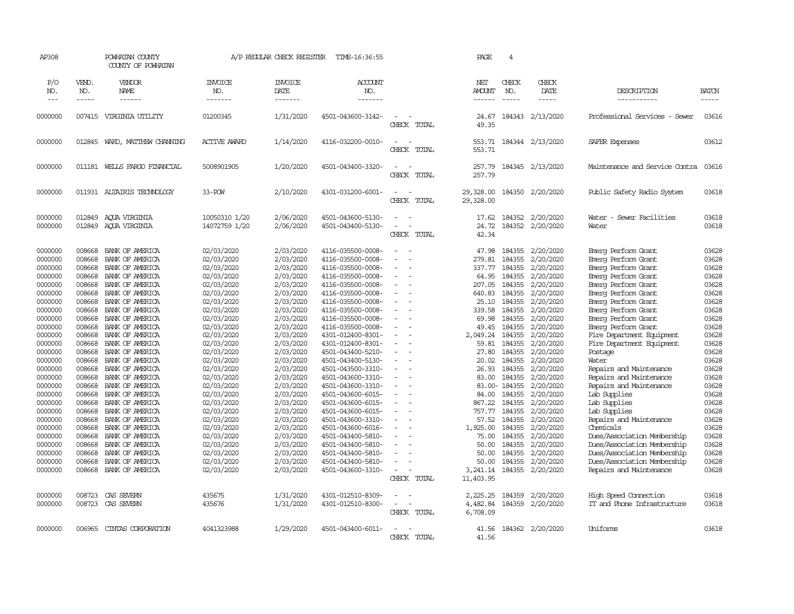| AP308      |               | POWHATAN COUNTY<br>COUNTY OF POWHATAN |                       | A/P REGULAR CHECK REGISTER | TIME-16:36:55     |                                                   | PAGE                   | $\overline{4}$ |                  |                                |              |
|------------|---------------|---------------------------------------|-----------------------|----------------------------|-------------------|---------------------------------------------------|------------------------|----------------|------------------|--------------------------------|--------------|
| P/O<br>NO. | VEND.<br>NO.  | VENDOR<br>NAME                        | <b>INVOICE</b><br>NO. | <b>INVOICE</b><br>DATE     | ACCOUNT<br>NO.    |                                                   | NET<br><b>AMOUNT</b>   | CHECK<br>NO.   | CHECK<br>DATE    | DESCRIPTION                    | <b>BATCH</b> |
| $---$      | $\frac{1}{2}$ | ------                                | -------               | -------                    | --------          |                                                   |                        | $\frac{1}{2}$  | -----            | -----------                    | -----        |
| 0000000    |               | 007415 VIRGINIA UTILITY               | 01200345              | 1/31/2020                  | 4501-043600-3142- | CHECK TOTAL                                       | 24.67<br>49.35         |                | 184343 2/13/2020 | Professional Services - Sewer  | 03616        |
| 0000000    | 012845        | WARD, MATTHEW CHANNING                | <b>ACTIVE AWARD</b>   | 1/14/2020                  | 4116-032200-0010- | $\sim$<br>$\sim$<br>CHECK TOTAL                   | 553.71<br>553.71       |                | 184344 2/13/2020 | SAFER Expenses                 | 03612        |
| 0000000    | 011181        | WELLS FARGO FINANCIAL                 | 5008901905            | 1/20/2020                  | 4501-043400-3320- | $\sim$<br>$\sim$<br>CHECK TOTAL                   | 257.79<br>257.79       |                | 184345 2/13/2020 | Maintenance and Service Contra | 03616        |
| 0000000    |               | 011931 ALTAIRIS TECHNOLOGY            | 33-POW                | 2/10/2020                  | 4301-031200-6001- | $\overline{\phantom{a}}$<br>$\sim$<br>CHECK TOTAL | 29,328.00<br>29,328.00 |                | 184350 2/20/2020 | Public Safety Radio System     | 03618        |
| 0000000    | 012849        | AQUA VIRGINIA                         | 10050310 1/20         | 2/06/2020                  | 4501-043600-5130- |                                                   | 17.62                  | 184352         | 2/20/2020        | Water - Sewer Facilities       | 03618        |
| 0000000    | 012849        | AQUA VIRGINIA                         | 14072759 1/20         | 2/06/2020                  | 4501-043400-5130- |                                                   | 24.72                  |                | 184352 2/20/2020 | Water                          | 03618        |
|            |               |                                       |                       |                            |                   | CHECK TOTAL                                       | 42.34                  |                |                  |                                |              |
| 0000000    | 008668        | BANK OF AMERICA                       | 02/03/2020            | 2/03/2020                  | 4116-035500-0008- | $\equiv$<br>$\sim$                                | 47.98                  | 184355         | 2/20/2020        | Emerg Perform Grant            | 03628        |
| 0000000    | 008668        | BANK OF AMERICA                       | 02/03/2020            | 2/03/2020                  | 4116-035500-0008- |                                                   | 279.81                 | 184355         | 2/20/2020        | Emerg Perform Grant            | 03628        |
| 0000000    | 008668        | BANK OF AMERICA                       | 02/03/2020            | 2/03/2020                  | 4116-035500-0008- | $\overline{\phantom{a}}$                          | 337.77                 | 184355         | 2/20/2020        | Emerg Perform Grant            | 03628        |
| 0000000    | 008668        | BANK OF AMERICA                       | 02/03/2020            | 2/03/2020                  | 4116-035500-0008- | ÷.                                                | 64.95                  | 184355         | 2/20/2020        | Emerg Perform Grant            | 03628        |
| 0000000    | 008668        | BANK OF AMERICA                       | 02/03/2020            | 2/03/2020                  | 4116-035500-0008- |                                                   | 207.05                 | 184355         | 2/20/2020        | Emerg Perform Grant            | 03628        |
| 0000000    | 008668        | BANK OF AMERICA                       | 02/03/2020            | 2/03/2020                  | 4116-035500-0008- | $\overline{\phantom{a}}$<br>÷,                    | 640.83                 | 184355         | 2/20/2020        | Emerg Perform Grant            | 03628        |
| 0000000    | 008668        | BANK OF AMERICA                       | 02/03/2020            | 2/03/2020                  | 4116-035500-0008- |                                                   | 25.10                  | 184355         | 2/20/2020        | Emerg Perform Grant            | 03628        |
| 0000000    | 008668        | BANK OF AMERICA                       | 02/03/2020            | 2/03/2020                  | 4116-035500-0008- | $\blacksquare$                                    | 339.58                 | 184355         | 2/20/2020        | Emerg Perform Grant            | 03628        |
| 0000000    | 008668        | BANK OF AMERICA                       | 02/03/2020            | 2/03/2020                  | 4116-035500-0008- |                                                   | 69.98                  | 184355         | 2/20/2020        | Emerg Perform Grant            | 03628        |
| 0000000    | 008668        | BANK OF AMERICA                       | 02/03/2020            | 2/03/2020                  | 4116-035500-0008- | $\equiv$                                          | 49.45                  | 184355         | 2/20/2020        | Emerg Perform Grant            | 03628        |
| 0000000    | 008668        | BANK OF AMERICA                       | 02/03/2020            | 2/03/2020                  | 4301-012400-8301- | $\equiv$                                          | 2,049.24               | 184355         | 2/20/2020        | Fire Department Equipment      | 03628        |
| 0000000    | 008668        | BANK OF AMERICA                       | 02/03/2020            | 2/03/2020                  | 4301-012400-8301- |                                                   | 59.81                  | 184355         | 2/20/2020        | Fire Department Equipment      | 03628        |
| 0000000    | 008668        | BANK OF AMERICA                       | 02/03/2020            | 2/03/2020                  | 4501-043400-5210- | $\overline{a}$<br>$\overline{\phantom{a}}$        | 27.80                  | 184355         | 2/20/2020        | Postage                        | 03628        |
| 0000000    | 008668        | BANK OF AMERICA                       | 02/03/2020            | 2/03/2020                  | 4501-043400-5130- | $\overline{a}$                                    | 20.02                  | 184355         | 2/20/2020        | Water                          | 03628        |
| 0000000    | 008668        | BANK OF AMERICA                       | 02/03/2020            | 2/03/2020                  | 4501-043500-3310- |                                                   | 26.93                  | 184355         | 2/20/2020        | Repairs and Maintenance        | 03628        |
| 0000000    | 008668        | BANK OF AMERICA                       | 02/03/2020            | 2/03/2020                  | 4501-043600-3310- |                                                   | 83.00                  | 184355         | 2/20/2020        | Repairs and Maintenance        | 03628        |
| 0000000    | 008668        | BANK OF AMERICA                       | 02/03/2020            | 2/03/2020                  | 4501-043600-3310- | $\equiv$<br>$\overline{\phantom{a}}$              |                        | 83.00-184355   | 2/20/2020        | Repairs and Maintenance        | 03628        |
| 0000000    | 008668        | BANK OF AMERICA                       | 02/03/2020            | 2/03/2020                  | 4501-043600-6015- |                                                   | 84.00                  | 184355         | 2/20/2020        | Lab Supplies                   | 03628        |
| 0000000    | 008668        | BANK OF AMERICA                       | 02/03/2020            | 2/03/2020                  | 4501-043600-6015- | $\blacksquare$                                    | 867.22                 | 184355         | 2/20/2020        | Lab Supplies                   | 03628        |
| 0000000    | 008668        | BANK OF AMERICA                       | 02/03/2020            | 2/03/2020                  | 4501-043600-6015- | ÷                                                 | 757.77                 | 184355         | 2/20/2020        | Lab Supplies                   | 03628        |
| 0000000    | 008668        | BANK OF AMERICA                       | 02/03/2020            | 2/03/2020                  | 4501-043600-3310- |                                                   | 57.52                  | 184355         | 2/20/2020        | Repairs and Maintenance        | 03628        |
| 0000000    | 008668        | BANK OF AMERICA                       | 02/03/2020            | 2/03/2020                  | 4501-043600-6016- |                                                   | 1,925.00               | 184355         | 2/20/2020        | Chemicals                      | 03628        |
| 0000000    | 008668        | BANK OF AMERICA                       | 02/03/2020            | 2/03/2020                  | 4501-043400-5810- |                                                   | 75.00                  | 184355         | 2/20/2020        | Dues/Association Membership    | 03628        |
| 0000000    | 008668        | BANK OF AMERICA                       | 02/03/2020            | 2/03/2020                  | 4501-043400-5810- |                                                   | 50.00                  | 184355         | 2/20/2020        | Dues/Association Membership    | 03628        |
| 0000000    | 008668        | BANK OF AMERICA                       | 02/03/2020            | 2/03/2020                  | 4501-043400-5810- |                                                   | 50.00                  | 184355         | 2/20/2020        | Dues/Association Membership    | 03628        |
| 0000000    | 008668        | BANK OF AMERICA                       | 02/03/2020            | 2/03/2020                  | 4501-043400-5810- | ÷                                                 | 50.00                  | 184355         | 2/20/2020        | Dues/Association Membership    | 03628        |
| 0000000    | 008668        | BANK OF AMERICA                       | 02/03/2020            | 2/03/2020                  | 4501-043600-3310- | $\overline{\phantom{a}}$                          | 3,241.14               |                | 184355 2/20/2020 | Repairs and Maintenance        | 03628        |
|            |               |                                       |                       |                            |                   | CHECK TOTAL                                       | 11,403.95              |                |                  |                                |              |
| 0000000    | 008723        | CAS SEVERN                            | 435675                | 1/31/2020                  | 4301-012510-8309- |                                                   | 2,225.25               | 184359         | 2/20/2020        | High Speed Connection          | 03618        |
| 0000000    | 008723        | CAS SEVERN                            | 435676                | 1/31/2020                  | 4301-012510-8300- | $\overline{\phantom{a}}$                          | 4,482.84               | 184359         | 2/20/2020        | IT and Phone Infrastructure    | 03618        |
|            |               |                                       |                       |                            |                   | CHECK TOTAL                                       | 6,708.09               |                |                  |                                |              |
|            |               |                                       |                       |                            |                   |                                                   |                        |                |                  |                                |              |
| 0000000    | 006965        | CINIAS CORPORATION                    | 4041323988            | 1/29/2020                  | 4501-043400-6011- | - 14                                              | 41.56                  |                | 184362 2/20/2020 | Uniforms                       | 03618        |
|            |               |                                       |                       |                            |                   | CHECK TOTAL                                       | 41.56                  |                |                  |                                |              |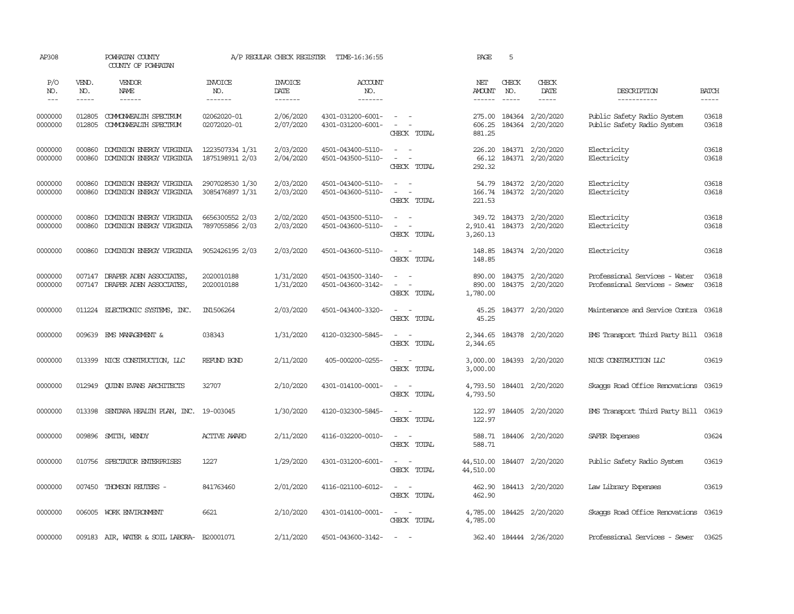| AP308              |                  | POWHATAN COUNTY<br>COUNTY OF POWHATAN                    |                                    | A/P REGULAR CHECK REGISTER | TIME-16:36:55                          |                                                                                                           | PAGE                              | 5             |                                             |                                                                |                |
|--------------------|------------------|----------------------------------------------------------|------------------------------------|----------------------------|----------------------------------------|-----------------------------------------------------------------------------------------------------------|-----------------------------------|---------------|---------------------------------------------|----------------------------------------------------------------|----------------|
| P/O<br>NO.         | VEND.<br>NO.     | VENDOR<br>NAME                                           | <b>INVOICE</b><br>NO.              | <b>INVOICE</b><br>DATE     | <b>ACCOUNT</b><br>NO.                  |                                                                                                           | NET<br>AMOUNT                     | CHECK<br>NO.  | CHECK<br>DATE                               | DESCRIPTION                                                    | <b>BATCH</b>   |
| $---$              | $- - - - -$      | ------                                                   | -------                            | -------                    | --------                               |                                                                                                           | $- - - - - -$                     | $\frac{1}{2}$ | $- - - - -$                                 | -----------                                                    | $- - - - -$    |
| 0000000<br>0000000 | 012805<br>012805 | COMONWEALTH SPECTRUM<br>COMONWEALTH SPECTRUM             | 02062020-01<br>02072020-01         | 2/06/2020<br>2/07/2020     | 4301-031200-6001-<br>4301-031200-6001- | $\sim$ $ \sim$<br>$\sim$ $ \sim$<br>CHECK TOTAL                                                           | 275.00 184364<br>606.25<br>881.25 | 184364        | 2/20/2020<br>2/20/2020                      | Public Safety Radio System<br>Public Safety Radio System       | 03618<br>03618 |
| 0000000<br>0000000 | 000860<br>000860 | DOMINION ENERGY VIRGINIA<br>DOMINION ENERGY VIRGINIA     | 1223507334 1/31<br>1875198911 2/03 | 2/03/2020<br>2/04/2020     | 4501-043400-5110-<br>4501-043500-5110- | $\sim$ $ \sim$<br>$\omega_{\rm{max}}$ and $\omega_{\rm{max}}$<br>CHECK TOTAL                              | 226.20<br>66.12<br>292.32         |               | 184371 2/20/2020<br>184371 2/20/2020        | Electricity<br>Electricity                                     | 03618<br>03618 |
| 0000000<br>0000000 | 000860<br>000860 | DOMINION ENERGY VIRGINIA<br>DOMINION ENERGY VIRGINIA     | 2907028530 1/30<br>3085476897 1/31 | 2/03/2020<br>2/03/2020     | 4501-043400-5110-<br>4501-043600-5110- | $\sim$ $ -$<br>$\overline{\phantom{a}}$<br>$\sim$<br>CHECK TOTAL                                          | 166.74<br>221.53                  |               | 54.79 184372 2/20/2020<br>184372 2/20/2020  | Electricity<br>Electricity                                     | 03618<br>03618 |
| 0000000<br>0000000 | 000860<br>000860 | DOMINION ENERGY VIRGINIA<br>DOMINION ENERGY VIRGINIA     | 6656300552 2/03<br>7897055856 2/03 | 2/02/2020<br>2/03/2020     | 4501-043500-5110-<br>4501-043600-5110- | $\sim$<br>$\sim$<br>$\sim$ $-$<br>CHECK TOTAL                                                             | 2,910.41<br>3,260.13              |               | 349.72 184373 2/20/2020<br>184373 2/20/2020 | Electricity<br>Electricity                                     | 03618<br>03618 |
| 0000000            | 000860           | DOMINION ENERGY VIRGINIA                                 | 9052426195 2/03                    | 2/03/2020                  | 4501-043600-5110-                      | $\sim$ $ -$<br>CHECK TOTAL                                                                                | 148.85<br>148.85                  |               | 184374 2/20/2020                            | Electricity                                                    | 03618          |
| 0000000<br>0000000 | 007147           | 007147 DRAPER ADEN ASSOCIATES<br>DRAPER ADEN ASSOCIATES, | 2020010188<br>2020010188           | 1/31/2020<br>1/31/2020     | 4501-043500-3140-<br>4501-043600-3142- | $\omega_{\rm{max}}$ and $\omega_{\rm{max}}$<br>$\omega_{\rm{max}}$ and $\omega_{\rm{max}}$<br>CHECK TOTAL | 890.00<br>1,780.00                |               | 890.00 184375 2/20/2020<br>184375 2/20/2020 | Professional Services - Water<br>Professional Services - Sewer | 03618<br>03618 |
| 0000000            |                  | 011224 ELECTRONIC SYSTEMS, INC.                          | IN1506264                          | 2/03/2020                  | 4501-043400-3320-                      | $\sim$ $ \sim$<br>CHECK TOTAL                                                                             | 45.25<br>45.25                    |               | 184377 2/20/2020                            | Maintenance and Service Contra 03618                           |                |
| 0000000            | 009639           | EMS MANAGEMENT &                                         | 038343                             | 1/31/2020                  | 4120-032300-5845-                      | $\sim$ $ -$<br>CHECK TOTAL                                                                                | 2,344.65<br>2,344.65              |               | 184378 2/20/2020                            | EMS Transport Third Party Bill 03618                           |                |
| 0000000            |                  | 013399 NICE CONSTRUCTION, LLC                            | REFUND BOND                        | 2/11/2020                  | 405-000200-0255-                       | $\sim$ $ \sim$<br>CHECK TOTAL                                                                             | 3,000.00<br>3,000.00              |               | 184393 2/20/2020                            | NICE CONSTRUCTION LLC                                          | 03619          |
| 0000000            | 012949           | <b>QUINN EVANS ARCHITECTS</b>                            | 32707                              | 2/10/2020                  | 4301-014100-0001-                      | $\sim$ $\sim$<br>CHECK TOTAL                                                                              | 4,793.50<br>4,793.50              |               | 184401 2/20/2020                            | Skaops Road Office Renovations 03619                           |                |
| 0000000            | 013398           | SENTARA HEALTH PLAN, INC. 19-003045                      |                                    | 1/30/2020                  | 4120-032300-5845-                      | $\sim$<br>$\sim$<br>CHECK TOTAL                                                                           | 122.97<br>122.97                  |               | 184405 2/20/2020                            | EMS Transport Third Party Bill 03619                           |                |
| 0000000            | 009896           | SMITH, WENDY                                             | <b>ACTIVE AWARD</b>                | 2/11/2020                  | 4116-032200-0010-                      | $\sim$ $ \sim$<br>CHECK TOTAL                                                                             | 588.71<br>588.71                  |               | 184406 2/20/2020                            | SAFER Expenses                                                 | 03624          |
| 0000000            | 010756           | SPECTATOR ENTERPRISES                                    | 1227                               | 1/29/2020                  | 4301-031200-6001-                      | $\omega_{\rm{max}}$ and $\omega_{\rm{max}}$<br>CHECK TOTAL                                                | 44,510.00<br>44,510.00            |               | 184407 2/20/2020                            | Public Safety Radio System                                     | 03619          |
| 0000000            | 007450           | THOMSON REUTERS -                                        | 841763460                          | 2/01/2020                  | 4116-021100-6012-                      | $\sim$ $ \sim$<br>CHECK TOTAL                                                                             | 462.90<br>462.90                  |               | 184413 2/20/2020                            | Law Library Expenses                                           | 03619          |
| 0000000            |                  | 006005 WORK ENVIRONMENT                                  | 6621                               | 2/10/2020                  | 4301-014100-0001-                      | $\sim$ $ \sim$<br>CHECK TOTAL                                                                             | 4,785.00<br>4,785.00              |               | 184425 2/20/2020                            | Skaops Road Office Renovations                                 | 03619          |
| 0000000            |                  | 009183 AIR, WATER & SOIL LABORA- B20001071               |                                    | 2/11/2020                  | 4501-043600-3142-                      | $\sim$ $\sim$                                                                                             |                                   |               | 362.40 184444 2/26/2020                     | Professional Services - Sewer                                  | 03625          |